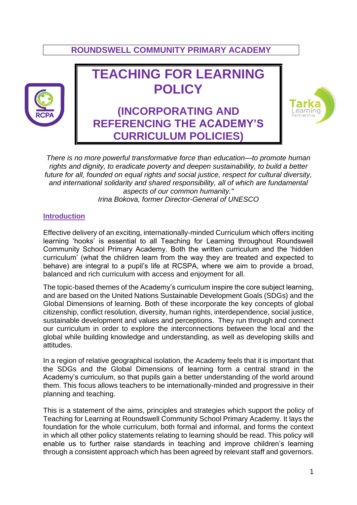# **ROUNDSWELL COMMUNITY PRIMARY ACADEMY**



# **TEACHING FOR LEARNING POLICY**

**(INCORPORATING AND REFERENCING THE ACADEMY'S CURRICULUM POLICIES)**



*There is no more powerful transformative force than education—to promote human rights and dignity, to eradicate poverty and deepen sustainability, to build a better future for all, founded on equal rights and social justice, respect for cultural diversity, and international solidarity and shared responsibility, all of which are fundamental aspects of our common humanity." Irina Bokova, former Director-General of UNESCO*

#### **Introduction**

Effective delivery of an exciting, internationally-minded Curriculum which offers inciting learning 'hooks' is essential to all Teaching for Learning throughout Roundswell Community School Primary Academy. Both the written curriculum and the 'hidden curriculum' (what the children learn from the way they are treated and expected to behave) are integral to a pupil's life at RCSPA, where we aim to provide a broad, balanced and rich curriculum with access and enjoyment for all.

The topic-based themes of the Academy's curriculum inspire the core subject learning, and are based on the United Nations Sustainable Development Goals (SDGs) and the Global Dimensions of learning. Both of these incorporate the key concepts of global citizenship, conflict resolution, diversity, human rights, interdependence, social justice, sustainable development and values and perceptions. They run through and connect our curriculum in order to explore the interconnections between the local and the global while building knowledge and understanding, as well as developing skills and attitudes.

In a region of relative geographical isolation, the Academy feels that it is important that the SDGs and the Global Dimensions of learning form a central strand in the Academy's curriculum, so that pupils gain a better understanding of the world around them. This focus allows teachers to be internationally-minded and progressive in their planning and teaching.

This is a statement of the aims, principles and strategies which support the policy of Teaching for Learning at Roundswell Community School Primary Academy. It lays the foundation for the whole curriculum, both formal and informal, and forms the context in which all other policy statements relating to learning should be read. This policy will enable us to further raise standards in teaching and improve children's learning through a consistent approach which has been agreed by relevant staff and governors.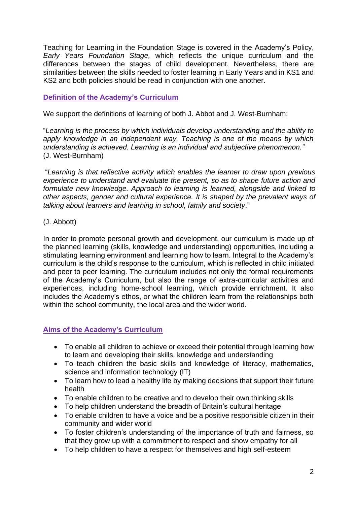Teaching for Learning in the Foundation Stage is covered in the Academy's Policy, *Early Years Foundation Stage,* which reflects the unique curriculum and the differences between the stages of child development. Nevertheless, there are similarities between the skills needed to foster learning in Early Years and in KS1 and KS2 and both policies should be read in conjunction with one another.

# **Definition of the Academy's Curriculum**

We support the definitions of learning of both J. Abbot and J. West-Burnham:

"*Learning is the process by which individuals develop understanding and the ability to apply knowledge in an independent way. Teaching is one of the means by which understanding is achieved. Learning is an individual and subjective phenomenon."*  (J. West-Burnham)

"*Learning is that reflective activity which enables the learner to draw upon previous experience to understand and evaluate the present, so as to shape future action and formulate new knowledge. Approach to learning is learned, alongside and linked to other aspects, gender and cultural experience. It is shaped by the prevalent ways of talking about learners and learning in school, family and society*."

#### (J. Abbott)

In order to promote personal growth and development, our curriculum is made up of the planned learning (skills, knowledge and understanding) opportunities, including a stimulating learning environment and learning how to learn. Integral to the Academy's curriculum is the child's response to the curriculum, which is reflected in child initiated and peer to peer learning. The curriculum includes not only the formal requirements of the Academy's Curriculum, but also the range of extra-curricular activities and experiences, including home-school learning, which provide enrichment. It also includes the Academy's ethos, or what the children learn from the relationships both within the school community, the local area and the wider world.

# **Aims of the Academy's Curriculum**

- To enable all children to achieve or exceed their potential through learning how to learn and developing their skills, knowledge and understanding
- To teach children the basic skills and knowledge of literacy, mathematics, science and information technology (IT)
- To learn how to lead a healthy life by making decisions that support their future health
- To enable children to be creative and to develop their own thinking skills
- To help children understand the breadth of Britain's cultural heritage
- To enable children to have a voice and be a positive responsible citizen in their community and wider world
- To foster children's understanding of the importance of truth and fairness, so that they grow up with a commitment to respect and show empathy for all
- To help children to have a respect for themselves and high self-esteem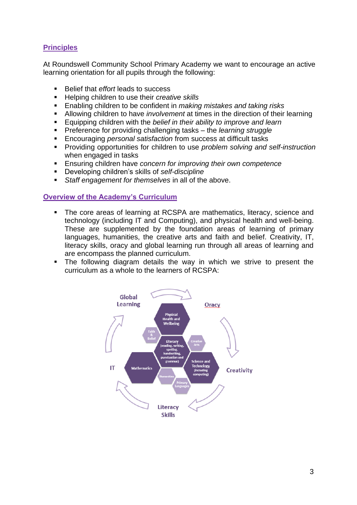# **Principles**

At Roundswell Community School Primary Academy we want to encourage an active learning orientation for all pupils through the following:

- **Belief that** *effort* leads to success
- Helping children to use their *creative skills*
- Enabling children to be confident in *making mistakes and taking risks*
- Allowing children to have *involvement* at times in the direction of their learning
- Equipping children with the *belief in their ability to improve and learn*
- Preference for providing challenging tasks the *learning struggle*
- Encouraging *personal satisfaction* from success at difficult tasks
- Providing opportunities for children to use *problem solving and self-instruction* when engaged in tasks
- Ensuring children have *concern for improving their own competence*
- Developing children's skills of *self-discipline*
- *Staff engagement for themselves* in all of the above.

#### **Overview of the Academy's Curriculum**

- The core areas of learning at RCSPA are mathematics, literacy, science and technology (including IT and Computing), and physical health and well-being. These are supplemented by the foundation areas of learning of primary languages, humanities, the creative arts and faith and belief. Creativity, IT, literacy skills, oracy and global learning run through all areas of learning and are encompass the planned curriculum.
- The following diagram details the way in which we strive to present the curriculum as a whole to the learners of RCSPA:

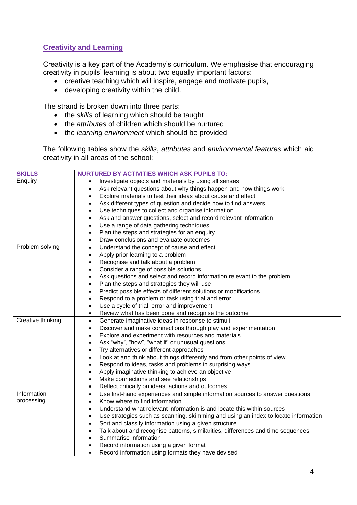# **Creativity and Learning**

Creativity is a key part of the Academy's curriculum. We emphasise that encouraging creativity in pupils' learning is about two equally important factors:

- creative teaching which will inspire, engage and motivate pupils,
- developing creativity within the child.

The strand is broken down into three parts:

- the *skills* of learning which should be taught
- the *attributes* of children which should be nurtured
- the *learning environment* which should be provided

The following tables show the *skills*, *attributes* and *environmental features* which aid creativity in all areas of the school:

| <b>SKILLS</b>                                                    | <b>NURTURED BY ACTIVITIES WHICH ASK PUPILS TO:</b>                                              |  |
|------------------------------------------------------------------|-------------------------------------------------------------------------------------------------|--|
| Enquiry                                                          | Investigate objects and materials by using all senses<br>$\bullet$                              |  |
|                                                                  | Ask relevant questions about why things happen and how things work<br>$\bullet$                 |  |
|                                                                  | Explore materials to test their ideas about cause and effect<br>$\bullet$                       |  |
|                                                                  | Ask different types of question and decide how to find answers<br>$\bullet$                     |  |
|                                                                  | Use techniques to collect and organise information<br>$\bullet$                                 |  |
|                                                                  | Ask and answer questions, select and record relevant information<br>$\bullet$                   |  |
|                                                                  | Use a range of data gathering techniques<br>$\bullet$                                           |  |
|                                                                  | Plan the steps and strategies for an enquiry<br>$\bullet$                                       |  |
|                                                                  | Draw conclusions and evaluate outcomes<br>$\bullet$                                             |  |
| Problem-solving                                                  | Understand the concept of cause and effect<br>$\bullet$                                         |  |
|                                                                  | Apply prior learning to a problem<br>$\bullet$                                                  |  |
|                                                                  | Recognise and talk about a problem<br>$\bullet$                                                 |  |
|                                                                  | Consider a range of possible solutions<br>$\bullet$                                             |  |
|                                                                  | Ask questions and select and record information relevant to the problem<br>$\bullet$            |  |
|                                                                  | Plan the steps and strategies they will use<br>$\bullet$                                        |  |
|                                                                  | Predict possible effects of different solutions or modifications<br>$\bullet$                   |  |
|                                                                  | Respond to a problem or task using trial and error<br>$\bullet$                                 |  |
|                                                                  | Use a cycle of trial, error and improvement<br>$\bullet$                                        |  |
|                                                                  | Review what has been done and recognise the outcome<br>$\bullet$                                |  |
| Creative thinking                                                | Generate imaginative ideas in response to stimuli<br>$\bullet$                                  |  |
|                                                                  | Discover and make connections through play and experimentation<br>$\bullet$                     |  |
| Explore and experiment with resources and materials<br>$\bullet$ |                                                                                                 |  |
|                                                                  | Ask "why", "how", "what if" or unusual questions<br>$\bullet$                                   |  |
|                                                                  | Try alternatives or different approaches<br>$\bullet$                                           |  |
|                                                                  | Look at and think about things differently and from other points of view<br>$\bullet$           |  |
|                                                                  | Respond to ideas, tasks and problems in surprising ways<br>$\bullet$                            |  |
|                                                                  | Apply imaginative thinking to achieve an objective<br>$\bullet$                                 |  |
|                                                                  | Make connections and see relationships<br>$\bullet$                                             |  |
|                                                                  | Reflect critically on ideas, actions and outcomes<br>$\bullet$                                  |  |
| Information                                                      | Use first-hand experiences and simple information sources to answer questions<br>$\bullet$      |  |
| processing                                                       | Know where to find information<br>$\bullet$                                                     |  |
|                                                                  | Understand what relevant information is and locate this within sources<br>$\bullet$             |  |
|                                                                  | Use strategies such as scanning, skimming and using an index to locate information<br>$\bullet$ |  |
|                                                                  | Sort and classify information using a given structure<br>$\bullet$                              |  |
|                                                                  | Talk about and recognise patterns, similarities, differences and time sequences<br>$\bullet$    |  |
|                                                                  | Summarise information<br>$\bullet$                                                              |  |
|                                                                  | Record information using a given format                                                         |  |
|                                                                  | Record information using formats they have devised<br>$\bullet$                                 |  |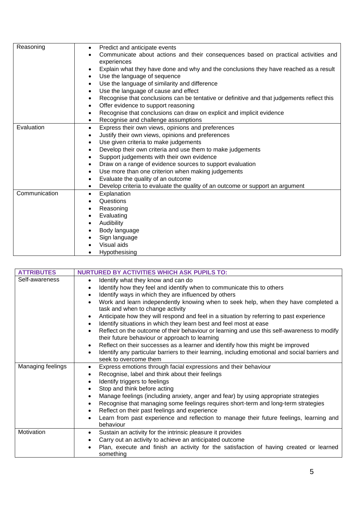| Reasoning     | Predict and anticipate events<br>$\bullet$                                                              |
|---------------|---------------------------------------------------------------------------------------------------------|
|               | Communicate about actions and their consequences based on practical activities and<br>$\bullet$         |
|               | experiences                                                                                             |
|               | Explain what they have done and why and the conclusions they have reached as a result<br>$\bullet$      |
|               | Use the language of sequence<br>$\bullet$                                                               |
|               | Use the language of similarity and difference<br>$\bullet$                                              |
|               | Use the language of cause and effect<br>$\bullet$                                                       |
|               | Recognise that conclusions can be tentative or definitive and that judgements reflect this<br>$\bullet$ |
|               | Offer evidence to support reasoning<br>$\bullet$                                                        |
|               | Recognise that conclusions can draw on explicit and implicit evidence<br>$\bullet$                      |
|               | Recognise and challenge assumptions<br>٠                                                                |
| Evaluation    | Express their own views, opinions and preferences<br>$\bullet$                                          |
|               | Justify their own views, opinions and preferences<br>$\bullet$                                          |
|               | Use given criteria to make judgements<br>$\bullet$                                                      |
|               | Develop their own criteria and use them to make judgements<br>$\bullet$                                 |
|               | Support judgements with their own evidence<br>$\bullet$                                                 |
|               | Draw on a range of evidence sources to support evaluation<br>$\bullet$                                  |
|               | Use more than one criterion when making judgements<br>$\bullet$                                         |
|               | Evaluate the quality of an outcome<br>$\bullet$                                                         |
|               | Develop criteria to evaluate the quality of an outcome or support an argument                           |
| Communication | Explanation<br>$\bullet$                                                                                |
|               | Questions<br>$\bullet$                                                                                  |
|               | Reasoning<br>$\bullet$                                                                                  |
|               | Evaluating<br>$\bullet$                                                                                 |
|               | Audibility<br>$\bullet$                                                                                 |
|               | Body language<br>$\bullet$                                                                              |
|               | Sign language                                                                                           |
|               | Visual aids                                                                                             |
|               | Hypothesising                                                                                           |
|               |                                                                                                         |

| <b>ATTRIBUTES</b>            | <b>NURTURED BY ACTIVITIES WHICH ASK PUPILS TO:</b>                                                                                                                          |  |  |  |
|------------------------------|-----------------------------------------------------------------------------------------------------------------------------------------------------------------------------|--|--|--|
| Self-awareness               | Identify what they know and can do<br>$\bullet$                                                                                                                             |  |  |  |
|                              | Identify how they feel and identify when to communicate this to others                                                                                                      |  |  |  |
|                              | Identify ways in which they are influenced by others                                                                                                                        |  |  |  |
|                              | Work and learn independently knowing when to seek help, when they have completed a<br>task and when to change activity                                                      |  |  |  |
|                              | Anticipate how they will respond and feel in a situation by referring to past experience<br>Identify situations in which they learn best and feel most at ease<br>$\bullet$ |  |  |  |
|                              | Reflect on the outcome of their behaviour or learning and use this self-awareness to modify<br>$\bullet$<br>their future behaviour or approach to learning                  |  |  |  |
|                              | Reflect on their successes as a learner and identify how this might be improved<br>$\bullet$                                                                                |  |  |  |
|                              | Identify any particular barriers to their learning, including emotional and social barriers and<br>$\bullet$<br>seek to overcome them                                       |  |  |  |
| Managing feelings            | Express emotions through facial expressions and their behaviour<br>٠                                                                                                        |  |  |  |
|                              | Recognise, label and think about their feelings<br>$\bullet$                                                                                                                |  |  |  |
|                              | Identify triggers to feelings<br>$\bullet$                                                                                                                                  |  |  |  |
| Stop and think before acting |                                                                                                                                                                             |  |  |  |
|                              | Manage feelings (including anxiety, anger and fear) by using appropriate strategies                                                                                         |  |  |  |
|                              | Recognise that managing some feelings requires short-term and long-term strategies                                                                                          |  |  |  |
|                              | Reflect on their past feelings and experience                                                                                                                               |  |  |  |
|                              | Learn from past experience and reflection to manage their future feelings, learning and<br>$\bullet$<br>behaviour                                                           |  |  |  |
| Motivation                   | Sustain an activity for the intrinsic pleasure it provides<br>$\bullet$                                                                                                     |  |  |  |
|                              | Carry out an activity to achieve an anticipated outcome<br>$\bullet$                                                                                                        |  |  |  |
|                              | Plan, execute and finish an activity for the satisfaction of having created or learned<br>something                                                                         |  |  |  |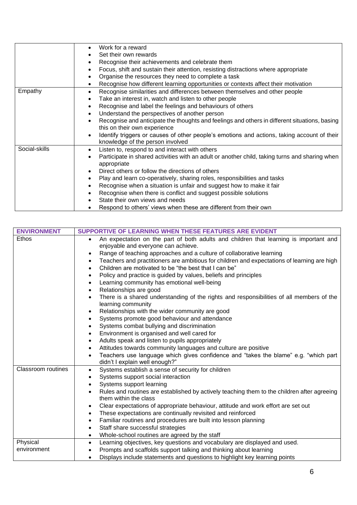|               | Work for a reward                                                                                                               |  |
|---------------|---------------------------------------------------------------------------------------------------------------------------------|--|
|               | Set their own rewards                                                                                                           |  |
|               | Recognise their achievements and celebrate them                                                                                 |  |
|               | Focus, shift and sustain their attention, resisting distractions where appropriate                                              |  |
|               | Organise the resources they need to complete a task                                                                             |  |
|               | Recognise how different learning opportunities or contexts affect their motivation<br>٠                                         |  |
| Empathy       | Recognise similarities and differences between themselves and other people<br>$\bullet$                                         |  |
|               | Take an interest in, watch and listen to other people                                                                           |  |
|               | Recognise and label the feelings and behaviours of others                                                                       |  |
|               | Understand the perspectives of another person                                                                                   |  |
|               | Recognise and anticipate the thoughts and feelings and others in different situations, basing                                   |  |
|               | this on their own experience                                                                                                    |  |
|               | Identify triggers or causes of other people's emotions and actions, taking account of their<br>knowledge of the person involved |  |
| Social-skills | Listen to, respond to and interact with others                                                                                  |  |
|               | Participate in shared activities with an adult or another child, taking turns and sharing when                                  |  |
|               | appropriate                                                                                                                     |  |
|               | Direct others or follow the directions of others                                                                                |  |
|               | Play and learn co-operatively, sharing roles, responsibilities and tasks                                                        |  |
|               | Recognise when a situation is unfair and suggest how to make it fair                                                            |  |
|               | Recognise when there is conflict and suggest possible solutions                                                                 |  |
|               | State their own views and needs                                                                                                 |  |
|               | Respond to others' views when these are different from their own                                                                |  |

| <b>ENVIRONMENT</b>        | SUPPORTIVE OF LEARNING WHEN THESE FEATURES ARE EVIDENT                                                                                    |  |  |
|---------------------------|-------------------------------------------------------------------------------------------------------------------------------------------|--|--|
| Ethos                     | An expectation on the part of both adults and children that learning is important and<br>$\bullet$<br>enjoyable and everyone can achieve. |  |  |
|                           | Range of teaching approaches and a culture of collaborative learning<br>$\bullet$                                                         |  |  |
|                           | Teachers and practitioners are ambitious for children and expectations of learning are high<br>٠                                          |  |  |
|                           | Children are motivated to be "the best that I can be"<br>$\bullet$                                                                        |  |  |
|                           | Policy and practice is guided by values, beliefs and principles<br>$\bullet$                                                              |  |  |
|                           | Learning community has emotional well-being<br>$\bullet$                                                                                  |  |  |
|                           | Relationships are good<br>$\bullet$                                                                                                       |  |  |
|                           | There is a shared understanding of the rights and responsibilities of all members of the<br>$\bullet$<br>learning community               |  |  |
|                           | Relationships with the wider community are good<br>$\bullet$                                                                              |  |  |
|                           | Systems promote good behaviour and attendance<br>$\bullet$                                                                                |  |  |
|                           | Systems combat bullying and discrimination                                                                                                |  |  |
|                           | Environment is organised and well cared for                                                                                               |  |  |
|                           | Adults speak and listen to pupils appropriately<br>٠                                                                                      |  |  |
|                           | Attitudes towards community languages and culture are positive<br>$\bullet$                                                               |  |  |
|                           | Teachers use language which gives confidence and "takes the blame" e.g. "which part<br>$\bullet$<br>didn't I explain well enough?"        |  |  |
| <b>Classroom</b> routines | Systems establish a sense of security for children<br>$\bullet$                                                                           |  |  |
|                           | Systems support social interaction<br>$\bullet$                                                                                           |  |  |
|                           | Systems support learning<br>$\bullet$                                                                                                     |  |  |
|                           | Rules and routines are established by actively teaching them to the children after agreeing                                               |  |  |
|                           | them within the class                                                                                                                     |  |  |
|                           | Clear expectations of appropriate behaviour, attitude and work effort are set out<br>$\bullet$                                            |  |  |
|                           | These expectations are continually revisited and reinforced<br>$\bullet$                                                                  |  |  |
|                           | Familiar routines and procedures are built into lesson planning<br>$\bullet$                                                              |  |  |
|                           | Staff share successful strategies<br>$\bullet$                                                                                            |  |  |
|                           | Whole-school routines are agreed by the staff<br>$\bullet$                                                                                |  |  |
| Physical                  | Learning objectives, key questions and vocabulary are displayed and used.<br>$\bullet$                                                    |  |  |
| environment               | Prompts and scaffolds support talking and thinking about learning                                                                         |  |  |
|                           | Displays include statements and questions to highlight key learning points                                                                |  |  |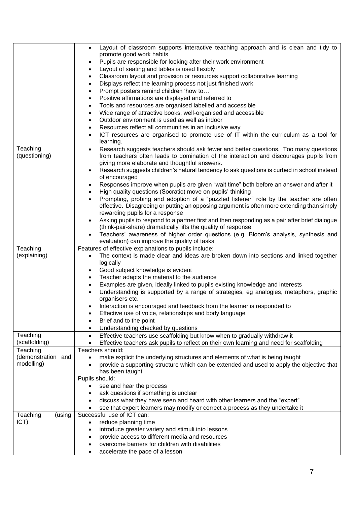|                                                                                   | Layout of classroom supports interactive teaching approach and is clean and tidy to<br>$\bullet$                                 |
|-----------------------------------------------------------------------------------|----------------------------------------------------------------------------------------------------------------------------------|
|                                                                                   | promote good work habits                                                                                                         |
|                                                                                   | Pupils are responsible for looking after their work environment<br>٠                                                             |
|                                                                                   | Layout of seating and tables is used flexibly                                                                                    |
|                                                                                   | Classroom layout and provision or resources support collaborative learning                                                       |
|                                                                                   | Displays reflect the learning process not just finished work                                                                     |
|                                                                                   | Prompt posters remind children 'how to'                                                                                          |
|                                                                                   | Positive affirmations are displayed and referred to                                                                              |
|                                                                                   | Tools and resources are organised labelled and accessible                                                                        |
|                                                                                   | Wide range of attractive books, well-organised and accessible                                                                    |
|                                                                                   | Outdoor environment is used as well as indoor                                                                                    |
| Resources reflect all communities in an inclusive way<br>$\bullet$                |                                                                                                                                  |
|                                                                                   | ICT resources are organised to promote use of IT within the curriculum as a tool for<br>$\bullet$<br>learning.                   |
| Teaching                                                                          | Research suggests teachers should ask fewer and better questions. Too many questions<br>$\bullet$                                |
| (questioning)                                                                     | from teachers often leads to domination of the interaction and discourages pupils from                                           |
|                                                                                   | giving more elaborate and thoughtful answers.                                                                                    |
|                                                                                   | Research suggests children's natural tendency to ask questions is curbed in school instead<br>$\bullet$                          |
|                                                                                   | of encouraged                                                                                                                    |
|                                                                                   | Responses improve when pupils are given "wait time" both before an answer and after it<br>$\bullet$                              |
|                                                                                   | High quality questions (Socratic) move on pupils' thinking                                                                       |
|                                                                                   | Prompting, probing and adoption of a "puzzled listener" role by the teacher are often                                            |
|                                                                                   | effective. Disagreeing or putting an opposing argument is often more extending than simply                                       |
|                                                                                   | rewarding pupils for a response                                                                                                  |
|                                                                                   | Asking pupils to respond to a partner first and then responding as a pair after brief dialogue<br>$\bullet$                      |
|                                                                                   | (think-pair-share) dramatically lifts the quality of response                                                                    |
|                                                                                   | Teachers' awareness of higher order questions (e.g. Bloom's analysis, synthesis and                                              |
|                                                                                   | evaluation) can improve the quality of tasks                                                                                     |
| Teaching<br>Features of effective explanations to pupils include:<br>(explaining) |                                                                                                                                  |
|                                                                                   | The context is made clear and ideas are broken down into sections and linked together<br>logically                               |
|                                                                                   | Good subject knowledge is evident<br>$\bullet$                                                                                   |
|                                                                                   | Teacher adapts the material to the audience<br>$\bullet$                                                                         |
|                                                                                   | Examples are given, ideally linked to pupils existing knowledge and interests                                                    |
|                                                                                   | Understanding is supported by a range of strategies, eg analogies, metaphors, graphic                                            |
|                                                                                   | organisers etc.                                                                                                                  |
|                                                                                   | Interaction is encouraged and feedback from the learner is responded to                                                          |
|                                                                                   | Effective use of voice, relationships and body language<br>$\bullet$                                                             |
|                                                                                   | Brief and to the point                                                                                                           |
|                                                                                   | Understanding checked by questions                                                                                               |
| Teaching                                                                          | Effective teachers use scaffolding but know when to gradually withdraw it<br>$\bullet$                                           |
| (scaffolding)                                                                     | Effective teachers ask pupils to reflect on their own learning and need for scaffolding                                          |
| Teaching                                                                          | Teachers should:                                                                                                                 |
| (demonstration and                                                                | make explicit the underlying structures and elements of what is being taught<br>$\bullet$                                        |
| modelling)                                                                        | provide a supporting structure which can be extended and used to apply the objective that                                        |
|                                                                                   | has been taught                                                                                                                  |
|                                                                                   | Pupils should:                                                                                                                   |
|                                                                                   | see and hear the process                                                                                                         |
|                                                                                   | ask questions if something is unclear<br>$\bullet$<br>discuss what they have seen and heard with other learners and the "expert" |
|                                                                                   | see that expert learners may modify or correct a process as they undertake it                                                    |
| Teaching<br>(using                                                                | Successful use of ICT can:                                                                                                       |
| ICT)                                                                              | reduce planning time<br>$\bullet$                                                                                                |
|                                                                                   | introduce greater variety and stimuli into lessons<br>$\bullet$                                                                  |
|                                                                                   | provide access to different media and resources                                                                                  |
|                                                                                   | overcome barriers for children with disabilities                                                                                 |
|                                                                                   | accelerate the pace of a lesson                                                                                                  |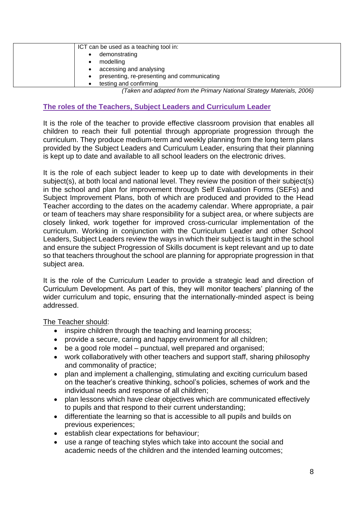| ICT can be used as a teaching tool in:      |
|---------------------------------------------|
| demonstrating                               |
| modelling                                   |
| accessing and analysing                     |
| presenting, re-presenting and communicating |
| testing and confirming                      |

*(Taken and adapted from the Primary National Strategy Materials, 2006)*

#### **The roles of the Teachers, Subject Leaders and Curriculum Leader**

It is the role of the teacher to provide effective classroom provision that enables all children to reach their full potential through appropriate progression through the curriculum. They produce medium-term and weekly planning from the long term plans provided by the Subject Leaders and Curriculum Leader, ensuring that their planning is kept up to date and available to all school leaders on the electronic drives.

It is the role of each subject leader to keep up to date with developments in their subject(s), at both local and national level. They review the position of their subject(s) in the school and plan for improvement through Self Evaluation Forms (SEFs) and Subject Improvement Plans, both of which are produced and provided to the Head Teacher according to the dates on the academy calendar. Where appropriate, a pair or team of teachers may share responsibility for a subject area, or where subjects are closely linked, work together for improved cross-curricular implementation of the curriculum. Working in conjunction with the Curriculum Leader and other School Leaders, Subject Leaders review the ways in which their subject is taught in the school and ensure the subject Progression of Skills document is kept relevant and up to date so that teachers throughout the school are planning for appropriate progression in that subject area.

It is the role of the Curriculum Leader to provide a strategic lead and direction of Curriculum Development. As part of this, they will monitor teachers' planning of the wider curriculum and topic, ensuring that the internationally-minded aspect is being addressed.

The Teacher should:

- inspire children through the teaching and learning process;
- provide a secure, caring and happy environment for all children;
- be a good role model punctual, well prepared and organised;
- work collaboratively with other teachers and support staff, sharing philosophy and commonality of practice;
- plan and implement a challenging, stimulating and exciting curriculum based on the teacher's creative thinking, school's policies, schemes of work and the individual needs and response of all children;
- plan lessons which have clear objectives which are communicated effectively to pupils and that respond to their current understanding;
- differentiate the learning so that is accessible to all pupils and builds on previous experiences;
- establish clear expectations for behaviour;
- use a range of teaching styles which take into account the social and academic needs of the children and the intended learning outcomes;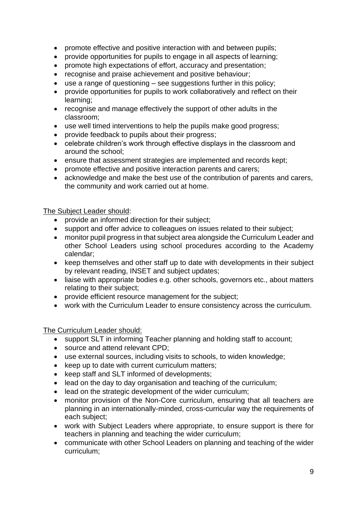- promote effective and positive interaction with and between pupils;
- provide opportunities for pupils to engage in all aspects of learning;
- promote high expectations of effort, accuracy and presentation;
- recognise and praise achievement and positive behaviour;
- use a range of questioning see suggestions further in this policy;
- provide opportunities for pupils to work collaboratively and reflect on their learning;
- recognise and manage effectively the support of other adults in the classroom;
- use well timed interventions to help the pupils make good progress;
- provide feedback to pupils about their progress;
- celebrate children's work through effective displays in the classroom and around the school;
- ensure that assessment strategies are implemented and records kept;
- promote effective and positive interaction parents and carers;
- acknowledge and make the best use of the contribution of parents and carers, the community and work carried out at home.

# The Subject Leader should:

- provide an informed direction for their subject;
- support and offer advice to colleagues on issues related to their subject;
- monitor pupil progress in that subject area alongside the Curriculum Leader and other School Leaders using school procedures according to the Academy calendar;
- keep themselves and other staff up to date with developments in their subject by relevant reading, INSET and subject updates;
- liaise with appropriate bodies e.g. other schools, governors etc., about matters relating to their subject;
- provide efficient resource management for the subject;
- work with the Curriculum Leader to ensure consistency across the curriculum.

# The Curriculum Leader should:

- support SLT in informing Teacher planning and holding staff to account;
- source and attend relevant CPD;
- use external sources, including visits to schools, to widen knowledge;
- keep up to date with current curriculum matters;
- keep staff and SLT informed of developments;
- lead on the day to day organisation and teaching of the curriculum;
- lead on the strategic development of the wider curriculum;
- monitor provision of the Non-Core curriculum, ensuring that all teachers are planning in an internationally-minded, cross-curricular way the requirements of each subject;
- work with Subject Leaders where appropriate, to ensure support is there for teachers in planning and teaching the wider curriculum;
- communicate with other School Leaders on planning and teaching of the wider curriculum;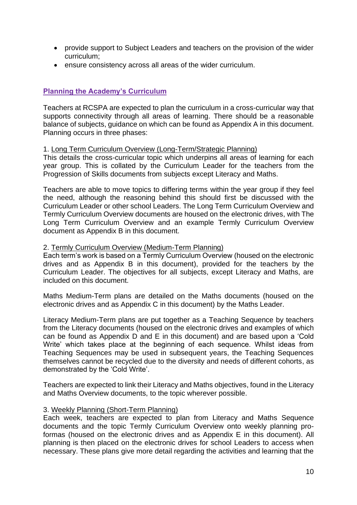- provide support to Subject Leaders and teachers on the provision of the wider curriculum;
- ensure consistency across all areas of the wider curriculum.

# **Planning the Academy's Curriculum**

Teachers at RCSPA are expected to plan the curriculum in a cross-curricular way that supports connectivity through all areas of learning. There should be a reasonable balance of subjects, guidance on which can be found as Appendix A in this document. Planning occurs in three phases:

#### 1. Long Term Curriculum Overview (Long-Term/Strategic Planning)

This details the cross-curricular topic which underpins all areas of learning for each year group. This is collated by the Curriculum Leader for the teachers from the Progression of Skills documents from subjects except Literacy and Maths.

Teachers are able to move topics to differing terms within the year group if they feel the need, although the reasoning behind this should first be discussed with the Curriculum Leader or other school Leaders. The Long Term Curriculum Overview and Termly Curriculum Overview documents are housed on the electronic drives, with The Long Term Curriculum Overview and an example Termly Curriculum Overview document as Appendix B in this document.

#### 2. Termly Curriculum Overview (Medium-Term Planning)

Each term's work is based on a Termly Curriculum Overview (housed on the electronic drives and as Appendix B in this document), provided for the teachers by the Curriculum Leader. The objectives for all subjects, except Literacy and Maths, are included on this document.

Maths Medium-Term plans are detailed on the Maths documents (housed on the electronic drives and as Appendix C in this document) by the Maths Leader.

Literacy Medium-Term plans are put together as a Teaching Sequence by teachers from the Literacy documents (housed on the electronic drives and examples of which can be found as Appendix D and E in this document) and are based upon a 'Cold Write' which takes place at the beginning of each sequence. Whilst ideas from Teaching Sequences may be used in subsequent years, the Teaching Sequences themselves cannot be recycled due to the diversity and needs of different cohorts, as demonstrated by the 'Cold Write'.

Teachers are expected to link their Literacy and Maths objectives, found in the Literacy and Maths Overview documents, to the topic wherever possible.

#### 3. Weekly Planning (Short-Term Planning)

Each week, teachers are expected to plan from Literacy and Maths Sequence documents and the topic Termly Curriculum Overview onto weekly planning proformas (housed on the electronic drives and as Appendix E in this document). All planning is then placed on the electronic drives for school Leaders to access when necessary. These plans give more detail regarding the activities and learning that the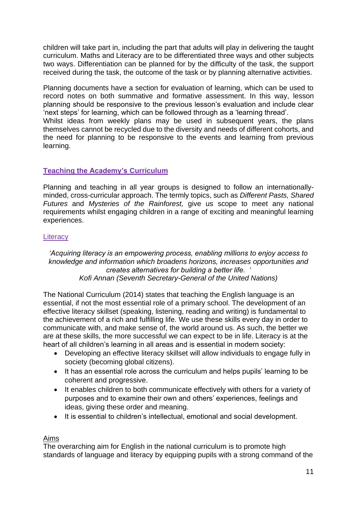children will take part in, including the part that adults will play in delivering the taught curriculum. Maths and Literacy are to be differentiated three ways and other subjects two ways. Differentiation can be planned for by the difficulty of the task, the support received during the task, the outcome of the task or by planning alternative activities.

Planning documents have a section for evaluation of learning, which can be used to record notes on both summative and formative assessment. In this way, lesson planning should be responsive to the previous lesson's evaluation and include clear 'next steps' for learning, which can be followed through as a 'learning thread'. Whilst ideas from weekly plans may be used in subsequent years, the plans

themselves cannot be recycled due to the diversity and needs of different cohorts, and the need for planning to be responsive to the events and learning from previous learning.

# **Teaching the Academy's Curriculum**

Planning and teaching in all year groups is designed to follow an internationallyminded, cross-curricular approach. The termly topics, such as *Different Pasts, Shared Futures* and *Mysteries of the Rainforest,* give us scope to meet any national requirements whilst engaging children in a range of exciting and meaningful learning experiences.

#### **Literacy**

*'Acquiring literacy is an empowering process, enabling millions to enjoy access to knowledge and information which broadens horizons, increases opportunities and creates alternatives for building a better life. ' Kofi Annan (Seventh Secretary-General of the United Nations)*

The National Curriculum (2014) states that teaching the English language is an essential, if not the most essential role of a primary school. The development of an effective literacy skillset (speaking, listening, reading and writing) is fundamental to the achievement of a rich and fulfilling life. We use these skills every day in order to communicate with, and make sense of, the world around us. As such, the better we are at these skills, the more successful we can expect to be in life. Literacy is at the heart of all children's learning in all areas and is essential in modern society:

- Developing an effective literacy skillset will allow individuals to engage fully in society (becoming global citizens).
- It has an essential role across the curriculum and helps pupils' learning to be coherent and progressive.
- It enables children to both communicate effectively with others for a variety of purposes and to examine their own and others' experiences, feelings and ideas, giving these order and meaning.
- It is essential to children's intellectual, emotional and social development.

#### Aims

The overarching aim for English in the national curriculum is to promote high standards of language and literacy by equipping pupils with a strong command of the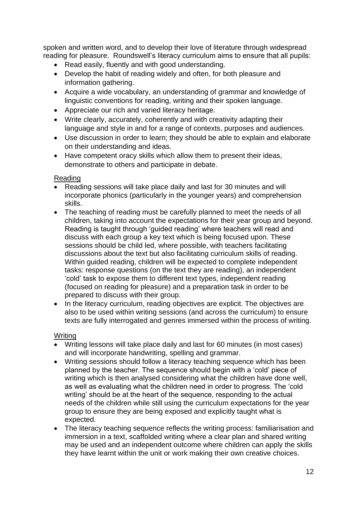spoken and written word, and to develop their love of literature through widespread reading for pleasure. Roundswell's literacy curriculum aims to ensure that all pupils:

- Read easily, fluently and with good understanding.
- Develop the habit of reading widely and often, for both pleasure and information gathering.
- Acquire a wide vocabulary, an understanding of grammar and knowledge of linguistic conventions for reading, writing and their spoken language.
- Appreciate our rich and varied literacy heritage.
- Write clearly, accurately, coherently and with creativity adapting their language and style in and for a range of contexts, purposes and audiences.
- Use discussion in order to learn; they should be able to explain and elaborate on their understanding and ideas.
- Have competent oracy skills which allow them to present their ideas, demonstrate to others and participate in debate.

# Reading

- Reading sessions will take place daily and last for 30 minutes and will incorporate phonics (particularly in the younger years) and comprehension skills.
- The teaching of reading must be carefully planned to meet the needs of all children, taking into account the expectations for their year group and beyond. Reading is taught through 'guided reading' where teachers will read and discuss with each group a key text which is being focused upon. These sessions should be child led, where possible, with teachers facilitating discussions about the text but also facilitating curriculum skills of reading. Within guided reading, children will be expected to complete independent tasks: response questions (on the text they are reading), an independent 'cold' task to expose them to different text types, independent reading (focused on reading for pleasure) and a preparation task in order to be prepared to discuss with their group.
- In the literacy curriculum, reading objectives are explicit. The objectives are also to be used within writing sessions (and across the curriculum) to ensure texts are fully interrogated and genres immersed within the process of writing.

# **Writing**

- Writing lessons will take place daily and last for 60 minutes (in most cases) and will incorporate handwriting, spelling and grammar.
- Writing sessions should follow a literacy teaching sequence which has been planned by the teacher. The sequence should begin with a 'cold' piece of writing which is then analysed considering what the children have done well, as well as evaluating what the children need in order to progress. The 'cold writing' should be at the heart of the sequence, responding to the actual needs of the children while still using the curriculum expectations for the year group to ensure they are being exposed and explicitly taught what is expected.
- The literacy teaching sequence reflects the writing process: familiarisation and immersion in a text, scaffolded writing where a clear plan and shared writing may be used and an independent outcome where children can apply the skills they have learnt within the unit or work making their own creative choices.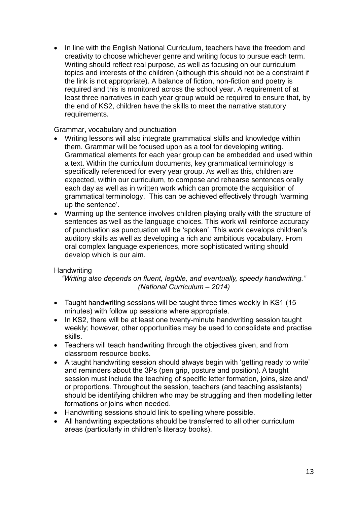• In line with the English National Curriculum, teachers have the freedom and creativity to choose whichever genre and writing focus to pursue each term. Writing should reflect real purpose, as well as focusing on our curriculum topics and interests of the children (although this should not be a constraint if the link is not appropriate). A balance of fiction, non-fiction and poetry is required and this is monitored across the school year. A requirement of at least three narratives in each year group would be required to ensure that, by the end of KS2, children have the skills to meet the narrative statutory requirements.

#### Grammar, vocabulary and punctuation

- Writing lessons will also integrate grammatical skills and knowledge within them. Grammar will be focused upon as a tool for developing writing. Grammatical elements for each year group can be embedded and used within a text. Within the curriculum documents, key grammatical terminology is specifically referenced for every year group. As well as this, children are expected, within our curriculum, to compose and rehearse sentences orally each day as well as in written work which can promote the acquisition of grammatical terminology. This can be achieved effectively through 'warming up the sentence'.
- Warming up the sentence involves children playing orally with the structure of sentences as well as the language choices. This work will reinforce accuracy of punctuation as punctuation will be 'spoken'. This work develops children's auditory skills as well as developing a rich and ambitious vocabulary. From oral complex language experiences, more sophisticated writing should develop which is our aim.

# Handwriting

*"Writing also depends on fluent, legible, and eventually, speedy handwriting." (National Curriculum – 2014)*

- Taught handwriting sessions will be taught three times weekly in KS1 (15 minutes) with follow up sessions where appropriate.
- In KS2, there will be at least one twenty-minute handwriting session taught weekly; however, other opportunities may be used to consolidate and practise skills.
- Teachers will teach handwriting through the objectives given, and from classroom resource books.
- A taught handwriting session should always begin with 'getting ready to write' and reminders about the 3Ps (pen grip, posture and position). A taught session must include the teaching of specific letter formation, joins, size and/ or proportions. Throughout the session, teachers (and teaching assistants) should be identifying children who may be struggling and then modelling letter formations or joins when needed.
- Handwriting sessions should link to spelling where possible.
- All handwriting expectations should be transferred to all other curriculum areas (particularly in children's literacy books).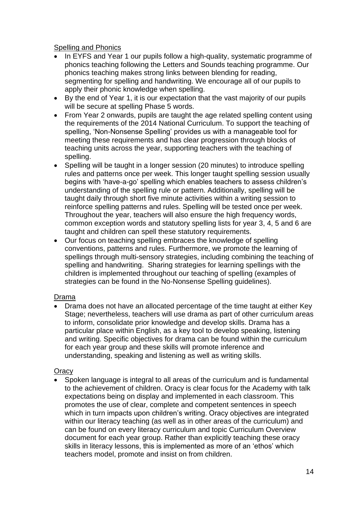#### Spelling and Phonics

- In EYFS and Year 1 our pupils follow a high-quality, systematic programme of phonics teaching following the Letters and Sounds teaching programme. Our phonics teaching makes strong links between blending for reading, segmenting for spelling and handwriting. We encourage all of our pupils to apply their phonic knowledge when spelling.
- By the end of Year 1, it is our expectation that the vast majority of our pupils will be secure at spelling Phase 5 words.
- From Year 2 onwards, pupils are taught the age related spelling content using the requirements of the 2014 National Curriculum. To support the teaching of spelling, 'Non-Nonsense Spelling' provides us with a manageable tool for meeting these requirements and has clear progression through blocks of teaching units across the year, supporting teachers with the teaching of spelling.
- Spelling will be taught in a longer session (20 minutes) to introduce spelling rules and patterns once per week. This longer taught spelling session usually begins with 'have-a-go' spelling which enables teachers to assess children's understanding of the spelling rule or pattern. Additionally, spelling will be taught daily through short five minute activities within a writing session to reinforce spelling patterns and rules. Spelling will be tested once per week. Throughout the year, teachers will also ensure the high frequency words, common exception words and statutory spelling lists for year 3, 4, 5 and 6 are taught and children can spell these statutory requirements.
- Our focus on teaching spelling embraces the knowledge of spelling conventions, patterns and rules. Furthermore, we promote the learning of spellings through multi-sensory strategies, including combining the teaching of spelling and handwriting. Sharing strategies for learning spellings with the children is implemented throughout our teaching of spelling (examples of strategies can be found in the No-Nonsense Spelling guidelines).

# Drama

• Drama does not have an allocated percentage of the time taught at either Key Stage; nevertheless, teachers will use drama as part of other curriculum areas to inform, consolidate prior knowledge and develop skills. Drama has a particular place within English, as a key tool to develop speaking, listening and writing. Specific objectives for drama can be found within the curriculum for each year group and these skills will promote inference and understanding, speaking and listening as well as writing skills.

# **Oracy**

• Spoken language is integral to all areas of the curriculum and is fundamental to the achievement of children. Oracy is clear focus for the Academy with talk expectations being on display and implemented in each classroom. This promotes the use of clear, complete and competent sentences in speech which in turn impacts upon children's writing. Oracy objectives are integrated within our literacy teaching (as well as in other areas of the curriculum) and can be found on every literacy curriculum and topic Curriculum Overview document for each year group. Rather than explicitly teaching these oracy skills in literacy lessons, this is implemented as more of an 'ethos' which teachers model, promote and insist on from children.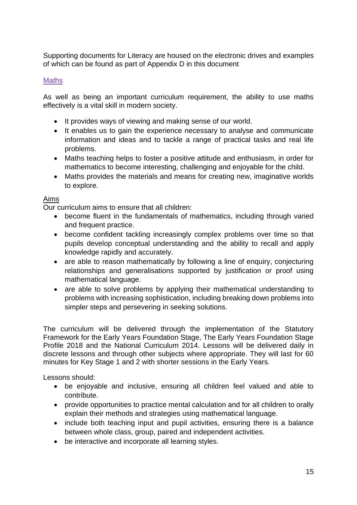Supporting documents for Literacy are housed on the electronic drives and examples of which can be found as part of Appendix D in this document

# Maths

As well as being an important curriculum requirement, the ability to use maths effectively is a vital skill in modern society.

- It provides ways of viewing and making sense of our world.
- It enables us to gain the experience necessary to analyse and communicate information and ideas and to tackle a range of practical tasks and real life problems.
- Maths teaching helps to foster a positive attitude and enthusiasm, in order for mathematics to become interesting, challenging and enjoyable for the child.
- Maths provides the materials and means for creating new, imaginative worlds to explore.

#### Aims

Our curriculum aims to ensure that all children:

- become fluent in the fundamentals of mathematics, including through varied and frequent practice.
- become confident tackling increasingly complex problems over time so that pupils develop conceptual understanding and the ability to recall and apply knowledge rapidly and accurately.
- are able to reason mathematically by following a line of enquiry, conjecturing relationships and generalisations supported by justification or proof using mathematical language.
- are able to solve problems by applying their mathematical understanding to problems with increasing sophistication, including breaking down problems into simpler steps and persevering in seeking solutions.

The curriculum will be delivered through the implementation of the Statutory Framework for the Early Years Foundation Stage, The Early Years Foundation Stage Profile 2018 and the National Curriculum 2014. Lessons will be delivered daily in discrete lessons and through other subjects where appropriate. They will last for 60 minutes for Key Stage 1 and 2 with shorter sessions in the Early Years.

Lessons should:

- be enjoyable and inclusive, ensuring all children feel valued and able to contribute.
- provide opportunities to practice mental calculation and for all children to orally explain their methods and strategies using mathematical language.
- include both teaching input and pupil activities, ensuring there is a balance between whole class, group, paired and independent activities.
- be interactive and incorporate all learning styles.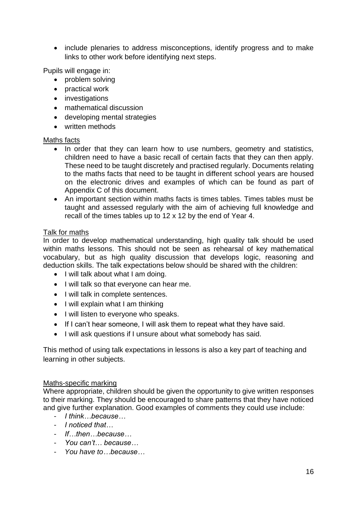• include plenaries to address misconceptions, identify progress and to make links to other work before identifying next steps.

Pupils will engage in:

- problem solving
- practical work
- investigations
- mathematical discussion
- developing mental strategies
- written methods

#### Maths facts

- In order that they can learn how to use numbers, geometry and statistics, children need to have a basic recall of certain facts that they can then apply. These need to be taught discretely and practised regularly. Documents relating to the maths facts that need to be taught in different school years are housed on the electronic drives and examples of which can be found as part of Appendix C of this document.
- An important section within maths facts is times tables. Times tables must be taught and assessed regularly with the aim of achieving full knowledge and recall of the times tables up to 12 x 12 by the end of Year 4.

#### Talk for maths

In order to develop mathematical understanding, high quality talk should be used within maths lessons. This should not be seen as rehearsal of key mathematical vocabulary, but as high quality discussion that develops logic, reasoning and deduction skills. The talk expectations below should be shared with the children:

- I will talk about what I am doing.
- I will talk so that everyone can hear me.
- I will talk in complete sentences.
- I will explain what I am thinking
- I will listen to everyone who speaks.
- If I can't hear someone, I will ask them to repeat what they have said.
- I will ask questions if I unsure about what somebody has said.

This method of using talk expectations in lessons is also a key part of teaching and learning in other subjects.

#### Maths-specific marking

Where appropriate, children should be given the opportunity to give written responses to their marking. They should be encouraged to share patterns that they have noticed and give further explanation. Good examples of comments they could use include:

- *I think…because…*
- *I noticed that…*
- *If…then…because…*
- *You can't… because…*
- *You have to…because…*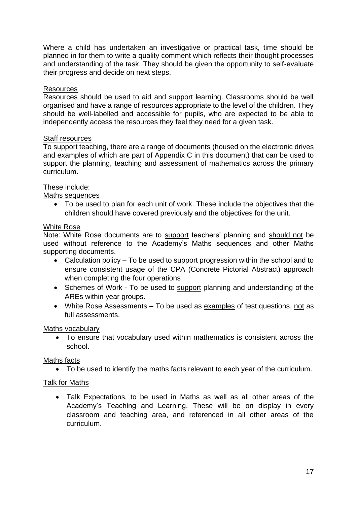Where a child has undertaken an investigative or practical task, time should be planned in for them to write a quality comment which reflects their thought processes and understanding of the task. They should be given the opportunity to self-evaluate their progress and decide on next steps.

#### **Resources**

Resources should be used to aid and support learning. Classrooms should be well organised and have a range of resources appropriate to the level of the children. They should be well-labelled and accessible for pupils, who are expected to be able to independently access the resources they feel they need for a given task.

#### **Staff resources**

To support teaching, there are a range of documents (housed on the electronic drives and examples of which are part of Appendix C in this document) that can be used to support the planning, teaching and assessment of mathematics across the primary curriculum.

#### These include:

#### Maths sequences

• To be used to plan for each unit of work. These include the objectives that the children should have covered previously and the objectives for the unit.

#### White Rose

Note: White Rose documents are to support teachers' planning and should not be used without reference to the Academy's Maths sequences and other Maths supporting documents.

- Calculation policy To be used to support progression within the school and to ensure consistent usage of the CPA (Concrete Pictorial Abstract) approach when completing the four operations
- Schemes of Work To be used to support planning and understanding of the AREs within year groups.
- White Rose Assessments To be used as examples of test questions, not as full assessments.

#### Maths vocabulary

• To ensure that vocabulary used within mathematics is consistent across the school.

#### Maths facts

• To be used to identify the maths facts relevant to each year of the curriculum.

# Talk for Maths

• Talk Expectations, to be used in Maths as well as all other areas of the Academy's Teaching and Learning. These will be on display in every classroom and teaching area, and referenced in all other areas of the curriculum.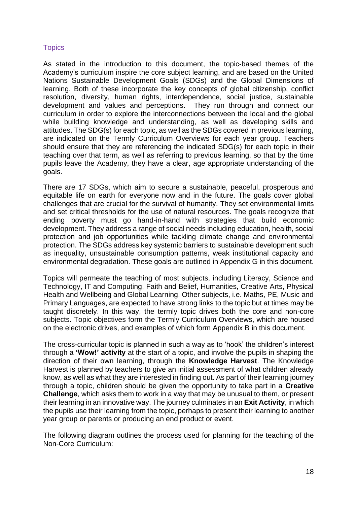### **Topics**

As stated in the introduction to this document, the topic-based themes of the Academy's curriculum inspire the core subject learning, and are based on the United Nations Sustainable Development Goals (SDGs) and the Global Dimensions of learning. Both of these incorporate the key concepts of global citizenship, conflict resolution, diversity, human rights, interdependence, social justice, sustainable development and values and perceptions. They run through and connect our curriculum in order to explore the interconnections between the local and the global while building knowledge and understanding, as well as developing skills and attitudes. The SDG(s) for each topic, as well as the SDGs covered in previous learning, are indicated on the Termly Curriculum Overviews for each year group. Teachers should ensure that they are referencing the indicated SDG(s) for each topic in their teaching over that term, as well as referring to previous learning, so that by the time pupils leave the Academy, they have a clear, age appropriate understanding of the goals.

There are 17 SDGs, which aim to secure a sustainable, peaceful, prosperous and equitable life on earth for everyone now and in the future. The goals cover global challenges that are crucial for the survival of humanity. They set environmental limits and set critical thresholds for the use of natural resources. The goals recognize that ending poverty must go hand-in-hand with strategies that build economic development. They address a range of social needs including education, health, social protection and job opportunities while tackling climate change and environmental protection. The SDGs address key systemic barriers to sustainable development such as inequality, unsustainable consumption patterns, weak institutional capacity and environmental degradation. These goals are outlined in Appendix G in this document.

Topics will permeate the teaching of most subjects, including Literacy, Science and Technology, IT and Computing, Faith and Belief, Humanities, Creative Arts, Physical Health and Wellbeing and Global Learning. Other subjects, i.e. Maths, PE, Music and Primary Languages, are expected to have strong links to the topic but at times may be taught discretely. In this way, the termly topic drives both the core and non-core subjects. Topic objectives form the Termly Curriculum Overviews, which are housed on the electronic drives, and examples of which form Appendix B in this document.

The cross-curricular topic is planned in such a way as to 'hook' the children's interest through a **'Wow!' activity** at the start of a topic, and involve the pupils in shaping the direction of their own learning, through the **Knowledge Harvest**. The Knowledge Harvest is planned by teachers to give an initial assessment of what children already know, as well as what they are interested in finding out. As part of their learning journey through a topic, children should be given the opportunity to take part in a **Creative Challenge**, which asks them to work in a way that may be unusual to them, or present their learning in an innovative way. The journey culminates in an **Exit Activity**, in which the pupils use their learning from the topic, perhaps to present their learning to another year group or parents or producing an end product or event.

The following diagram outlines the process used for planning for the teaching of the Non-Core Curriculum: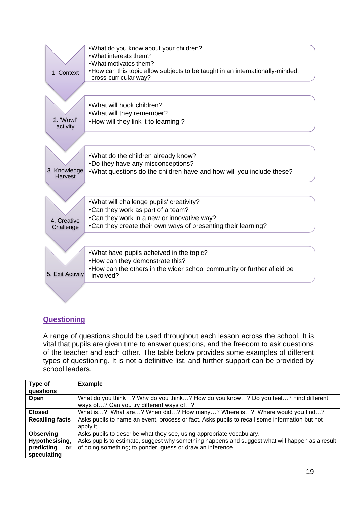|                          | . What do you know about your children?                                              |
|--------------------------|--------------------------------------------------------------------------------------|
|                          | . What interests them?                                                               |
|                          | . What motivates them?                                                               |
| 1. Context               | • How can this topic allow subjects to be taught in an internationally-minded,       |
|                          | cross-curricular way?                                                                |
|                          |                                                                                      |
|                          |                                                                                      |
|                          | . What will hook children?                                                           |
|                          | . What will they remember?                                                           |
| 2. 'Wow!'                | • How will they link it to learning?                                                 |
| activity                 |                                                                                      |
|                          |                                                                                      |
|                          |                                                                                      |
|                          | . What do the children already know?                                                 |
|                          | . Do they have any misconceptions?                                                   |
| 3. Knowledge             | . What questions do the children have and how will you include these?                |
| <b>Harvest</b>           |                                                                                      |
|                          |                                                                                      |
|                          |                                                                                      |
|                          | . What will challenge pupils' creativity?                                            |
|                          | •Can they work as part of a team?                                                    |
|                          | •Can they work in a new or innovative way?                                           |
| 4. Creative<br>Challenge | •Can they create their own ways of presenting their learning?                        |
|                          |                                                                                      |
|                          |                                                                                      |
|                          |                                                                                      |
|                          | . What have pupils acheived in the topic?                                            |
|                          | • How can they demonstrate this?                                                     |
| 5. Exit Activity         | . How can the others in the wider school community or further afield be<br>involved? |
|                          |                                                                                      |
|                          |                                                                                      |
|                          |                                                                                      |
|                          |                                                                                      |

# **Questioning**

A range of questions should be used throughout each lesson across the school. It is vital that pupils are given time to answer questions, and the freedom to ask questions of the teacher and each other. The table below provides some examples of different types of questioning. It is not a definitive list, and further support can be provided by school leaders.

| Type of<br>questions   | <b>Example</b>                                                                                                               |  |
|------------------------|------------------------------------------------------------------------------------------------------------------------------|--|
| Open                   | What do you think? Why do you think? How do you know? Do you feel? Find different<br>ways of? Can you try different ways of? |  |
| <b>Closed</b>          | What is? What are? When did? How many? Where is? Where would you find?                                                       |  |
| <b>Recalling facts</b> | Asks pupils to name an event, process or fact. Asks pupils to recall some information but not                                |  |
|                        | apply it.                                                                                                                    |  |
| <b>Observing</b>       | Asks pupils to describe what they see, using appropriate vocabulary.                                                         |  |
| Hypothesising,         | Asks pupils to estimate, suggest why something happens and suggest what will happen as a result                              |  |
| predicting<br>or       | of doing something; to ponder, guess or draw an inference.                                                                   |  |
| speculating            |                                                                                                                              |  |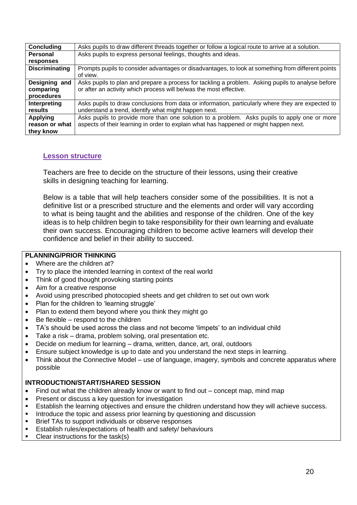| Concluding            | Asks pupils to draw different threads together or follow a logical route to arrive at a solution.  |  |
|-----------------------|----------------------------------------------------------------------------------------------------|--|
| Personal              | Asks pupils to express personal feelings, thoughts and ideas.                                      |  |
| responses             |                                                                                                    |  |
| <b>Discriminating</b> | Prompts pupils to consider advantages or disadvantages, to look at something from different points |  |
|                       | of view.                                                                                           |  |
| Designing and         | Asks pupils to plan and prepare a process for tackling a problem. Asking pupils to analyse before  |  |
| comparing             | or after an activity which process will be/was the most effective.                                 |  |
| procedures            |                                                                                                    |  |
| Interpreting          | Asks pupils to draw conclusions from data or information, particularly where they are expected to  |  |
| results               | understand a trend, identify what might happen next.                                               |  |
| <b>Applying</b>       | Asks pupils to provide more than one solution to a problem. Asks pupils to apply one or more       |  |
| reason or what        | aspects of their learning in order to explain what has happened or might happen next.              |  |
| they know             |                                                                                                    |  |

#### **Lesson structure**

Teachers are free to decide on the structure of their lessons, using their creative skills in designing teaching for learning.

Below is a table that will help teachers consider some of the possibilities. It is not a definitive list or a prescribed structure and the elements and order will vary according to what is being taught and the abilities and response of the children. One of the key ideas is to help children begin to take responsibility for their own learning and evaluate their own success. Encouraging children to become active learners will develop their confidence and belief in their ability to succeed.

### **PLANNING/PRIOR THINKING**

- Where are the children at?
- Try to place the intended learning in context of the real world
- Think of good thought provoking starting points
- Aim for a creative response
- Avoid using prescribed photocopied sheets and get children to set out own work
- Plan for the children to 'learning struggle'
- Plan to extend them beyond where you think they might go
- Be flexible respond to the children
- TA's should be used across the class and not become 'limpets' to an individual child
- Take a risk drama, problem solving, oral presentation etc.
- Decide on medium for learning drama, written, dance, art, oral, outdoors
- Ensure subject knowledge is up to date and you understand the next steps in learning.
- Think about the Connective Model use of language, imagery, symbols and concrete apparatus where possible

#### **INTRODUCTION/START/SHARED SESSION**

- Find out what the children already know or want to find out concept map, mind map
- Present or discuss a key question for investigation
- Establish the learning objectives and ensure the children understand how they will achieve success.
- **■** Introduce the topic and assess prior learning by questioning and discussion
- Brief TAs to support individuals or observe responses
- **E** Establish rules/expectations of health and safety/ behaviours
- Clear instructions for the task(s)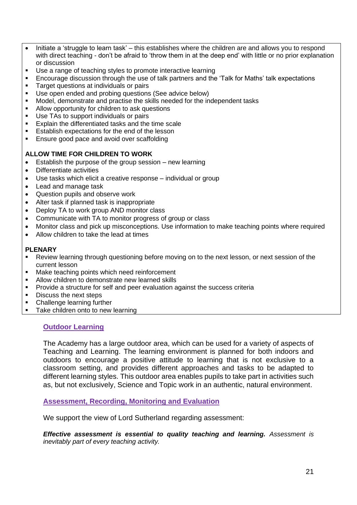- Initiate a 'struggle to learn task' this establishes where the children are and allows you to respond with direct teaching - don't be afraid to 'throw them in at the deep end' with little or no prior explanation or discussion
- Use a range of teaching styles to promote interactive learning
- Encourage discussion through the use of talk partners and the 'Talk for Maths' talk expectations
- **EXECUTE:** Target questions at individuals or pairs
- Use open ended and probing questions (See advice below)
- Model, demonstrate and practise the skills needed for the independent tasks
- Allow opportunity for children to ask questions
- Use TAs to support individuals or pairs
- Explain the differentiated tasks and the time scale
- Establish expectations for the end of the lesson
- Ensure good pace and avoid over scaffolding

#### **ALLOW TIME FOR CHILDREN TO WORK**

- Establish the purpose of the group session new learning
- Differentiate activities
- Use tasks which elicit a creative response individual or group
- Lead and manage task
- Question pupils and observe work
- Alter task if planned task is inappropriate
- Deploy TA to work group AND monitor class
- Communicate with TA to monitor progress of group or class
- Monitor class and pick up misconceptions. Use information to make teaching points where required
- Allow children to take the lead at times

#### **PLENARY**

- Review learning through questioning before moving on to the next lesson, or next session of the current lesson
- Make teaching points which need reinforcement
- Allow children to demonstrate new learned skills
- Provide a structure for self and peer evaluation against the success criteria
- Discuss the next steps
- Challenge learning further
- Take children onto to new learning

# **Outdoor Learning**

The Academy has a large outdoor area, which can be used for a variety of aspects of Teaching and Learning. The learning environment is planned for both indoors and outdoors to encourage a positive attitude to learning that is not exclusive to a classroom setting, and provides different approaches and tasks to be adapted to different learning styles. This outdoor area enables pupils to take part in activities such as, but not exclusively, Science and Topic work in an authentic, natural environment.

#### **Assessment, Recording, Monitoring and Evaluation**

We support the view of Lord Sutherland regarding assessment:

*Effective assessment is essential to quality teaching and learning. Assessment is inevitably part of every teaching activity.*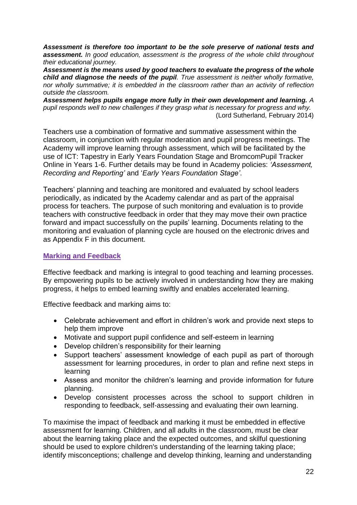*Assessment is therefore too important to be the sole preserve of national tests and assessment. In good education, assessment is the progress of the whole child throughout their educational journey.*

*Assessment is the means used by good teachers to evaluate the progress of the whole child and diagnose the needs of the pupil. True assessment is neither wholly formative, nor wholly summative; it is embedded in the classroom rather than an activity of reflection outside the classroom.*

*Assessment helps pupils engage more fully in their own development and learning. A pupil responds well to new challenges if they grasp what is necessary for progress and why.* (Lord Sutherland, February 2014)

Teachers use a combination of formative and summative assessment within the classroom, in conjunction with regular moderation and pupil progress meetings. The Academy will improve learning through assessment, which will be facilitated by the use of ICT: Tapestry in Early Years Foundation Stage and BromcomPupil Tracker Online in Years 1-6. Further details may be found in Academy policies: *'Assessment, Recording and Reporting'* and '*Early Years Foundation Stage'*.

Teachers' planning and teaching are monitored and evaluated by school leaders periodically, as indicated by the Academy calendar and as part of the appraisal process for teachers. The purpose of such monitoring and evaluation is to provide teachers with constructive feedback in order that they may move their own practice forward and impact successfully on the pupils' learning. Documents relating to the monitoring and evaluation of planning cycle are housed on the electronic drives and as Appendix F in this document.

### **Marking and Feedback**

Effective feedback and marking is integral to good teaching and learning processes. By empowering pupils to be actively involved in understanding how they are making progress, it helps to embed learning swiftly and enables accelerated learning.

Effective feedback and marking aims to:

- Celebrate achievement and effort in children's work and provide next steps to help them improve
- Motivate and support pupil confidence and self-esteem in learning
- Develop children's responsibility for their learning
- Support teachers' assessment knowledge of each pupil as part of thorough assessment for learning procedures, in order to plan and refine next steps in learning
- Assess and monitor the children's learning and provide information for future planning.
- Develop consistent processes across the school to support children in responding to feedback, self-assessing and evaluating their own learning.

To maximise the impact of feedback and marking it must be embedded in effective assessment for learning. Children, and all adults in the classroom, must be clear about the learning taking place and the expected outcomes, and skilful questioning should be used to explore children's understanding of the learning taking place; identify misconceptions; challenge and develop thinking, learning and understanding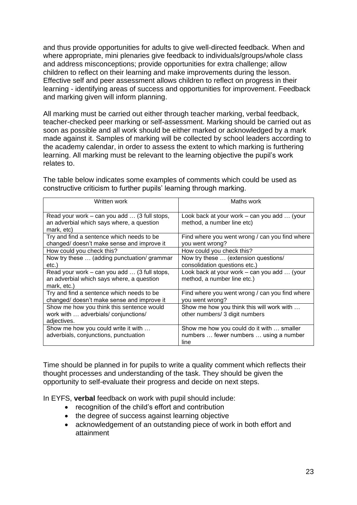and thus provide opportunities for adults to give well-directed feedback. When and where appropriate, mini plenaries give feedback to individuals/groups/whole class and address misconceptions; provide opportunities for extra challenge; allow children to reflect on their learning and make improvements during the lesson. Effective self and peer assessment allows children to reflect on progress in their learning - identifying areas of success and opportunities for improvement. Feedback and marking given will inform planning.

All marking must be carried out either through teacher marking, verbal feedback, teacher-checked peer marking or self-assessment. Marking should be carried out as soon as possible and all work should be either marked or acknowledged by a mark made against it. Samples of marking will be collected by school leaders according to the academy calendar, in order to assess the extent to which marking is furthering learning. All marking must be relevant to the learning objective the pupil's work relates to.

| Written work                                                                                             | Maths work                                                                                  |
|----------------------------------------------------------------------------------------------------------|---------------------------------------------------------------------------------------------|
| Read your work – can you add  (3 full stops,<br>an adverbial which says where, a question<br>mark, etc)  | Look back at your work – can you add  (your<br>method, a number line etc)                   |
| Try and find a sentence which needs to be<br>changed/ doesn't make sense and improve it                  | Find where you went wrong / can you find where<br>you went wrong?                           |
| How could you check this?                                                                                | How could you check this?                                                                   |
| Now try these  (adding punctuation/ grammar<br>etc.)                                                     | Now try these  (extension questions/<br>consolidation questions etc.)                       |
| Read your work – can you add  (3 full stops,<br>an adverbial which says where, a question<br>mark, etc.) | Look back at your work – can you add  (your<br>method, a number line etc.)                  |
| Try and find a sentence which needs to be<br>changed/ doesn't make sense and improve it                  | Find where you went wrong / can you find where<br>you went wrong?                           |
| Show me how you think this sentence would<br>work with  adverbials/ conjunctions/<br>adjectives.         | Show me how you think this will work with<br>other numbers/ 3 digit numbers                 |
| Show me how you could write it with<br>adverbials, conjunctions, punctuation                             | Show me how you could do it with  smaller<br>numbers  fewer numbers  using a number<br>line |

The table below indicates some examples of comments which could be used as constructive criticism to further pupils' learning through marking.

Time should be planned in for pupils to write a quality comment which reflects their thought processes and understanding of the task. They should be given the opportunity to self-evaluate their progress and decide on next steps.

In EYFS, **verbal** feedback on work with pupil should include:

- recognition of the child's effort and contribution
- the degree of success against learning objective
- acknowledgement of an outstanding piece of work in both effort and attainment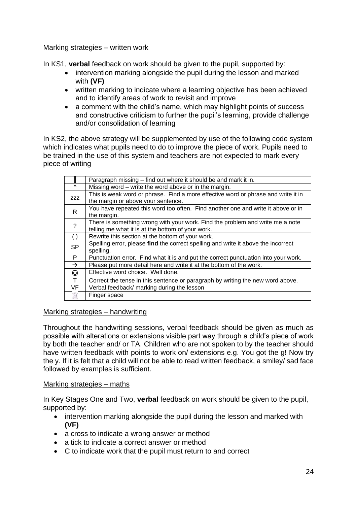### Marking strategies – written work

In KS1, **verbal** feedback on work should be given to the pupil, supported by:

- intervention marking alongside the pupil during the lesson and marked with **(VF)**
- written marking to indicate where a learning objective has been achieved and to identify areas of work to revisit and improve
- a comment with the child's name, which may highlight points of success and constructive criticism to further the pupil's learning, provide challenge and/or consolidation of learning

In KS2, the above strategy will be supplemented by use of the following code system which indicates what pupils need to do to improve the piece of work. Pupils need to be trained in the use of this system and teachers are not expected to mark every piece of writing

|                          | Paragraph missing – find out where it should be and mark it in.                    |
|--------------------------|------------------------------------------------------------------------------------|
| $\Lambda$                | Missing word – write the word above or in the margin.                              |
| ZZZ                      | This is weak word or phrase. Find a more effective word or phrase and write it in  |
|                          | the margin or above your sentence.                                                 |
| R                        | You have repeated this word too often. Find another one and write it above or in   |
|                          | the margin.                                                                        |
| $\overline{\phantom{0}}$ | There is something wrong with your work. Find the problem and write me a note      |
|                          | telling me what it is at the bottom of your work.                                  |
|                          | Rewrite this section at the bottom of your work.                                   |
| <b>SP</b>                | Spelling error, please find the correct spelling and write it above the incorrect  |
|                          | spelling.                                                                          |
| $\mathsf{P}$             | Punctuation error. Find what it is and put the correct punctuation into your work. |
| $\rightarrow$            | Please put more detail here and write it at the bottom of the work.                |
| ☺                        | Effective word choice. Well done.                                                  |
| $\mathsf{T}$             | Correct the tense in this sentence or paragraph by writing the new word above.     |
| VF                       | Verbal feedback/ marking during the lesson                                         |
|                          | Finger space                                                                       |

# Marking strategies – handwriting

Throughout the handwriting sessions, verbal feedback should be given as much as possible with alterations or extensions visible part way through a child's piece of work by both the teacher and/ or TA. Children who are not spoken to by the teacher should have written feedback with points to work on/ extensions e.g. You got the g! Now try the y. If it is felt that a child will not be able to read written feedback, a smiley/ sad face followed by examples is sufficient.

#### Marking strategies – maths

In Key Stages One and Two, **verbal** feedback on work should be given to the pupil, supported by:

- intervention marking alongside the pupil during the lesson and marked with **(VF)**
- a cross to indicate a wrong answer or method
- a tick to indicate a correct answer or method
- C to indicate work that the pupil must return to and correct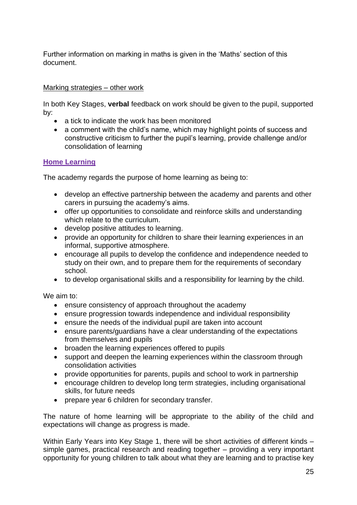Further information on marking in maths is given in the 'Maths' section of this document.

### Marking strategies - other work

In both Key Stages, **verbal** feedback on work should be given to the pupil, supported by:

- a tick to indicate the work has been monitored
- a comment with the child's name, which may highlight points of success and constructive criticism to further the pupil's learning, provide challenge and/or consolidation of learning

#### **Home Learning**

The academy regards the purpose of home learning as being to:

- develop an effective partnership between the academy and parents and other carers in pursuing the academy's aims.
- offer up opportunities to consolidate and reinforce skills and understanding which relate to the curriculum.
- develop positive attitudes to learning.
- provide an opportunity for children to share their learning experiences in an informal, supportive atmosphere.
- encourage all pupils to develop the confidence and independence needed to study on their own, and to prepare them for the requirements of secondary school.
- to develop organisational skills and a responsibility for learning by the child.

We aim to:

- ensure consistency of approach throughout the academy
- ensure progression towards independence and individual responsibility
- ensure the needs of the individual pupil are taken into account
- ensure parents/guardians have a clear understanding of the expectations from themselves and pupils
- broaden the learning experiences offered to pupils
- support and deepen the learning experiences within the classroom through consolidation activities
- provide opportunities for parents, pupils and school to work in partnership
- encourage children to develop long term strategies, including organisational skills, for future needs
- prepare year 6 children for secondary transfer.

The nature of home learning will be appropriate to the ability of the child and expectations will change as progress is made.

Within Early Years into Key Stage 1, there will be short activities of different kinds simple games, practical research and reading together – providing a very important opportunity for young children to talk about what they are learning and to practise key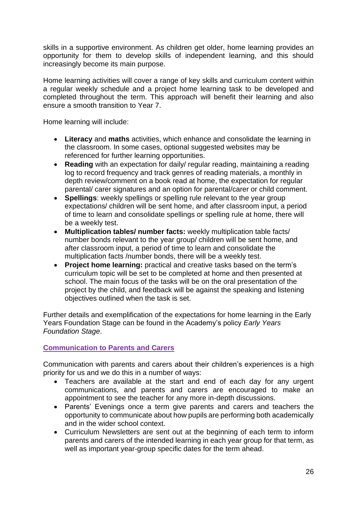skills in a supportive environment. As children get older, home learning provides an opportunity for them to develop skills of independent learning, and this should increasingly become its main purpose.

Home learning activities will cover a range of key skills and curriculum content within a regular weekly schedule and a project home learning task to be developed and completed throughout the term. This approach will benefit their learning and also ensure a smooth transition to Year 7.

Home learning will include:

- **Literacy** and **maths** activities, which enhance and consolidate the learning in the classroom. In some cases, optional suggested websites may be referenced for further learning opportunities.
- **Reading** with an expectation for daily/ regular reading, maintaining a reading log to record frequency and track genres of reading materials, a monthly in depth review/comment on a book read at home, the expectation for regular parental/ carer signatures and an option for parental/carer or child comment.
- **Spellings**: weekly spellings or spelling rule relevant to the year group expectations/ children will be sent home, and after classroom input, a period of time to learn and consolidate spellings or spelling rule at home, there will be a weekly test.
- **Multiplication tables/ number facts:** weekly multiplication table facts/ number bonds relevant to the year group/ children will be sent home, and after classroom input, a period of time to learn and consolidate the multiplication facts /number bonds, there will be a weekly test.
- **Project home learning:** practical and creative tasks based on the term's curriculum topic will be set to be completed at home and then presented at school. The main focus of the tasks will be on the oral presentation of the project by the child, and feedback will be against the speaking and listening objectives outlined when the task is set.

Further details and exemplification of the expectations for home learning in the Early Years Foundation Stage can be found in the Academy's policy *Early Years Foundation Stage*.

# **Communication to Parents and Carers**

Communication with parents and carers about their children's experiences is a high priority for us and we do this in a number of ways:

- Teachers are available at the start and end of each day for any urgent communications, and parents and carers are encouraged to make an appointment to see the teacher for any more in-depth discussions.
- Parents' Evenings once a term give parents and carers and teachers the opportunity to communicate about how pupils are performing both academically and in the wider school context.
- Curriculum Newsletters are sent out at the beginning of each term to inform parents and carers of the intended learning in each year group for that term, as well as important year-group specific dates for the term ahead.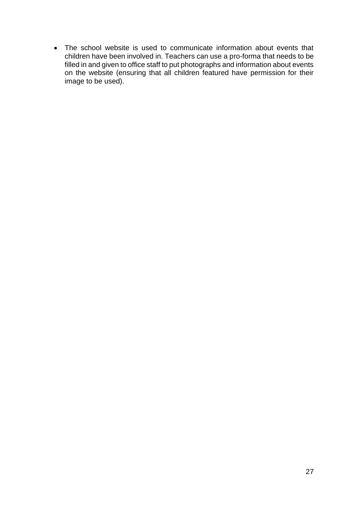• The school website is used to communicate information about events that children have been involved in. Teachers can use a pro-forma that needs to be filled in and given to office staff to put photographs and information about events on the website (ensuring that all children featured have permission for their image to be used).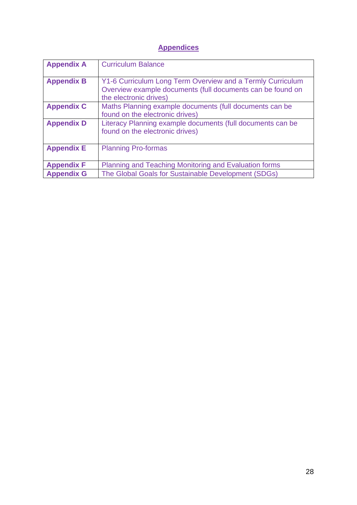# **Appendices**

| <b>Appendix A</b> | <b>Curriculum Balance</b>                                                                                                                          |
|-------------------|----------------------------------------------------------------------------------------------------------------------------------------------------|
| <b>Appendix B</b> | Y1-6 Curriculum Long Term Overview and a Termly Curriculum<br>Overview example documents (full documents can be found on<br>the electronic drives) |
| <b>Appendix C</b> | Maths Planning example documents (full documents can be<br>found on the electronic drives)                                                         |
| <b>Appendix D</b> | Literacy Planning example documents (full documents can be<br>found on the electronic drives)                                                      |
| <b>Appendix E</b> | <b>Planning Pro-formas</b>                                                                                                                         |
| <b>Appendix F</b> | Planning and Teaching Monitoring and Evaluation forms                                                                                              |
| <b>Appendix G</b> | The Global Goals for Sustainable Development (SDGs)                                                                                                |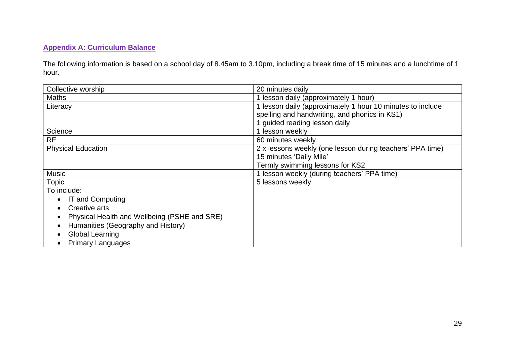# **Appendix A: Curriculum Balance**

The following information is based on a school day of 8.45am to 3.10pm, including a break time of 15 minutes and a lunchtime of 1 hour.

| Collective worship                           | 20 minutes daily                                           |
|----------------------------------------------|------------------------------------------------------------|
| <b>Maths</b>                                 | 1 lesson daily (approximately 1 hour)                      |
| Literacy                                     | 1 lesson daily (approximately 1 hour 10 minutes to include |
|                                              | spelling and handwriting, and phonics in KS1)              |
|                                              | 1 guided reading lesson daily                              |
| Science                                      | 1 lesson weekly                                            |
| <b>RE</b>                                    | 60 minutes weekly                                          |
| <b>Physical Education</b>                    | 2 x lessons weekly (one lesson during teachers' PPA time)  |
|                                              | 15 minutes 'Daily Mile'                                    |
|                                              | Termly swimming lessons for KS2                            |
| <b>Music</b>                                 | 1 lesson weekly (during teachers' PPA time)                |
| <b>Topic</b>                                 | 5 lessons weekly                                           |
| To include:                                  |                                                            |
| IT and Computing                             |                                                            |
| Creative arts                                |                                                            |
| Physical Health and Wellbeing (PSHE and SRE) |                                                            |
| Humanities (Geography and History)           |                                                            |
| <b>Global Learning</b>                       |                                                            |
| <b>Primary Languages</b>                     |                                                            |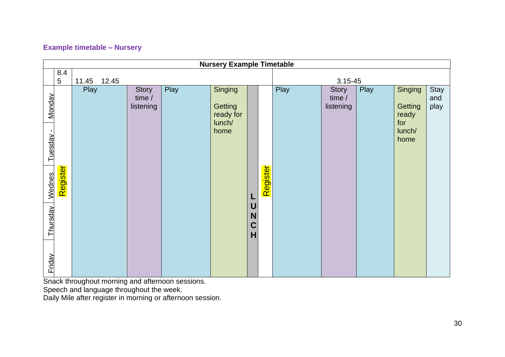# **Example timetable – Nursery**

| <b>Nursery Example Timetable</b>                 |                 |                |  |                                     |      |                                                   |                                 |             |      |                                     |      |                                                      |                     |
|--------------------------------------------------|-----------------|----------------|--|-------------------------------------|------|---------------------------------------------------|---------------------------------|-------------|------|-------------------------------------|------|------------------------------------------------------|---------------------|
|                                                  | 8.4             |                |  |                                     |      |                                                   |                                 |             |      |                                     |      |                                                      |                     |
|                                                  | $5\phantom{.0}$ | 11.45<br>12.45 |  |                                     |      |                                                   |                                 | $3.15 - 45$ |      |                                     |      |                                                      |                     |
| <b>Monday</b><br>Tuesday -<br>Wednes<br>Thursday | Register        | Play           |  | <b>Story</b><br>time /<br>listening | Play | Singing<br>Getting<br>ready for<br>lunch/<br>home | L<br>U<br>N<br>$\mathbf C$<br>H | Register    | Play | <b>Story</b><br>time /<br>listening | Play | Singing<br>Getting<br>ready<br>for<br>lunch/<br>home | Stay<br>and<br>play |
| Friday                                           |                 |                |  |                                     |      |                                                   |                                 |             |      |                                     |      |                                                      |                     |

Snack throughout morning and afternoon sessions.

Speech and language throughout the week.

Daily Mile after register in morning or afternoon session.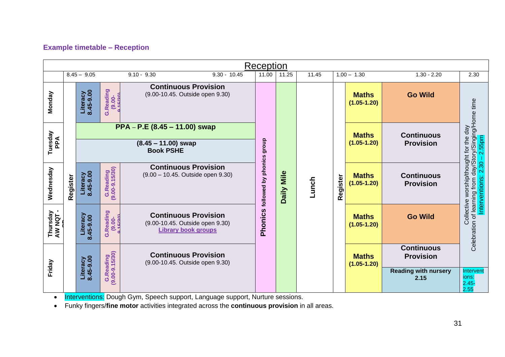# **Example timetable – Reception**

|                     | Reception |                         |                                      |                                                                                              |                                                                                                                        |                        |       |                       |  |                                 |                                                                              |                                        |                                       |                                                                                                                           |
|---------------------|-----------|-------------------------|--------------------------------------|----------------------------------------------------------------------------------------------|------------------------------------------------------------------------------------------------------------------------|------------------------|-------|-----------------------|--|---------------------------------|------------------------------------------------------------------------------|----------------------------------------|---------------------------------------|---------------------------------------------------------------------------------------------------------------------------|
|                     |           | $8.45 - 9.05$           |                                      | $9.10 - 9.30$                                                                                | $9.30 - 10.45$                                                                                                         | 11.00                  | 11.25 | 11.45                 |  | $1.00 - 1.30$                   | $1.30 - 2.20$                                                                | 2.30                                   |                                       |                                                                                                                           |
| Monday              |           | Literacy<br>$8.45-9.00$ | G.Reading<br>$(9.00 -$               | <b>Continuous Provision</b><br>(9.00-10.45. Outside open 9.30)                               |                                                                                                                        |                        |       |                       |  | <b>Maths</b><br>$(1.05 - 1.20)$ | <b>Go Wild</b>                                                               |                                        |                                       |                                                                                                                           |
| Tuesday<br>PPA      |           |                         |                                      | <b>Book PSHE</b>                                                                             | PPA - P.E (8.45 - 11.00) swap<br><b>Maths</b><br>dhoub<br>$(1.05 - 1.20)$<br>$(8.45 - 11.00)$ swap<br><b>Provision</b> |                        |       |                       |  |                                 | <b>Continuous</b>                                                            | 2.55pm                                 |                                       |                                                                                                                           |
| Wednesday           | Register  | Literacy<br>8.45-9.00   | G.Reading<br>(9.00-9.15/30)          | <b>Continuous Provision</b><br>(9.00 - 10.45. Outside open 9.30)                             |                                                                                                                        | phonics<br>followed by | Mile  | Lunch<br><b>Daily</b> |  |                                 | Register                                                                     | <b>Maths</b><br>$(1.05 - 1.20)$        | <b>Continuous</b><br><b>Provision</b> | Celebration of learning from day/Story/Singing/Home time<br>Collective worship/thought for the day<br>Interventions: 2.30 |
| Thursday<br>AW NQT- |           | Literacy<br>8.45-9.00   | Reading.<br>$(9.00 -$<br>$\mathbf C$ | <b>Continuous Provision</b><br>(9.00-10.45. Outside open 9.30)<br><b>Library book groups</b> |                                                                                                                        | Phonics                |       |                       |  | <b>Maths</b><br>$(1.05 - 1.20)$ | <b>Go Wild</b>                                                               |                                        |                                       |                                                                                                                           |
| Friday              |           | Literacy<br>8.45-9.00   | G.Reading<br>(9.00-9.15/30)          | <b>Continuous Provision</b><br>(9.00-10.45. Outside open 9.30)                               |                                                                                                                        |                        |       |                       |  | <b>Maths</b><br>$(1.05 - 1.20)$ | <b>Continuous</b><br><b>Provision</b><br><b>Reading with nursery</b><br>2.15 | Intervent<br>ions:<br>$2.45 -$<br>2.55 |                                       |                                                                                                                           |

• Interventions: Dough Gym, Speech support, Language support, Nurture sessions.

• Funky fingers/**fine motor** activities integrated across the **continuous provision** in all areas.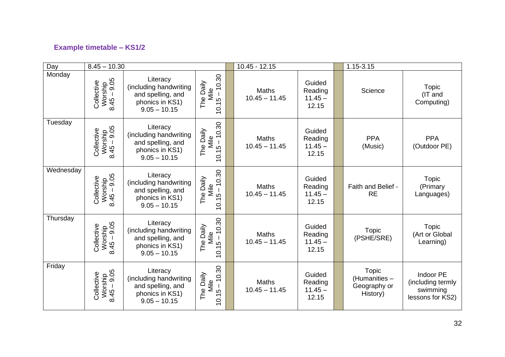# **Example timetable – KS1/2**

| Day       | $8.45 - 10.30$                                  |                                                                                              |                                         | $10.45 - 12.15$                 |                                         |  | 1.15-3.15                                                 |                                                                |
|-----------|-------------------------------------------------|----------------------------------------------------------------------------------------------|-----------------------------------------|---------------------------------|-----------------------------------------|--|-----------------------------------------------------------|----------------------------------------------------------------|
| Monday    | Worship<br>: 45 – 9.05<br>Collective<br>8.45    | Literacy<br>(including handwriting<br>and spelling, and<br>phonics in KS1)<br>$9.05 - 10.15$ | 10.30<br>The Daily<br>Mile<br>10.15     | <b>Maths</b><br>$10.45 - 11.45$ | Guided<br>Reading<br>$11.45 -$<br>12.15 |  | Science                                                   | <b>Topic</b><br>(IT and<br>Computing)                          |
| Tuesday   | Worship<br>: 45 – 9.05<br>Collective<br>8.45    | Literacy<br>(including handwriting<br>and spelling, and<br>phonics in KS1)<br>$9.05 - 10.15$ | 10.30<br>The Daily<br>Mile<br>10.15     | <b>Maths</b><br>$10.45 - 11.45$ | Guided<br>Reading<br>$11.45 -$<br>12.15 |  | <b>PPA</b><br>(Music)                                     | <b>PPA</b><br>(Outdoor PE)                                     |
| Wednesday | Worship<br>: 45 – 9.05<br>Collective<br>8.45    | Literacy<br>(including handwriting<br>and spelling, and<br>phonics in KS1)<br>$9.05 - 10.15$ | 10.30<br>The Daily<br>Mile<br>$10.15 -$ | <b>Maths</b><br>$10.45 - 11.45$ | Guided<br>Reading<br>$11.45 -$<br>12.15 |  | Faith and Belief -<br><b>RE</b>                           | <b>Topic</b><br>(Primary<br>Languages)                         |
| Thursday  | Worship<br>: 45 – 9.05<br>Collective<br>8.45    | Literacy<br>(including handwriting<br>and spelling, and<br>phonics in KS1)<br>$9.05 - 10.15$ | 10.30<br>The Daily<br>Mile<br>10.15     | <b>Maths</b><br>$10.45 - 11.45$ | Guided<br>Reading<br>$11.45 -$<br>12.15 |  | <b>Topic</b><br>(PSHE/SRE)                                | <b>Topic</b><br>(Art or Global<br>Learning)                    |
| Friday    | $Worship$<br>$:45 - 9.05$<br>Collective<br>8.45 | Literacy<br>(including handwriting<br>and spelling, and<br>phonics in KS1)<br>$9.05 - 10.15$ | 10.30<br>The Daily<br>Mile<br>$10.15 -$ | <b>Maths</b><br>$10.45 - 11.45$ | Guided<br>Reading<br>$11.45 -$<br>12.15 |  | <b>Topic</b><br>(Humanities -<br>Geography or<br>History) | Indoor PE<br>(including termly<br>swimming<br>lessons for KS2) |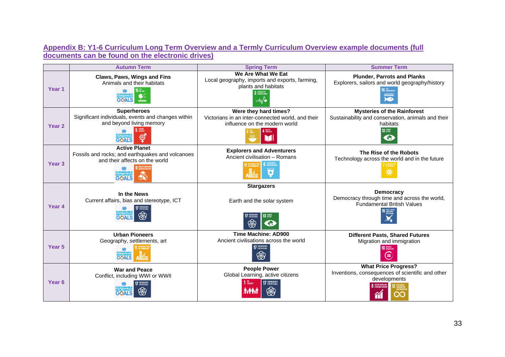# **Appendix B: Y1-6 Curriculum Long Term Overview and a Termly Curriculum Overview example documents (full documents can be found on the electronic drives)**

|                   | <b>Autumn Term</b>                                                                                                         | <b>Spring Term</b>                                                                                                     | <b>Summer Term</b>                                                                                                                         |
|-------------------|----------------------------------------------------------------------------------------------------------------------------|------------------------------------------------------------------------------------------------------------------------|--------------------------------------------------------------------------------------------------------------------------------------------|
| Year <sub>1</sub> | <b>Claws, Paws, Wings and Fins</b><br>Animals and their habitats<br>5 <sup>uff</sup>                                       | We Are What We Eat<br>Local geography, imports and exports, farming,<br>plants and habitats<br>3 6000 HEALTH<br>–∿⁄∙   | <b>Plunder, Parrots and Planks</b><br>Explorers, sailors and world geography/history<br><b>4</b> BELOW WALER                               |
| Year <sub>2</sub> | <b>Superheroes</b><br>Significant individuals, events and changes within<br>and beyond living memory<br>GOALS              | Were they hard times?<br>Victorians in an inter-connected world, and their<br>influence on the modern world<br>4 BRAIN | <b>Mysteries of the Rainforest</b><br>Sustainability and conservation, animals and their<br>habitats<br>13 GENATE<br>$\epsilon_{\rm{eff}}$ |
| Year <sub>3</sub> | <b>Active Planet</b><br>Fossils and rocks; and earthquakes and volcanoes<br>and their affects on the world<br>RY.<br>GOALS | <b>Explorers and Adventurers</b><br>Ancient civilisation - Romans                                                      | The Rise of the Robots<br>Technology across the world and in the future                                                                    |
| Year 4            | In the News<br>Current affairs, bias and stereotype, ICT                                                                   | <b>Stargazers</b><br>Earth and the solar system<br><b>3</b> CLIMATE<br>₩<br>en,                                        | <b>Democracy</b><br>Democracy through time and across the world,<br><b>Fundamental British Values</b>                                      |
| Year <sub>5</sub> | <b>Urban Pioneers</b><br>Geography, settlements, art<br><b>GOALS</b>                                                       | <b>Time Machine: AD900</b><br>Ancient civilisations across the world<br><b>17 PARTMERSHIPS</b><br>❀                    | <b>Different Pasts, Shared Futures</b><br>Migration and immigration<br><b>O</b> REDUCED<br>Ξ                                               |
| Year <sub>6</sub> | <b>War and Peace</b><br>Conflict, including WWI or WWII                                                                    | <b>People Power</b><br>Global Learning, active citizens<br><b>1 NO</b><br><b>1</b> FOVERTY<br><b>17 PARTNERSHIPS</b>   | <b>What Price Progress?</b><br>Inventions, consequences of scientific and other<br>developments<br><b>DECENT INDRKAN</b>                   |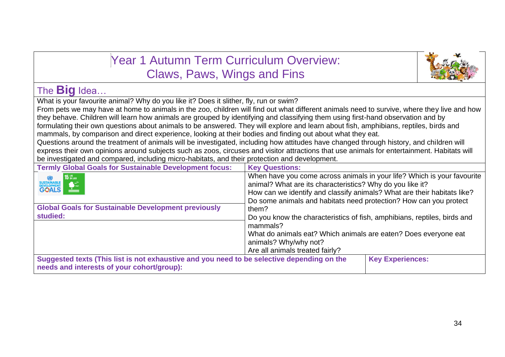| <b>Year 1 Autumn Term Curriculum Overview:</b>                                                                                                                                                                                                                            |                                                                                                                                             |                         |  |  |  |
|---------------------------------------------------------------------------------------------------------------------------------------------------------------------------------------------------------------------------------------------------------------------------|---------------------------------------------------------------------------------------------------------------------------------------------|-------------------------|--|--|--|
| Claws, Paws, Wings and Fins                                                                                                                                                                                                                                               |                                                                                                                                             |                         |  |  |  |
| The <b>Big</b> Idea                                                                                                                                                                                                                                                       |                                                                                                                                             |                         |  |  |  |
| What is your favourite animal? Why do you like it? Does it slither, fly, run or swim?                                                                                                                                                                                     |                                                                                                                                             |                         |  |  |  |
| From pets we may have at home to animals in the zoo, children will find out what different animals need to survive, where they live and how                                                                                                                               |                                                                                                                                             |                         |  |  |  |
| they behave. Children will learn how animals are grouped by identifying and classifying them using first-hand observation and by<br>formulating their own questions about animals to be answered. They will explore and learn about fish, amphibians, reptiles, birds and |                                                                                                                                             |                         |  |  |  |
| mammals, by comparison and direct experience, looking at their bodies and finding out about what they eat.                                                                                                                                                                |                                                                                                                                             |                         |  |  |  |
| Questions around the treatment of animals will be investigated, including how attitudes have changed through history, and children will                                                                                                                                   |                                                                                                                                             |                         |  |  |  |
|                                                                                                                                                                                                                                                                           | express their own opinions around subjects such as zoos, circuses and visitor attractions that use animals for entertainment. Habitats will |                         |  |  |  |
| be investigated and compared, including micro-habitats, and their protection and development.                                                                                                                                                                             |                                                                                                                                             |                         |  |  |  |
| <b>Termly Global Goals for Sustainable Development focus:</b>                                                                                                                                                                                                             | <b>Key Questions:</b>                                                                                                                       |                         |  |  |  |
| When have you come across animals in your life? Which is your favourite<br><b>15 UFE</b><br>SUSTAINABLE<br>DEVELOPMENT<br>GOALS<br>animal? What are its characteristics? Why do you like it?<br>How can we identify and classify animals? What are their habitats like?   |                                                                                                                                             |                         |  |  |  |
|                                                                                                                                                                                                                                                                           | Do some animals and habitats need protection? How can you protect                                                                           |                         |  |  |  |
| <b>Global Goals for Sustainable Development previously</b>                                                                                                                                                                                                                | them?                                                                                                                                       |                         |  |  |  |
| studied:<br>Do you know the characteristics of fish, amphibians, reptiles, birds and<br>mammals?                                                                                                                                                                          |                                                                                                                                             |                         |  |  |  |
| What do animals eat? Which animals are eaten? Does everyone eat                                                                                                                                                                                                           |                                                                                                                                             |                         |  |  |  |
| animals? Why/why not?                                                                                                                                                                                                                                                     |                                                                                                                                             |                         |  |  |  |
| Are all animals treated fairly?                                                                                                                                                                                                                                           |                                                                                                                                             |                         |  |  |  |
| Suggested texts (This list is not exhaustive and you need to be selective depending on the<br>needs and interests of your cohort/group):                                                                                                                                  |                                                                                                                                             | <b>Key Experiences:</b> |  |  |  |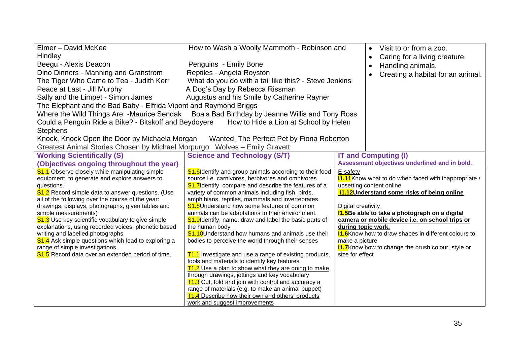| Elmer - David McKee<br>Hindley<br>Beegu - Alexis Deacon<br>Dino Dinners - Manning and Granstrom<br>The Tiger Who Came to Tea - Judith Kerr<br>Peace at Last - Jill Murphy<br>Sally and the Limpet - Simon James<br>The Elephant and the Bad Baby - Elfrida Vipont and Raymond Briggs<br>Could a Penguin Ride a Bike? - Bitskoff and Beydoyere<br><b>Stephens</b><br>Knock, Knock Open the Door by Michaela Morgan                                                                                                                                                                                                                                                                                         | How to Wash a Woolly Mammoth - Robinson and<br>Penguins - Emily Bone<br>Reptiles - Angela Royston<br>What do you do with a tail like this? - Steve Jenkins<br>A Dog's Day by Rebecca Rissman<br>Augustus and his Smile by Catherine Rayner<br>Where the Wild Things Are -Maurice Sendak Boa's Bad Birthday by Jeanne Willis and Tony Ross<br>How to Hide a Lion at School by Helen<br>Wanted: The Perfect Pet by Fiona Roberton                                                                                                                                                                                                                                                                                                                                                                                                                                                                                                                                                                       |                                                                                           | Visit to or from a zoo.<br>$\bullet$<br>Caring for a living creature.<br>$\bullet$<br>Handling animals.<br>$\bullet$<br>Creating a habitat for an animal.<br>$\bullet$                                                                                                                                                                                                                                                                                  |
|-----------------------------------------------------------------------------------------------------------------------------------------------------------------------------------------------------------------------------------------------------------------------------------------------------------------------------------------------------------------------------------------------------------------------------------------------------------------------------------------------------------------------------------------------------------------------------------------------------------------------------------------------------------------------------------------------------------|-------------------------------------------------------------------------------------------------------------------------------------------------------------------------------------------------------------------------------------------------------------------------------------------------------------------------------------------------------------------------------------------------------------------------------------------------------------------------------------------------------------------------------------------------------------------------------------------------------------------------------------------------------------------------------------------------------------------------------------------------------------------------------------------------------------------------------------------------------------------------------------------------------------------------------------------------------------------------------------------------------|-------------------------------------------------------------------------------------------|---------------------------------------------------------------------------------------------------------------------------------------------------------------------------------------------------------------------------------------------------------------------------------------------------------------------------------------------------------------------------------------------------------------------------------------------------------|
| Greatest Animal Stories Chosen by Michael Morpurgo Wolves - Emily Gravett                                                                                                                                                                                                                                                                                                                                                                                                                                                                                                                                                                                                                                 |                                                                                                                                                                                                                                                                                                                                                                                                                                                                                                                                                                                                                                                                                                                                                                                                                                                                                                                                                                                                       |                                                                                           |                                                                                                                                                                                                                                                                                                                                                                                                                                                         |
| <b>Working Scientifically (S)</b><br>(Objectives ongoing throughout the year)<br><b>S1.1</b> Observe closely while manipulating simple<br>equipment, to generate and explore answers to<br>questions.<br>S1.2 Record simple data to answer questions. (Use<br>all of the following over the course of the year:<br>drawings, displays, photographs, given tables and<br>simple measurements)<br><b>S1.3</b> Use key scientific vocabulary to give simple<br>explanations, using recorded voices, phonetic based<br>writing and labelled photographs<br><b>S1.4</b> Ask simple questions which lead to exploring a<br>range of simple investigations.<br>S1.5 Record data over an extended period of time. | <b>Science and Technology (S/T)</b><br>S1.6 Identify and group animals according to their food<br>source i.e. carnivores, herbivores and omnivores<br>S1.7 Identify, compare and describe the features of a<br>variety of common animals including fish, birds,<br>amphibians, reptiles, mammals and invertebrates.<br>S1.8Understand how some features of common<br>animals can be adaptations to their environment.<br>S1.9 Identify, name, draw and label the basic parts of<br>the human body<br><b>S1.10</b> Understand how humans and animals use their<br>bodies to perceive the world through their senses<br>T1.1 Investigate and use a range of existing products,<br>tools and materials to identify key features<br>T1.2 Use a plan to show what they are going to make<br>through drawings, jottings and key vocabulary<br>T1.3 Cut, fold and join with control and accuracy a<br>range of materials (e.g. to make an animal puppet)<br>T1.4 Describe how their own and others' products | E-safety<br>Digital creativity<br>during topic work.<br>make a picture<br>size for effect | <b>IT and Computing (I)</b><br>Assessment objectives underlined and in bold.<br><b>11.11</b> Know what to do when faced with inappropriate /<br>upsetting content online<br>11.12 Understand some risks of being online<br>11.5Be able to take a photograph on a digital<br>camera or mobile device i.e. on school trips or<br><b>11.6</b> Know how to draw shapes in different colours to<br><b>11.7</b> Know how to change the brush colour, style or |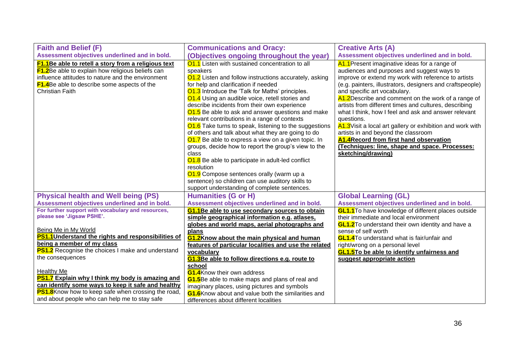| <b>Faith and Belief (F)</b>                                 | <b>Communications and Oracy:</b>                           | <b>Creative Arts (A)</b>                                   |
|-------------------------------------------------------------|------------------------------------------------------------|------------------------------------------------------------|
| Assessment objectives underlined and in bold.               | (Objectives ongoing throughout the year)                   | Assessment objectives underlined and in bold.              |
| <b>F1.1</b> Be able to retell a story from a religious text | 01.1 Listen with sustained concentration to all            | A1.1 Present imaginative ideas for a range of              |
| <b>F1.2</b> Be able to explain how religious beliefs can    | speakers                                                   | audiences and purposes and suggest ways to                 |
| influence attitudes to nature and the environment           | 01.2 Listen and follow instructions accurately, asking     | improve or extend my work with reference to artists        |
| <b>F1.4</b> Be able to describe some aspects of the         | for help and clarification if needed                       | (e.g. painters, illustrators, designers and craftspeople)  |
| <b>Christian Faith</b>                                      | <b>O1.3</b> Introduce the 'Talk for Maths' principles.     | and specific art vocabulary.                               |
|                                                             | 01.4 Using an audible voice, retell stories and            | A1.2 Describe and comment on the work of a range of        |
|                                                             | describe incidents from their own experience               | artists from different times and cultures, describing      |
|                                                             | 01.5 Be able to ask and answer questions and make          | what I think, how I feel and ask and answer relevant       |
|                                                             | relevant contributions in a range of contexts              | questions.                                                 |
|                                                             | 01.6 Take turns to speak, listening to the suggestions     | A1.3 Visit a local art gallery or exhibition and work with |
|                                                             | of others and talk about what they are going to do         | artists in and beyond the classroom                        |
|                                                             | 01.7 Be able to express a view on a given topic. In        | A1.4 Record from first hand observation                    |
|                                                             | groups, decide how to report the group's view to the       | (Techniques: line, shape and space. Processes:             |
|                                                             | class                                                      | sketching/drawing)                                         |
|                                                             | 01.8 Be able to participate in adult-led conflict          |                                                            |
|                                                             | resolution                                                 |                                                            |
|                                                             | <b>O1.9</b> Compose sentences orally (warm up a            |                                                            |
|                                                             | sentence) so children can use auditory skills to           |                                                            |
|                                                             | support understanding of complete sentences.               |                                                            |
| <b>Physical health and Well being (PS)</b>                  | <b>Humanities (G or H)</b>                                 | <b>Global Learning (GL)</b>                                |
| Assessment objectives underlined and in bold.               | Assessment objectives underlined and in bold.              | Assessment objectives underlined and in bold.              |
| For further support with vocabulary and resources,          | <b>G1.1</b> Be able to use secondary sources to obtain     | <b>GL1.1</b> To have knowledge of different places outside |
| please see 'Jigsaw PSHE'.                                   | simple geographical information e.g. atlases,              | their immediate and local environment                      |
|                                                             | globes and world maps, aerial photographs and              | <b>GL1.2</b> To understand their own identity and have a   |
| Being Me in My World                                        | plans                                                      | sense of self worth                                        |
| PS1.1 Understand the rights and responsibilities of         | <b>G1.2Know about the main physical and human</b>          | <b>GL1.4</b> To understand what is fair/unfair and         |
| being a member of my class                                  | features of particular localities and use the related      | right/wrong on a personal level                            |
| <b>PS1.2</b> Recognise the choices I make and understand    | vocabulary                                                 | <b>GL1.5To be able to identify unfairness and</b>          |
| the consequences                                            | <b>G1.3</b> Be able to follow directions e.g. route to     | suggest appropriate action                                 |
| <b>Healthy Me</b>                                           | school                                                     |                                                            |
| <b>PS1.7</b> Explain why I think my body is amazing and     | <b>G1.4</b> Know their own address                         |                                                            |
| can identify some ways to keep it safe and healthy          | <b>G1.5</b> Be able to make maps and plans of real and     |                                                            |
| PS1.8Know how to keep safe when crossing the road,          | imaginary places, using pictures and symbols               |                                                            |
| and about people who can help me to stay safe               | <b>G1.6</b> Know about and value both the similarities and |                                                            |
|                                                             | differences about different localities                     |                                                            |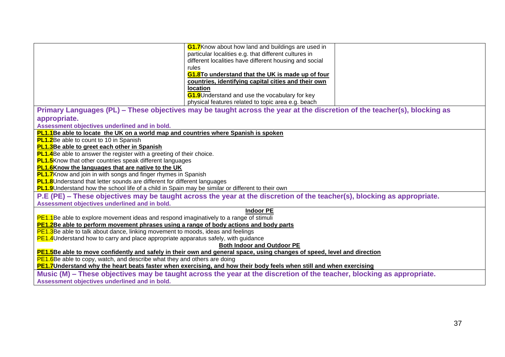|                                                                                                                         | <b>G1.7</b> Know about how land and buildings are used in                                                                |  |  |  |
|-------------------------------------------------------------------------------------------------------------------------|--------------------------------------------------------------------------------------------------------------------------|--|--|--|
|                                                                                                                         | particular localities e.g. that different cultures in                                                                    |  |  |  |
|                                                                                                                         | different localities have different housing and social                                                                   |  |  |  |
|                                                                                                                         | rules                                                                                                                    |  |  |  |
|                                                                                                                         | G1.8To understand that the UK is made up of four                                                                         |  |  |  |
|                                                                                                                         | countries, identifying capital cities and their own                                                                      |  |  |  |
|                                                                                                                         | <b>location</b>                                                                                                          |  |  |  |
|                                                                                                                         | <b>G1.9</b> Understand and use the vocabulary for key                                                                    |  |  |  |
|                                                                                                                         | physical features related to topic area e.g. beach                                                                       |  |  |  |
|                                                                                                                         | Primary Languages (PL) – These objectives may be taught across the year at the discretion of the teacher(s), blocking as |  |  |  |
| appropriate.                                                                                                            |                                                                                                                          |  |  |  |
| Assessment objectives underlined and in bold.                                                                           |                                                                                                                          |  |  |  |
| <b>PL1.1</b> Be able to locate the UK on a world map and countries where Spanish is spoken                              |                                                                                                                          |  |  |  |
| <b>PL1.2</b> Be able to count to 10 in Spanish                                                                          |                                                                                                                          |  |  |  |
| PL1.3Be able to greet each other in Spanish                                                                             |                                                                                                                          |  |  |  |
| <b>PL1.4</b> Be able to answer the register with a greeting of their choice.                                            |                                                                                                                          |  |  |  |
| <b>PL1.5</b> Know that other countries speak different languages                                                        |                                                                                                                          |  |  |  |
| <b>PL1.6</b> Know the languages that are native to the UK                                                               |                                                                                                                          |  |  |  |
| <b>PL1.7</b> Know and join in with songs and finger rhymes in Spanish                                                   |                                                                                                                          |  |  |  |
| <b>PL1.8</b> Understand that letter sounds are different for different languages                                        |                                                                                                                          |  |  |  |
| <b>PL1.9</b> Understand how the school life of a child in Spain may be similar or different to their own                |                                                                                                                          |  |  |  |
| P.E (PE) – These objectives may be taught across the year at the discretion of the teacher(s), blocking as appropriate. |                                                                                                                          |  |  |  |
| Assessment objectives underlined and in bold.                                                                           |                                                                                                                          |  |  |  |
|                                                                                                                         | <b>Indoor PE</b>                                                                                                         |  |  |  |
| <b>PE1.1</b> Be able to explore movement ideas and respond imaginatively to a range of stimuli                          |                                                                                                                          |  |  |  |
| <b>PE1.2</b> Be able to perform movement phrases using a range of body actions and body parts                           |                                                                                                                          |  |  |  |
| <b>PE1.3</b> Be able to talk about dance, linking movement to moods, ideas and feelings                                 |                                                                                                                          |  |  |  |
| <b>PE1.4</b> Understand how to carry and place appropriate apparatus safely, with guidance                              |                                                                                                                          |  |  |  |
| <b>Both Indoor and Outdoor PE</b>                                                                                       |                                                                                                                          |  |  |  |
| PE1.5Be able to move confidently and safely in their own and general space, using changes of speed, level and direction |                                                                                                                          |  |  |  |
| PE1.6Be able to copy, watch, and describe what they and others are doing                                                |                                                                                                                          |  |  |  |
| PE1.7Understand why the heart beats faster when exercising, and how their body feels when still and when exercising     |                                                                                                                          |  |  |  |
| Music (M) – These objectives may be taught across the year at the discretion of the teacher, blocking as appropriate.   |                                                                                                                          |  |  |  |
| Assessment objectives underlined and in bold.                                                                           |                                                                                                                          |  |  |  |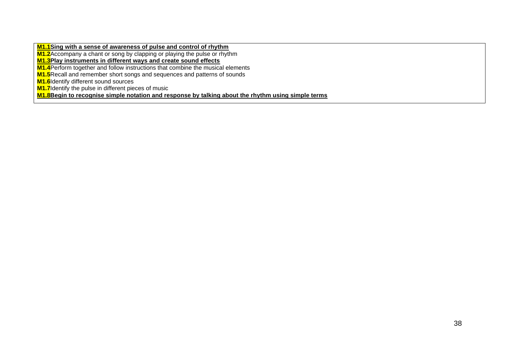**M1.1Sing with a sense of awareness of pulse and control of rhythm**

**M1.2**Accompany a chant or song by clapping or playing the pulse or rhythm

**M1.3Play instruments in different ways and create sound effects**

**M1.4**Perform together and follow instructions that combine the musical elements

**M1.5**Recall and remember short songs and sequences and patterns of sounds

**M1.6**Identify different sound sources

**M1.7** Identify the pulse in different pieces of music

**M1.8Begin to recognise simple notation and response by talking about the rhythm using simple terms**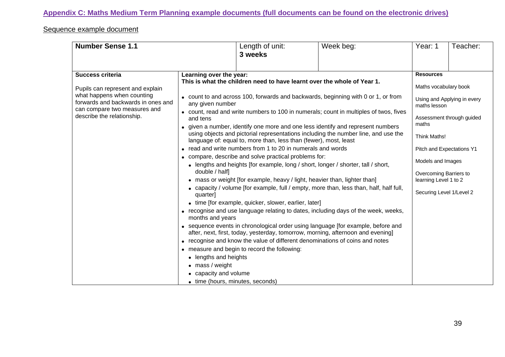**Appendix C: Maths Medium Term Planning example documents (full documents can be found on the electronic drives)**

## Sequence example document

| Learning over the year:<br><b>Success criteria</b><br><b>Resources</b><br>This is what the children need to have learnt over the whole of Year 1.<br>Maths vocabulary book<br>Pupils can represent and explain<br>what happens when counting<br>• count to and across 100, forwards and backwards, beginning with 0 or 1, or from<br>Using and Applying in every<br>forwards and backwards in ones and<br>any given number<br>maths lesson<br>can compare two measures and<br>• count, read and write numbers to 100 in numerals; count in multiples of twos, fives<br>describe the relationship.<br>Assessment through guided<br>and tens<br>maths<br>• given a number, identify one more and one less identify and represent numbers<br>using objects and pictorial representations including the number line, and use the<br>Think Maths!<br>language of: equal to, more than, less than (fewer), most, least<br>• read and write numbers from 1 to 20 in numerals and words<br>Pitch and Expectations Y1<br>• compare, describe and solve practical problems for:<br>Models and Images<br>• lengths and heights [for example, long / short, longer / shorter, tall / short,<br>double / half]<br>Overcoming Barriers to<br>• mass or weight [for example, heavy / light, heavier than, lighter than]<br>learning Level 1 to 2<br>• capacity / volume [for example, full / empty, more than, less than, half, half full,<br>Securing Level 1/Level 2<br>quarter]<br>• time [for example, quicker, slower, earlier, later]<br>• recognise and use language relating to dates, including days of the week, weeks,<br>months and years<br>• sequence events in chronological order using language [for example, before and<br>after, next, first, today, yesterday, tomorrow, morning, afternoon and evening]<br>• recognise and know the value of different denominations of coins and notes<br>• measure and begin to record the following:<br>lengths and heights<br>$\bullet$<br>$\bullet$ mass / weight | <b>Number Sense 1.1</b> | Length of unit:<br>3 weeks | Week beg: | Year: 1 | Teacher: |
|--------------------------------------------------------------------------------------------------------------------------------------------------------------------------------------------------------------------------------------------------------------------------------------------------------------------------------------------------------------------------------------------------------------------------------------------------------------------------------------------------------------------------------------------------------------------------------------------------------------------------------------------------------------------------------------------------------------------------------------------------------------------------------------------------------------------------------------------------------------------------------------------------------------------------------------------------------------------------------------------------------------------------------------------------------------------------------------------------------------------------------------------------------------------------------------------------------------------------------------------------------------------------------------------------------------------------------------------------------------------------------------------------------------------------------------------------------------------------------------------------------------------------------------------------------------------------------------------------------------------------------------------------------------------------------------------------------------------------------------------------------------------------------------------------------------------------------------------------------------------------------------------------------------------------------------------------------------------------------------------------------------|-------------------------|----------------------------|-----------|---------|----------|
| capacity and volume                                                                                                                                                                                                                                                                                                                                                                                                                                                                                                                                                                                                                                                                                                                                                                                                                                                                                                                                                                                                                                                                                                                                                                                                                                                                                                                                                                                                                                                                                                                                                                                                                                                                                                                                                                                                                                                                                                                                                                                          |                         |                            |           |         |          |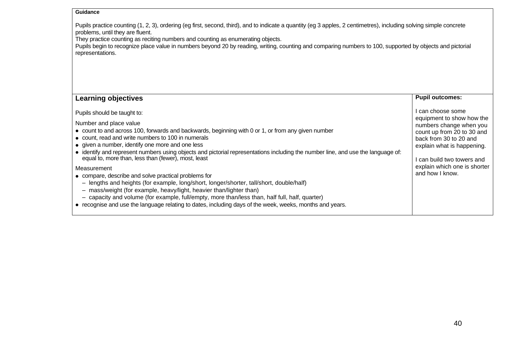#### **Guidance**

Pupils practice counting (1, 2, 3), ordering (eg first, second, third), and to indicate a quantity (eg 3 apples, 2 centimetres), including solving simple concrete problems, until they are fluent.

They practice counting as reciting numbers and counting as enumerating objects.

Pupils begin to recognize place value in numbers beyond 20 by reading, writing, counting and comparing numbers to 100, supported by objects and pictorial representations.

| <b>Learning objectives</b>                                                                                                                                                                                                                                                                                                                                                                                                                                                                                                                                                                                                                                                                                                                                                                                                                                                                                             | <b>Pupil outcomes:</b>                                                                                                                                                                                                                           |
|------------------------------------------------------------------------------------------------------------------------------------------------------------------------------------------------------------------------------------------------------------------------------------------------------------------------------------------------------------------------------------------------------------------------------------------------------------------------------------------------------------------------------------------------------------------------------------------------------------------------------------------------------------------------------------------------------------------------------------------------------------------------------------------------------------------------------------------------------------------------------------------------------------------------|--------------------------------------------------------------------------------------------------------------------------------------------------------------------------------------------------------------------------------------------------|
| Pupils should be taught to:<br>Number and place value<br>• count to and across 100, forwards and backwards, beginning with 0 or 1, or from any given number<br>• count, read and write numbers to 100 in numerals<br>• given a number, identify one more and one less<br>• identify and represent numbers using objects and pictorial representations including the number line, and use the language of:<br>equal to, more than, less than (fewer), most, least<br>Measurement<br>• compare, describe and solve practical problems for<br>- lengths and heights (for example, long/short, longer/shorter, tall/short, double/half)<br>mass/weight (for example, heavy/light, heavier than/lighter than)<br>- capacity and volume (for example, full/empty, more than/less than, half full, half, quarter)<br>• recognise and use the language relating to dates, including days of the week, weeks, months and years. | l can choose some<br>equipment to show how the<br>numbers change when you<br>count up from 20 to 30 and<br>back from 30 to 20 and<br>explain what is happening.<br>I can build two towers and<br>explain which one is shorter<br>and how I know. |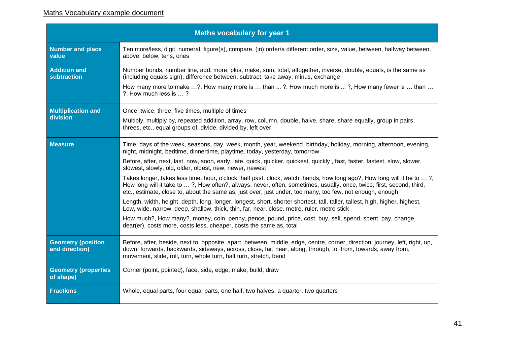## Maths Vocabulary example document

| <b>Maths vocabulary for year 1</b>          |                                                                                                                                                                                                                                                                                                                                                             |  |  |  |  |
|---------------------------------------------|-------------------------------------------------------------------------------------------------------------------------------------------------------------------------------------------------------------------------------------------------------------------------------------------------------------------------------------------------------------|--|--|--|--|
| <b>Number and place</b><br>value            | Ten more/less, digit, numeral, figure(s), compare, (in) order/a different order, size, value, between, halfway between,<br>above, below, tens, ones                                                                                                                                                                                                         |  |  |  |  |
| <b>Addition and</b><br>subtraction          | Number bonds, number line, add, more, plus, make, sum, total, altogether, inverse, double, equals, is the same as<br>(including equals sign), difference between, subtract, take away, minus, exchange                                                                                                                                                      |  |  |  |  |
|                                             | How many more to make ?, How many more is  than ?, How much more is ?, How many fewer is  than<br>?. How much less is ?                                                                                                                                                                                                                                     |  |  |  |  |
| <b>Multiplication and</b>                   | Once, twice, three, five times, multiple of times                                                                                                                                                                                                                                                                                                           |  |  |  |  |
| division                                    | Multiply, multiply by, repeated addition, array, row, column, double, halve, share, share equally, group in pairs,<br>threes, etc., equal groups of, divide, divided by, left over                                                                                                                                                                          |  |  |  |  |
| <b>Measure</b>                              | Time, days of the week, seasons, day, week, month, year, weekend, birthday, holiday, morning, afternoon, evening,<br>night, midnight, bedtime, dinnertime, playtime, today, yesterday, tomorrow                                                                                                                                                             |  |  |  |  |
|                                             | Before, after, next, last, now, soon, early, late, quick, quicker, quickest, quickly, fast, faster, fastest, slow, slower,<br>slowest, slowly, old, older, oldest, new, newer, newest                                                                                                                                                                       |  |  |  |  |
|                                             | Takes longer, takes less time, hour, o'clock, half past, clock, watch, hands, how long ago?, How long will it be to ?,<br>How long will it take to ?, How often?, always, never, often, sometimes, usually, once, twice, first, second, third,<br>etc., estimate, close to, about the same as, just over, just under, too many, too few, not enough, enough |  |  |  |  |
|                                             | Length, width, height, depth, long, longer, longest, short, shorter shortest, tall, taller, tallest, high, higher, highest,<br>Low, wide, narrow, deep, shallow, thick, thin, far, near, close, metre, ruler, metre stick                                                                                                                                   |  |  |  |  |
|                                             | How much?, How many?, money, coin, penny, pence, pound, price, cost, buy, sell, spend, spent, pay, change,<br>dear(er), costs more, costs less, cheaper, costs the same as, total                                                                                                                                                                           |  |  |  |  |
| <b>Geometry (position</b><br>and direction) | Before, after, beside, next to, opposite, apart, between, middle, edge, centre, corner, direction, journey, left, right, up,<br>down, forwards, backwards, sideways, across, close, far, near, along, through, to, from, towards, away from,<br>movement, slide, roll, turn, whole turn, half turn, stretch, bend                                           |  |  |  |  |
| <b>Geometry (properties)</b><br>of shape)   | Corner (point, pointed), face, side, edge, make, build, draw                                                                                                                                                                                                                                                                                                |  |  |  |  |
| <b>Fractions</b>                            | Whole, equal parts, four equal parts, one half, two halves, a quarter, two quarters                                                                                                                                                                                                                                                                         |  |  |  |  |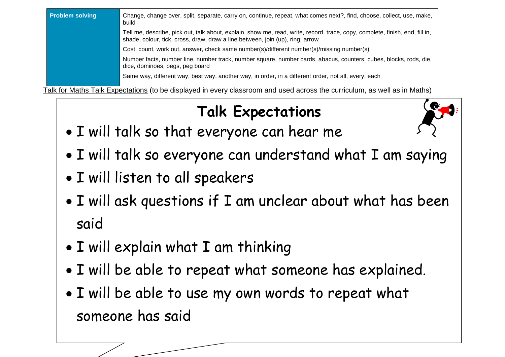| <b>Problem solving</b>                                                                                                    | Change, change over, split, separate, carry on, continue, repeat, what comes next?, find, choose, collect, use, make,<br>build                                                                                |  |  |  |
|---------------------------------------------------------------------------------------------------------------------------|---------------------------------------------------------------------------------------------------------------------------------------------------------------------------------------------------------------|--|--|--|
|                                                                                                                           | Tell me, describe, pick out, talk about, explain, show me, read, write, record, trace, copy, complete, finish, end, fill in,<br>shade, colour, tick, cross, draw, draw a line between, join (up), ring, arrow |  |  |  |
|                                                                                                                           | Cost, count, work out, answer, check same number(s)/different number(s)/missing number(s)                                                                                                                     |  |  |  |
|                                                                                                                           | Number facts, number line, number track, number square, number cards, abacus, counters, cubes, blocks, rods, die,<br>dice, dominoes, pegs, peg board                                                          |  |  |  |
|                                                                                                                           | Same way, different way, best way, another way, in order, in a different order, not all, every, each                                                                                                          |  |  |  |
| Talk for Maths Talk Expectations (to be displayed in every classroom and used across the curriculum, as well as in Maths) |                                                                                                                                                                                                               |  |  |  |

**Talk Expectations** 

- I will talk so that everyone can hear me
- I will talk so everyone can understand what I am saying
- I will listen to all speakers
- I will ask questions if I am unclear about what has been said

42

- I will explain what I am thinking
- I will be able to repeat what someone has explained.
- I will be able to use my own words to repeat what someone has said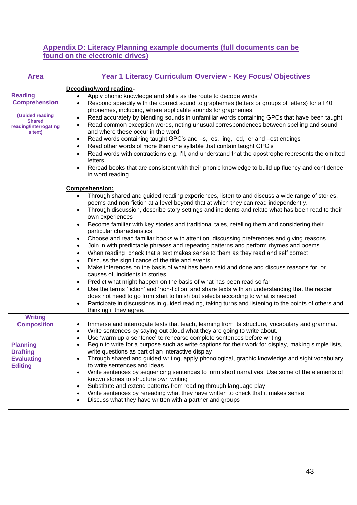### **Appendix D: Literacy Planning example documents (full documents can be found on the electronic drives)**

| <b>Area</b>                                                                                                           | Year 1 Literacy Curriculum Overview - Key Focus/ Objectives                                                                                                                                                                                                                                                                                                                                                                                                                                                                                                                                                                                                                                                                                                                                                                                                                                                                                                                                                                                                                                                                                                                                                                                                                                                                                                                                                                                          |
|-----------------------------------------------------------------------------------------------------------------------|------------------------------------------------------------------------------------------------------------------------------------------------------------------------------------------------------------------------------------------------------------------------------------------------------------------------------------------------------------------------------------------------------------------------------------------------------------------------------------------------------------------------------------------------------------------------------------------------------------------------------------------------------------------------------------------------------------------------------------------------------------------------------------------------------------------------------------------------------------------------------------------------------------------------------------------------------------------------------------------------------------------------------------------------------------------------------------------------------------------------------------------------------------------------------------------------------------------------------------------------------------------------------------------------------------------------------------------------------------------------------------------------------------------------------------------------------|
| <b>Reading</b><br><b>Comprehension</b><br><b>(Guided reading</b><br><b>Shared</b><br>reading/interrogating<br>a text) | Decoding/word reading-<br>Apply phonic knowledge and skills as the route to decode words<br>$\bullet$<br>Respond speedily with the correct sound to graphemes (letters or groups of letters) for all 40+<br>$\bullet$<br>phonemes, including, where applicable sounds for graphemes<br>Read accurately by blending sounds in unfamiliar words containing GPCs that have been taught<br>$\bullet$<br>Read common exception words, noting unusual correspondences between spelling and sound<br>$\bullet$<br>and where these occur in the word<br>Read words containing taught GPC's and -s, -es, -ing, -ed, -er and -est endings<br>$\bullet$<br>Read other words of more than one syllable that contain taught GPC's<br>$\bullet$<br>Read words with contractions e.g. I'll, and understand that the apostrophe represents the omitted<br>$\bullet$<br>letters<br>Reread books that are consistent with their phonic knowledge to build up fluency and confidence<br>$\bullet$<br>in word reading<br><b>Comprehension:</b>                                                                                                                                                                                                                                                                                                                                                                                                                           |
|                                                                                                                       | Through shared and guided reading experiences, listen to and discuss a wide range of stories,<br>$\bullet$<br>poems and non-fiction at a level beyond that at which they can read independently.<br>Through discussion, describe story settings and incidents and relate what has been read to their<br>$\bullet$<br>own experiences<br>Become familiar with key stories and traditional tales, retelling them and considering their<br>$\bullet$<br>particular characteristics<br>Choose and read familiar books with attention, discussing preferences and giving reasons<br>$\bullet$<br>Join in with predictable phrases and repeating patterns and perform rhymes and poems.<br>$\bullet$<br>When reading, check that a text makes sense to them as they read and self correct<br>$\bullet$<br>Discuss the significance of the title and events<br>$\bullet$<br>Make inferences on the basis of what has been said and done and discuss reasons for, or<br>$\bullet$<br>causes of, incidents in stories<br>Predict what might happen on the basis of what has been read so far<br>$\bullet$<br>Use the terms 'fiction' and 'non-fiction' and share texts with an understanding that the reader<br>$\bullet$<br>does not need to go from start to finish but selects according to what is needed<br>Participate in discussions in guided reading, taking turns and listening to the points of others and<br>$\bullet$<br>thinking if they agree. |
| <b>Writing</b><br><b>Composition</b><br><b>Planning</b><br><b>Drafting</b><br><b>Evaluating</b><br><b>Editing</b>     | Immerse and interrogate texts that teach, learning from its structure, vocabulary and grammar.<br>$\bullet$<br>Write sentences by saying out aloud what they are going to write about.<br>$\bullet$<br>Use 'warm up a sentence' to rehearse complete sentences before writing<br>Begin to write for a purpose such as write captions for their work for display, making simple lists,<br>write questions as part of an interactive display<br>Through shared and guided writing, apply phonological, graphic knowledge and sight vocabulary<br>$\bullet$<br>to write sentences and ideas<br>Write sentences by sequencing sentences to form short narratives. Use some of the elements of<br>$\bullet$<br>known stories to structure own writing<br>Substitute and extend patterns from reading through language play<br>$\bullet$<br>Write sentences by rereading what they have written to check that it makes sense<br>$\bullet$<br>Discuss what they have written with a partner and groups<br>$\bullet$                                                                                                                                                                                                                                                                                                                                                                                                                                         |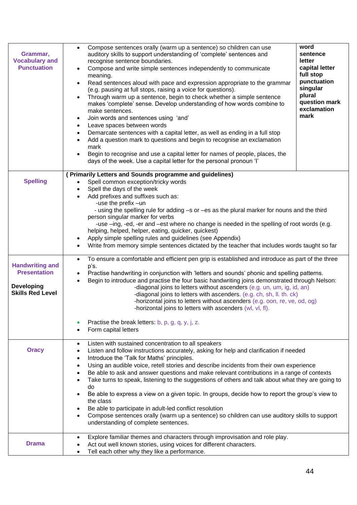| Grammar,<br><b>Vocabulary and</b><br><b>Punctuation</b>                                       | Compose sentences orally (warm up a sentence) so children can use<br>$\bullet$<br>auditory skills to support understanding of 'complete' sentences and<br>recognise sentence boundaries.<br>Compose and write simple sentences independently to communicate<br>$\bullet$<br>meaning.<br>Read sentences aloud with pace and expression appropriate to the grammar<br>$\bullet$<br>(e.g. pausing at full stops, raising a voice for questions).<br>Through warm up a sentence, begin to check whether a simple sentence<br>$\bullet$<br>makes 'complete' sense. Develop understanding of how words combine to<br>make sentences.<br>Join words and sentences using 'and'<br>$\bullet$<br>Leave spaces between words<br>$\bullet$<br>Demarcate sentences with a capital letter, as well as ending in a full stop<br>$\bullet$<br>Add a question mark to questions and begin to recognise an exclamation<br>$\bullet$<br>mark<br>Begin to recognise and use a capital letter for names of people, places, the<br>$\bullet$<br>days of the week. Use a capital letter for the personal pronoun 'I' | word<br>sentence<br>letter<br>capital letter<br>full stop<br>punctuation<br>singular<br>plural<br>question mark<br>exclamation<br>mark                                                                                                                                                    |  |  |
|-----------------------------------------------------------------------------------------------|-----------------------------------------------------------------------------------------------------------------------------------------------------------------------------------------------------------------------------------------------------------------------------------------------------------------------------------------------------------------------------------------------------------------------------------------------------------------------------------------------------------------------------------------------------------------------------------------------------------------------------------------------------------------------------------------------------------------------------------------------------------------------------------------------------------------------------------------------------------------------------------------------------------------------------------------------------------------------------------------------------------------------------------------------------------------------------------------------|-------------------------------------------------------------------------------------------------------------------------------------------------------------------------------------------------------------------------------------------------------------------------------------------|--|--|
| <b>Spelling</b>                                                                               | (Primarily Letters and Sounds programme and guidelines)<br>Spell common exception/tricky words<br>Spell the days of the week<br>$\bullet$<br>Add prefixes and suffixes such as:<br>-use the prefix -un<br>person singular marker for verbs<br>helping, helped, helper, eating, quicker, quickest)<br>Apply simple spelling rules and guidelines (see Appendix)<br>$\bullet$<br>$\bullet$                                                                                                                                                                                                                                                                                                                                                                                                                                                                                                                                                                                                                                                                                                      | - using the spelling rule for adding -s or -es as the plural marker for nouns and the third<br>-use -ing, -ed, -er and -est where no change is needed in the spelling of root words (e.g.<br>Write from memory simple sentences dictated by the teacher that includes words taught so far |  |  |
| <b>Handwriting and</b><br><b>Presentation</b><br><b>Developing</b><br><b>Skills Red Level</b> | To ensure a comfortable and efficient pen grip is established and introduce as part of the three<br>$\bullet$<br>p's.<br>Practise handwriting in conjunction with 'letters and sounds' phonic and spelling patterns.<br>$\bullet$<br>Begin to introduce and practise the four basic handwriting joins demonstrated through Nelson:<br>$\bullet$<br>-diagonal joins to letters without ascenders (e.g. un, um, ig, id, an)<br>-diagonal joins to letters with ascenders. (e.g. ch, sh, ll. th. ck)<br>-horizontal joins to letters without ascenders (e.g. oon, re, ve, od, og)<br>-horizontal joins to letters with ascenders (wl, vl, fl).<br>Practise the break letters: b, p, g, q, y, j, z.<br>Form capital letters                                                                                                                                                                                                                                                                                                                                                                       |                                                                                                                                                                                                                                                                                           |  |  |
| <b>Oracy</b>                                                                                  | Listen with sustained concentration to all speakers<br>$\bullet$<br>Listen and follow instructions accurately, asking for help and clarification if needed<br>$\bullet$<br>Introduce the 'Talk for Maths' principles.<br>$\bullet$<br>Using an audible voice, retell stories and describe incidents from their own experience<br>$\bullet$<br>Be able to ask and answer questions and make relevant contributions in a range of contexts<br>Take turns to speak, listening to the suggestions of others and talk about what they are going to<br>do<br>Be able to express a view on a given topic. In groups, decide how to report the group's view to<br>the class<br>Be able to participate in adult-led conflict resolution<br>Compose sentences orally (warm up a sentence) so children can use auditory skills to support<br>understanding of complete sentences.                                                                                                                                                                                                                        |                                                                                                                                                                                                                                                                                           |  |  |
| <b>Drama</b>                                                                                  | Explore familiar themes and characters through improvisation and role play.<br>$\bullet$<br>Act out well known stories, using voices for different characters.<br>Tell each other why they like a performance.                                                                                                                                                                                                                                                                                                                                                                                                                                                                                                                                                                                                                                                                                                                                                                                                                                                                                |                                                                                                                                                                                                                                                                                           |  |  |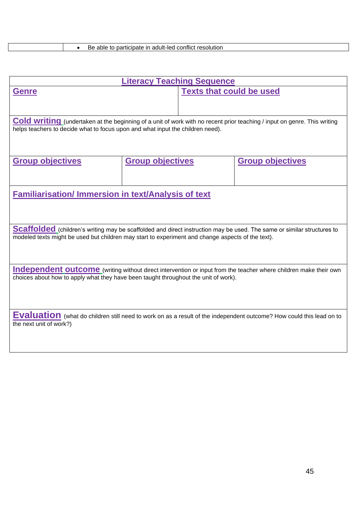|  | Be able to participate in adult-led conflict resolution |
|--|---------------------------------------------------------|
|--|---------------------------------------------------------|

| <b>Literacy Teaching Sequence</b>                                                                                                                                                                                           |                         |                                 |                         |  |  |
|-----------------------------------------------------------------------------------------------------------------------------------------------------------------------------------------------------------------------------|-------------------------|---------------------------------|-------------------------|--|--|
| <b>Genre</b>                                                                                                                                                                                                                |                         | <b>Texts that could be used</b> |                         |  |  |
| Cold writing (undertaken at the beginning of a unit of work with no recent prior teaching / input on genre. This writing<br>helps teachers to decide what to focus upon and what input the children need).                  |                         |                                 |                         |  |  |
| <b>Group objectives</b>                                                                                                                                                                                                     | <b>Group objectives</b> |                                 | <b>Group objectives</b> |  |  |
| <b>Familiarisation/Immersion in text/Analysis of text</b>                                                                                                                                                                   |                         |                                 |                         |  |  |
| Scaffolded (children's writing may be scaffolded and direct instruction may be used. The same or similar structures to<br>modeled texts might be used but children may start to experiment and change aspects of the text). |                         |                                 |                         |  |  |
| <b>Independent outcome</b> (writing without direct intervention or input from the teacher where children make their own<br>choices about how to apply what they have been taught throughout the unit of work).              |                         |                                 |                         |  |  |
| <b>Evaluation</b> (what do children still need to work on as a result of the independent outcome? How could this lead on to<br>the next unit of work?)                                                                      |                         |                                 |                         |  |  |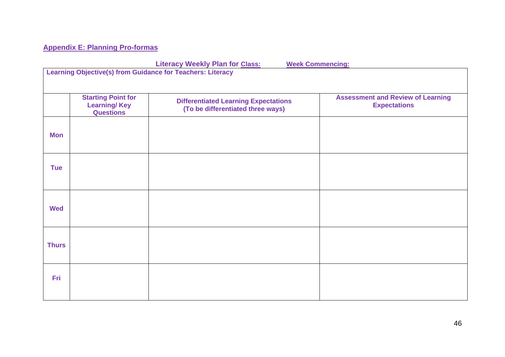## **Appendix E: Planning Pro-formas**

**Literacy Weekly Plan for Class: Week Commencing:** 

| <u><b>Environment of the Charles Charles of the Charles of the Charles of the Charles of the Charles of the Charles of the Charles of the Charles of the Charles of the Charles of the Charles of the Charles of the Charles of th</b></u><br><b>THE CONSTRAINING</b><br><b>Learning Objective(s) from Guidance for Teachers: Literacy</b> |                                                                      |                                                                                  |                                                                 |  |
|--------------------------------------------------------------------------------------------------------------------------------------------------------------------------------------------------------------------------------------------------------------------------------------------------------------------------------------------|----------------------------------------------------------------------|----------------------------------------------------------------------------------|-----------------------------------------------------------------|--|
|                                                                                                                                                                                                                                                                                                                                            | <b>Starting Point for</b><br><b>Learning/Key</b><br><b>Questions</b> | <b>Differentiated Learning Expectations</b><br>(To be differentiated three ways) | <b>Assessment and Review of Learning</b><br><b>Expectations</b> |  |
| <b>Mon</b>                                                                                                                                                                                                                                                                                                                                 |                                                                      |                                                                                  |                                                                 |  |
| <b>Tue</b>                                                                                                                                                                                                                                                                                                                                 |                                                                      |                                                                                  |                                                                 |  |
| <b>Wed</b>                                                                                                                                                                                                                                                                                                                                 |                                                                      |                                                                                  |                                                                 |  |
| <b>Thurs</b>                                                                                                                                                                                                                                                                                                                               |                                                                      |                                                                                  |                                                                 |  |
| <b>Fri</b>                                                                                                                                                                                                                                                                                                                                 |                                                                      |                                                                                  |                                                                 |  |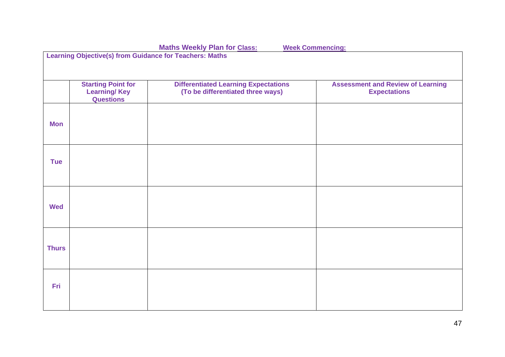|              | <b>Maths Weekly Plan for Class:</b><br><b>Week Commencing:</b>       |                                                                                  |                                                                 |  |  |
|--------------|----------------------------------------------------------------------|----------------------------------------------------------------------------------|-----------------------------------------------------------------|--|--|
|              | <b>Learning Objective(s) from Guidance for Teachers: Maths</b>       |                                                                                  |                                                                 |  |  |
|              |                                                                      |                                                                                  |                                                                 |  |  |
|              | <b>Starting Point for</b><br><b>Learning/Key</b><br><b>Questions</b> | <b>Differentiated Learning Expectations</b><br>(To be differentiated three ways) | <b>Assessment and Review of Learning</b><br><b>Expectations</b> |  |  |
| <b>Mon</b>   |                                                                      |                                                                                  |                                                                 |  |  |
| <b>Tue</b>   |                                                                      |                                                                                  |                                                                 |  |  |
| <b>Wed</b>   |                                                                      |                                                                                  |                                                                 |  |  |
| <b>Thurs</b> |                                                                      |                                                                                  |                                                                 |  |  |
| <b>Fri</b>   |                                                                      |                                                                                  |                                                                 |  |  |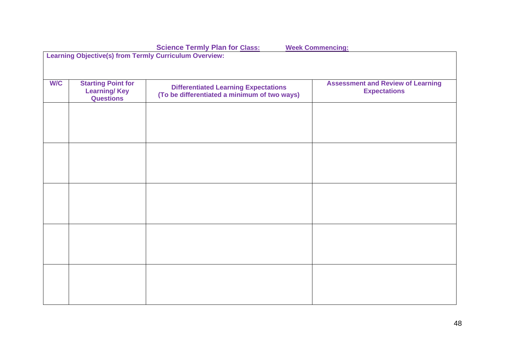|     | <b>Science Termly Plan for Class:</b><br><b>Week Commencing:</b>     |                                                                                             |                                                                 |  |  |  |
|-----|----------------------------------------------------------------------|---------------------------------------------------------------------------------------------|-----------------------------------------------------------------|--|--|--|
|     | <b>Learning Objective(s) from Termly Curriculum Overview:</b>        |                                                                                             |                                                                 |  |  |  |
|     |                                                                      |                                                                                             |                                                                 |  |  |  |
| W/C | <b>Starting Point for</b><br><b>Learning/Key</b><br><b>Questions</b> | <b>Differentiated Learning Expectations</b><br>(To be differentiated a minimum of two ways) | <b>Assessment and Review of Learning</b><br><b>Expectations</b> |  |  |  |
|     |                                                                      |                                                                                             |                                                                 |  |  |  |
|     |                                                                      |                                                                                             |                                                                 |  |  |  |
|     |                                                                      |                                                                                             |                                                                 |  |  |  |
|     |                                                                      |                                                                                             |                                                                 |  |  |  |
|     |                                                                      |                                                                                             |                                                                 |  |  |  |
|     |                                                                      |                                                                                             |                                                                 |  |  |  |
|     |                                                                      |                                                                                             |                                                                 |  |  |  |
|     |                                                                      |                                                                                             |                                                                 |  |  |  |
|     |                                                                      |                                                                                             |                                                                 |  |  |  |
|     |                                                                      |                                                                                             |                                                                 |  |  |  |
|     |                                                                      |                                                                                             |                                                                 |  |  |  |
|     |                                                                      |                                                                                             |                                                                 |  |  |  |
|     |                                                                      |                                                                                             |                                                                 |  |  |  |
|     |                                                                      |                                                                                             |                                                                 |  |  |  |
|     |                                                                      |                                                                                             |                                                                 |  |  |  |
|     |                                                                      |                                                                                             |                                                                 |  |  |  |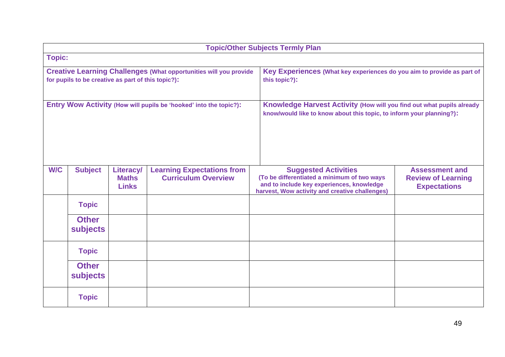|                                                                                                                                | <b>Topic/Other Subjects Termly Plan</b> |                                                                                                                                               |                                                                 |                                                                                                                                                                           |                                                                           |  |  |
|--------------------------------------------------------------------------------------------------------------------------------|-----------------------------------------|-----------------------------------------------------------------------------------------------------------------------------------------------|-----------------------------------------------------------------|---------------------------------------------------------------------------------------------------------------------------------------------------------------------------|---------------------------------------------------------------------------|--|--|
| <b>Topic:</b>                                                                                                                  |                                         |                                                                                                                                               |                                                                 |                                                                                                                                                                           |                                                                           |  |  |
| <b>Creative Learning Challenges (What opportunities will you provide</b><br>for pupils to be creative as part of this topic?): |                                         |                                                                                                                                               |                                                                 | this topic?):                                                                                                                                                             | Key Experiences (What key experiences do you aim to provide as part of    |  |  |
| Entry Wow Activity (How will pupils be 'hooked' into the topic?):                                                              |                                         | Knowledge Harvest Activity (How will you find out what pupils already<br>know/would like to know about this topic, to inform your planning?): |                                                                 |                                                                                                                                                                           |                                                                           |  |  |
| <b>W/C</b>                                                                                                                     | <b>Subject</b>                          | <b>Literacy/</b><br><b>Maths</b><br><b>Links</b>                                                                                              | <b>Learning Expectations from</b><br><b>Curriculum Overview</b> | <b>Suggested Activities</b><br>(To be differentiated a minimum of two ways<br>and to include key experiences, knowledge<br>harvest, Wow activity and creative challenges) | <b>Assessment and</b><br><b>Review of Learning</b><br><b>Expectations</b> |  |  |
|                                                                                                                                | <b>Topic</b>                            |                                                                                                                                               |                                                                 |                                                                                                                                                                           |                                                                           |  |  |
|                                                                                                                                | <b>Other</b><br><b>subjects</b>         |                                                                                                                                               |                                                                 |                                                                                                                                                                           |                                                                           |  |  |
|                                                                                                                                | <b>Topic</b>                            |                                                                                                                                               |                                                                 |                                                                                                                                                                           |                                                                           |  |  |
|                                                                                                                                | <b>Other</b><br>subjects                |                                                                                                                                               |                                                                 |                                                                                                                                                                           |                                                                           |  |  |
|                                                                                                                                | <b>Topic</b>                            |                                                                                                                                               |                                                                 |                                                                                                                                                                           |                                                                           |  |  |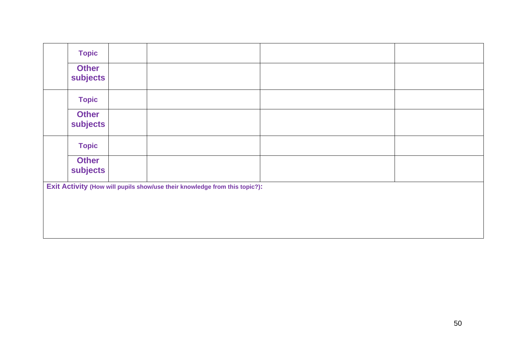| <b>Topic</b>             |  |                                                                            |  |  |
|--------------------------|--|----------------------------------------------------------------------------|--|--|
| <b>Other</b><br>subjects |  |                                                                            |  |  |
| <b>Topic</b>             |  |                                                                            |  |  |
| <b>Other</b><br>subjects |  |                                                                            |  |  |
| <b>Topic</b>             |  |                                                                            |  |  |
| <b>Other</b><br>subjects |  |                                                                            |  |  |
|                          |  | Exit Activity (How will pupils show/use their knowledge from this topic?): |  |  |
|                          |  |                                                                            |  |  |
|                          |  |                                                                            |  |  |
|                          |  |                                                                            |  |  |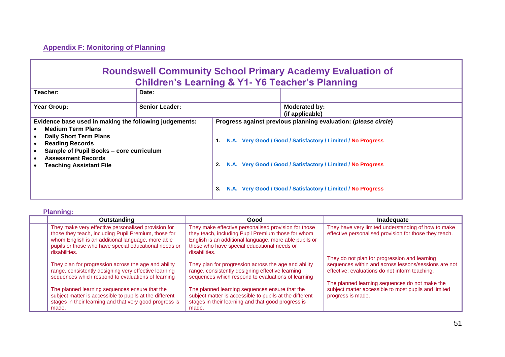### **Appendix F: Monitoring of Planning**

## **Roundswell Community School Primary Academy Evaluation of Children's Learning & Y1- Y6 Teacher's Planning**

| Teacher:                                                                                                                                                                                                                                                | Date:                 |          |                                                                                                                                                                                                                                                                |
|---------------------------------------------------------------------------------------------------------------------------------------------------------------------------------------------------------------------------------------------------------|-----------------------|----------|----------------------------------------------------------------------------------------------------------------------------------------------------------------------------------------------------------------------------------------------------------------|
| Year Group:                                                                                                                                                                                                                                             | <b>Senior Leader:</b> |          | Moderated by:<br>(if applicable)                                                                                                                                                                                                                               |
| Evidence base used in making the following judgements:<br><b>Medium Term Plans</b><br><b>Daily Short Term Plans</b><br><b>Reading Records</b><br>Sample of Pupil Books - core curriculum<br><b>Assessment Records</b><br><b>Teaching Assistant File</b> |                       | 2.<br>З. | Progress against previous planning evaluation: (please circle)<br>N.A. Very Good / Good / Satisfactory / Limited / No Progress<br>N.A. Very Good / Good / Satisfactory / Limited / No Progress<br>N.A. Very Good / Good / Satisfactory / Limited / No Progress |

**Planning:**

| Outstanding                                                                                                                                                                                                                                | Good                                                                                                                                                                                                                                 | Inadequate                                                                                                                                                                                                                                                        |
|--------------------------------------------------------------------------------------------------------------------------------------------------------------------------------------------------------------------------------------------|--------------------------------------------------------------------------------------------------------------------------------------------------------------------------------------------------------------------------------------|-------------------------------------------------------------------------------------------------------------------------------------------------------------------------------------------------------------------------------------------------------------------|
| They make very effective personalised provision for<br>those they teach, including Pupil Premium, those for<br>whom English is an additional language, more able<br>pupils or those who have special educational needs or<br>disabilities. | They make effective personalised provision for those<br>they teach, including Pupil Premium those for whom<br>English is an additional language, more able pupils or<br>those who have special educational needs or<br>disabilities. | They have very limited understanding of how to make<br>effective personalised provision for those they teach.                                                                                                                                                     |
| They plan for progression across the age and ability<br>range, consistently designing very effective learning<br>sequences which respond to evaluations of learning<br>The planned learning sequences ensure that the                      | They plan for progression across the age and ability<br>range, consistently designing effective learning<br>sequences which respond to evaluations of learning<br>The planned learning sequences ensure that the                     | They do not plan for progression and learning<br>sequences within and across lessons/sessions are not<br>effective; evaluations do not inform teaching.<br>The planned learning sequences do not make the<br>subject matter accessible to most pupils and limited |
| subject matter is accessible to pupils at the different<br>stages in their learning and that very good progress is<br>made.                                                                                                                | subject matter is accessible to pupils at the different<br>stages in their learning and that good progress is<br>made.                                                                                                               | progress is made.                                                                                                                                                                                                                                                 |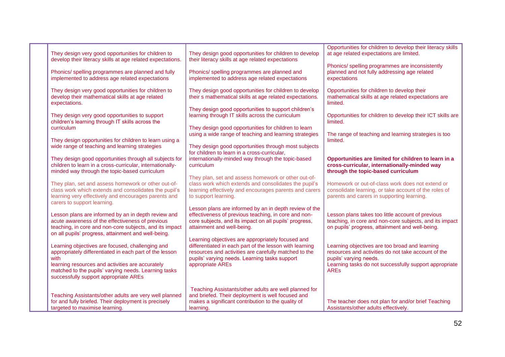| They design very good opportunities for children to<br>develop their literacy skills at age related expectations.                                                                                                                                                        | They design good opportunities for children to develop<br>their literacy skills at age related expectations                                                                                                                                | Opportunities for children to develop their literacy skills<br>at age related expectations are limited.<br>Phonics/ spelling programmes are inconsistently                                               |
|--------------------------------------------------------------------------------------------------------------------------------------------------------------------------------------------------------------------------------------------------------------------------|--------------------------------------------------------------------------------------------------------------------------------------------------------------------------------------------------------------------------------------------|----------------------------------------------------------------------------------------------------------------------------------------------------------------------------------------------------------|
| Phonics/spelling programmes are planned and fully<br>implemented to address age related expectations                                                                                                                                                                     | Phonics/ spelling programmes are planned and<br>implemented to address age related expectations                                                                                                                                            | planned and not fully addressing age related<br>expectations                                                                                                                                             |
| They design very good opportunities for children to<br>develop their mathematical skills at age related<br>expectations.                                                                                                                                                 | They design good opportunities for children to develop<br>their s mathematical skills at age related expectations.                                                                                                                         | Opportunities for children to develop their<br>mathematical skills at age related expectations are<br>limited.                                                                                           |
| They design very good opportunities to support<br>children's learning through IT skills across the                                                                                                                                                                       | They design good opportunities to support children's<br>learning through IT skills across the curriculum                                                                                                                                   | Opportunities for children to develop their ICT skills are<br>limited.                                                                                                                                   |
| <b>curriculum</b><br>They design opportunities for children to learn using a<br>wide range of teaching and learning strategies                                                                                                                                           | They design good opportunities for children to learn<br>using a wide range of teaching and learning strategies<br>They design good opportunities through most subjects                                                                     | The range of teaching and learning strategies is too<br>limited.                                                                                                                                         |
| They design good opportunities through all subjects for<br>children to learn in a cross-curricular, internationally-                                                                                                                                                     | for children to learn in a cross-curricular,<br>internationally-minded way through the topic-based<br>curriculum                                                                                                                           | Opportunities are limited for children to learn in a<br>cross-curricular, internationally-minded way                                                                                                     |
| minded way through the topic-based curriculum                                                                                                                                                                                                                            | They plan, set and assess homework or other out-of-                                                                                                                                                                                        | through the topic-based curriculum                                                                                                                                                                       |
| They plan, set and assess homework or other out-of-<br>class work which extends and consolidates the pupil's<br>learning very effectively and encourages parents and<br>carers to support learning.                                                                      | class work which extends and consolidates the pupil's<br>learning effectively and encourages parents and carers<br>to support learning.                                                                                                    | Homework or out-of-class work does not extend or<br>consolidate learning, or take account of the roles of<br>parents and carers in supporting learning.                                                  |
| Lesson plans are informed by an in depth review and<br>acute awareness of the effectiveness of previous<br>teaching, in core and non-core subjects, and its impact<br>on all pupils' progress, attainment and well-being.                                                | Lesson plans are informed by an in depth review of the<br>effectiveness of previous teaching, in core and non-<br>core subjects, and its impact on all pupils' progress,<br>attainment and well-being.                                     | Lesson plans takes too little account of previous<br>teaching, in core and non-core subjects, and its impact<br>on pupils' progress, attainment and well-being.                                          |
| Learning objectives are focused, challenging and<br>appropriately differentiated in each part of the lesson<br>with<br>learning resources and activities are accurately<br>matched to the pupils' varying needs. Learning tasks<br>successfully support appropriate AREs | Learning objectives are appropriately focused and<br>differentiated in each part of the lesson with learning<br>resources and activities are carefully matched to the<br>pupils' varying needs. Learning tasks support<br>appropriate AREs | Learning objectives are too broad and learning<br>resources and activities do not take account of the<br>pupils' varying needs.<br>Learning tasks do not successfully support appropriate<br><b>AREs</b> |
| Teaching Assistants/other adults are very well planned<br>for and fully briefed. Their deployment is precisely<br>targeted to maximise learning.                                                                                                                         | Teaching Assistants/other adults are well planned for<br>and briefed. Their deployment is well focused and<br>makes a significant contribution to the quality of<br>learning.                                                              | The teacher does not plan for and/or brief Teaching<br>Assistants/other adults effectively.                                                                                                              |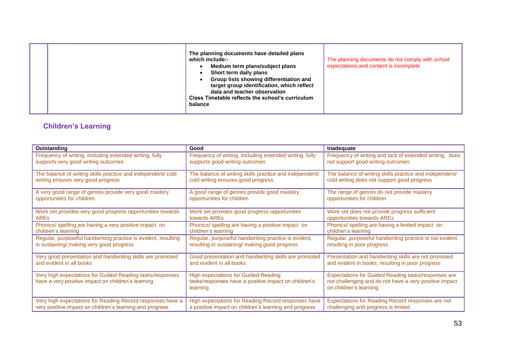|  | balance | The planning documents have detailed plans<br>which include:-<br>Medium term plans/subject plans<br>Short term daily plans<br>Group lists showing differentiation and<br>target group identification, which reflect<br>data and teacher observation<br>Class Timetable reflects the school's curriculum | The planning documents do not comply with school<br>expectations and content is incomplete |
|--|---------|---------------------------------------------------------------------------------------------------------------------------------------------------------------------------------------------------------------------------------------------------------------------------------------------------------|--------------------------------------------------------------------------------------------|
|--|---------|---------------------------------------------------------------------------------------------------------------------------------------------------------------------------------------------------------------------------------------------------------------------------------------------------------|--------------------------------------------------------------------------------------------|

# **Children's Learning**

| <b>Outstanding</b>                                                                                              | Good                                                                                                            | Inadequate                                                                                                                              |
|-----------------------------------------------------------------------------------------------------------------|-----------------------------------------------------------------------------------------------------------------|-----------------------------------------------------------------------------------------------------------------------------------------|
| Frequency of writing, including extended writing, fully                                                         | Frequency of writing, including extended writing, fully                                                         | Frequency of writing and lack of extended writing, does                                                                                 |
| supports very good writing outcomes                                                                             | supports good writing outcomes                                                                                  | not support good writing outcomes                                                                                                       |
| The balance of writing skills practice and independent/ cold                                                    | The balance of writing skills practice and independent/                                                         | The balance of writing skills practice and independent/                                                                                 |
| writing ensures very good progress                                                                              | cold writing ensures good progress                                                                              | cold writing does not support good progress                                                                                             |
| A very good range of genres provide very good mastery                                                           | A good range of genres provide good mastery                                                                     | The range of genres do not provide mastery                                                                                              |
| opportunities for children                                                                                      | opportunities for children                                                                                      | opportunities for children                                                                                                              |
| Work set provides very good progress opportunities towards                                                      | Work set provides good progress opportunities                                                                   | Work set does not provide progress sufficient                                                                                           |
| <b>AREs</b>                                                                                                     | towards AREs                                                                                                    | opportunities towards AREs                                                                                                              |
| Phonics/ spelling are having a very positive impact on                                                          | Phonics/ spelling are having a positive impact on                                                               | Phonics/ spelling are having a limited impact on                                                                                        |
| children's learning                                                                                             | children's learning                                                                                             | children's learning                                                                                                                     |
| Regular, purposeful handwriting practice is evident, resulting                                                  | Regular, purposeful handwriting practice is evident,                                                            | Regular, purposeful handwriting practice is not evident,                                                                                |
| in sustaining/ making very good progress                                                                        | resulting in sustaining/ making good progress                                                                   | resulting in poor progress                                                                                                              |
| Very good presentation and handwriting skills are promoted                                                      | Good presentation and handwriting skills are promoted                                                           | Presentation and handwriting skills are not promoted                                                                                    |
| and evident in all books                                                                                        | and evident in all books                                                                                        | and evident in books, resulting in poor progress                                                                                        |
| Very high expectations for Guided Reading tasks/responses<br>have a very positive impact on children's learning | <b>High expectations for Guided Reading</b><br>tasks/responses have a positive impact on children's<br>learning | Expectations for Guided Reading tasks/responses are<br>not challenging and do not have a very positive impact<br>on children's learning |
| Very high expectations for Reading Record responses have a                                                      | High expectations for Reading Record responses have                                                             | Expectations for Reading Record responses are not                                                                                       |
| very positive impact on children's learning and progress                                                        | a positive impact on children's learning and progress                                                           | challenging and progress is limited                                                                                                     |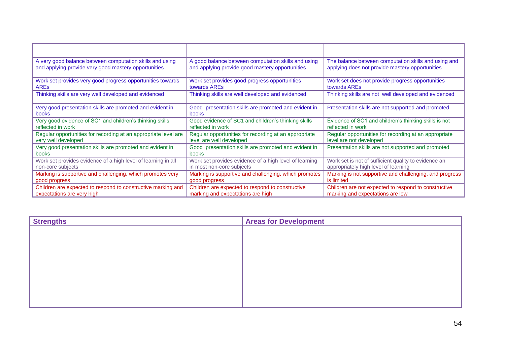| A very good balance between computation skills and using           | A good balance between computation skills and using           | The balance between computation skills and using and    |
|--------------------------------------------------------------------|---------------------------------------------------------------|---------------------------------------------------------|
| and applying provide very good mastery opportunities               | and applying provide good mastery opportunities               | applying does not provide mastery opportunities         |
| Work set provides very good progress opportunities towards         | Work set provides good progress opportunities                 | Work set does not provide progress opportunities        |
| <b>ARES</b>                                                        | towards AREs                                                  | towards AREs                                            |
| Thinking skills are very well developed and evidenced              | Thinking skills are well developed and evidenced              | Thinking skills are not well developed and evidenced    |
| Very good presentation skills are promoted and evident in<br>books | Good presentation skills are promoted and evident in<br>books | Presentation skills are not supported and promoted      |
| Very good evidence of SC1 and children's thinking skills           | Good evidence of SC1 and children's thinking skills           | Evidence of SC1 and children's thinking skills is not   |
| reflected in work                                                  | reflected in work                                             | reflected in work                                       |
| Regular opportunities for recording at an appropriate level are    | Regular opportunities for recording at an appropriate         | Regular opportunities for recording at an appropriate   |
| very well developed                                                | level are well developed                                      | level are not developed                                 |
| Very good presentation skills are promoted and evident in<br>books | Good presentation skills are promoted and evident in<br>books | Presentation skills are not supported and promoted      |
| Work set provides evidence of a high level of learning in all      | Work set provides evidence of a high level of learning        | Work set is not of sufficient quality to evidence an    |
| non-core subjects                                                  | in most non-core subjects                                     | appropriately high level of learning                    |
| Marking is supportive and challenging, which promotes very         | Marking is supportive and challenging, which promotes         | Marking is not supportive and challenging, and progress |
| good progress                                                      | good progress                                                 | is limited                                              |
| Children are expected to respond to constructive marking and       | Children are expected to respond to constructive              | Children are not expected to respond to constructive    |
| expectations are very high                                         | marking and expectations are high                             | marking and expectations are low                        |

| <b>Strengths</b> | <b>Areas for Development</b> |
|------------------|------------------------------|
|                  |                              |
|                  |                              |
|                  |                              |
|                  |                              |
|                  |                              |
|                  |                              |
|                  |                              |
|                  |                              |
|                  |                              |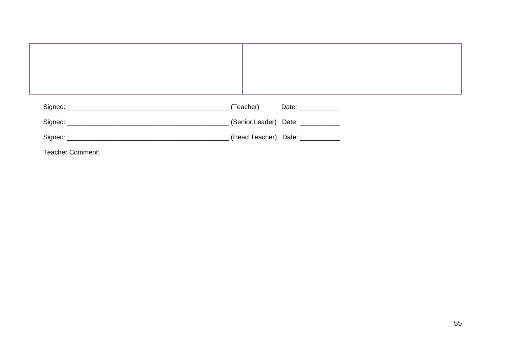|                         | (Teacher) Date: 2008              |
|-------------------------|-----------------------------------|
|                         | (Senior Leader) Date: ___________ |
|                         | (Head Teacher) Date: ____________ |
| <b>Teacher Comment:</b> |                                   |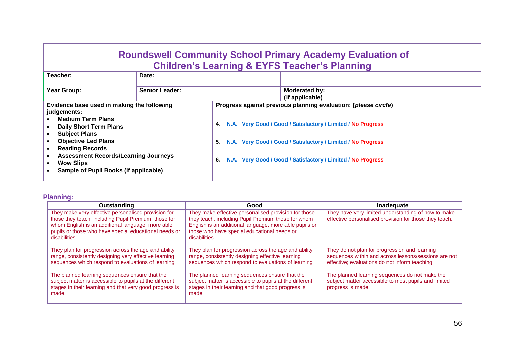# **Roundswell Community School Primary Academy Evaluation of Children's Learning & EYFS Teacher's Planning**

| Teacher:                                                                                                                                                                                                                                                                                                           | Date:                 |                |                                                                                                                                                                                                                                                                |
|--------------------------------------------------------------------------------------------------------------------------------------------------------------------------------------------------------------------------------------------------------------------------------------------------------------------|-----------------------|----------------|----------------------------------------------------------------------------------------------------------------------------------------------------------------------------------------------------------------------------------------------------------------|
| Year Group:                                                                                                                                                                                                                                                                                                        | <b>Senior Leader:</b> |                | Moderated by:<br>(if applicable)                                                                                                                                                                                                                               |
| Evidence base used in making the following<br>judgements:<br><b>Medium Term Plans</b><br><b>Daily Short Term Plans</b><br><b>Subject Plans</b><br><b>Objective Led Plans</b><br><b>Reading Records</b><br><b>Assessment Records/Learning Journeys</b><br><b>Wow Slips</b><br>Sample of Pupil Books (If applicable) |                       | 4.<br>5.<br>6. | Progress against previous planning evaluation: (please circle)<br>N.A. Very Good / Good / Satisfactory / Limited / No Progress<br>N.A. Very Good / Good / Satisfactory / Limited / No Progress<br>N.A. Very Good / Good / Satisfactory / Limited / No Progress |

#### **Planning:**

| Outstanding                                                                                                                                                                                                                                | Good                                                                                                                                                                                                                                 | Inadeguate                                                                                                                                              |
|--------------------------------------------------------------------------------------------------------------------------------------------------------------------------------------------------------------------------------------------|--------------------------------------------------------------------------------------------------------------------------------------------------------------------------------------------------------------------------------------|---------------------------------------------------------------------------------------------------------------------------------------------------------|
| They make very effective personalised provision for<br>those they teach, including Pupil Premium, those for<br>whom English is an additional language, more able<br>pupils or those who have special educational needs or<br>disabilities. | They make effective personalised provision for those<br>they teach, including Pupil Premium those for whom<br>English is an additional language, more able pupils or<br>those who have special educational needs or<br>disabilities. | They have very limited understanding of how to make<br>effective personalised provision for those they teach.                                           |
| They plan for progression across the age and ability<br>range, consistently designing very effective learning<br>sequences which respond to evaluations of learning                                                                        | They plan for progression across the age and ability<br>range, consistently designing effective learning<br>sequences which respond to evaluations of learning                                                                       | They do not plan for progression and learning<br>sequences within and across lessons/sessions are not<br>effective; evaluations do not inform teaching. |
| The planned learning sequences ensure that the<br>subject matter is accessible to pupils at the different<br>stages in their learning and that very good progress is<br>made.                                                              | The planned learning sequences ensure that the<br>subject matter is accessible to pupils at the different<br>stages in their learning and that good progress is<br>made.                                                             | The planned learning sequences do not make the<br>subject matter accessible to most pupils and limited<br>progress is made.                             |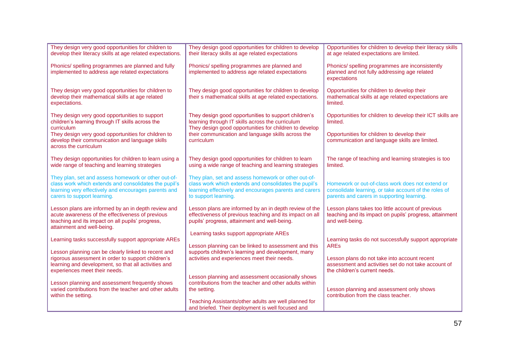| They design very good opportunities for children to<br>develop their literacy skills at age related expectations.                                                                                   | They design good opportunities for children to develop<br>their literacy skills at age related expectations                                                                                    | Opportunities for children to develop their literacy skills<br>at age related expectations are limited.                                                 |
|-----------------------------------------------------------------------------------------------------------------------------------------------------------------------------------------------------|------------------------------------------------------------------------------------------------------------------------------------------------------------------------------------------------|---------------------------------------------------------------------------------------------------------------------------------------------------------|
| Phonics/ spelling programmes are planned and fully<br>implemented to address age related expectations                                                                                               | Phonics/ spelling programmes are planned and<br>implemented to address age related expectations                                                                                                | Phonics/ spelling programmes are inconsistently<br>planned and not fully addressing age related<br>expectations                                         |
| They design very good opportunities for children to<br>develop their mathematical skills at age related<br>expectations.                                                                            | They design good opportunities for children to develop<br>their s mathematical skills at age related expectations.                                                                             | Opportunities for children to develop their<br>mathematical skills at age related expectations are<br>limited.                                          |
| They design very good opportunities to support<br>children's learning through IT skills across the<br>curriculum                                                                                    | They design good opportunities to support children's<br>learning through IT skills across the curriculum<br>They design good opportunities for children to develop                             | Opportunities for children to develop their ICT skills are<br>limited.                                                                                  |
| They design very good opportunities for children to<br>develop their communication and language skills<br>across the curriculum                                                                     | their communication and language skills across the<br>curriculum                                                                                                                               | Opportunities for children to develop their<br>communication and language skills are limited.                                                           |
| They design opportunities for children to learn using a<br>wide range of teaching and learning strategies                                                                                           | They design good opportunities for children to learn<br>using a wide range of teaching and learning strategies                                                                                 | The range of teaching and learning strategies is too<br>limited.                                                                                        |
| They plan, set and assess homework or other out-of-<br>class work which extends and consolidates the pupil's<br>learning very effectively and encourages parents and<br>carers to support learning. | They plan, set and assess homework or other out-of-<br>class work which extends and consolidates the pupil's<br>learning effectively and encourages parents and carers<br>to support learning. | Homework or out-of-class work does not extend or<br>consolidate learning, or take account of the roles of<br>parents and carers in supporting learning. |
| Lesson plans are informed by an in depth review and<br>acute awareness of the effectiveness of previous<br>teaching and its impact on all pupils' progress,<br>attainment and well-being.           | Lesson plans are informed by an in depth review of the<br>effectiveness of previous teaching and its impact on all<br>pupils' progress, attainment and well-being.                             | Lesson plans takes too little account of previous<br>teaching and its impact on pupils' progress, attainment<br>and well-being.                         |
| Learning tasks successfully support appropriate AREs                                                                                                                                                | Learning tasks support appropriate AREs                                                                                                                                                        | Learning tasks do not successfully support appropriate                                                                                                  |
| Lesson planning can be clearly linked to recent and                                                                                                                                                 | Lesson planning can be linked to assessment and this<br>supports children's learning and development, many                                                                                     | <b>AREs</b>                                                                                                                                             |
| rigorous assessment in order to support children's<br>learning and development, so that all activities and<br>experiences meet their needs.                                                         | activities and experiences meet their needs.                                                                                                                                                   | Lesson plans do not take into account recent<br>assessment and activities set do not take account of<br>the children's current needs.                   |
| Lesson planning and assessment frequently shows                                                                                                                                                     | Lesson planning and assessment occasionally shows<br>contributions from the teacher and other adults within                                                                                    |                                                                                                                                                         |
| varied contributions from the teacher and other adults<br>within the setting.                                                                                                                       | the setting.                                                                                                                                                                                   | Lesson planning and assessment only shows<br>contribution from the class teacher.                                                                       |
|                                                                                                                                                                                                     | Teaching Assistants/other adults are well planned for<br>and briefed. Their deployment is well focused and                                                                                     |                                                                                                                                                         |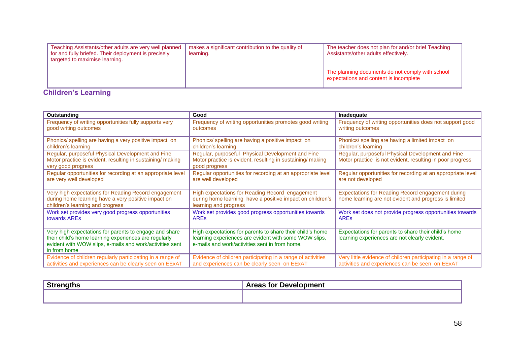| Teaching Assistants/other adults are very well planned<br>for and fully briefed. Their deployment is precisely<br>targeted to maximise learning. | makes a significant contribution to the quality of<br>learning. | The teacher does not plan for and/or brief Teaching<br>Assistants/other adults effectively. |
|--------------------------------------------------------------------------------------------------------------------------------------------------|-----------------------------------------------------------------|---------------------------------------------------------------------------------------------|
|                                                                                                                                                  |                                                                 | The planning documents do not comply with school<br>expectations and content is incomplete  |

## **Children's Learning**

| Outstanding                                                                                                                                                                                 | Good                                                                                                                                                                 | Inadequate                                                                                                        |
|---------------------------------------------------------------------------------------------------------------------------------------------------------------------------------------------|----------------------------------------------------------------------------------------------------------------------------------------------------------------------|-------------------------------------------------------------------------------------------------------------------|
| Frequency of writing opportunities fully supports very                                                                                                                                      | Frequency of writing opportunities promotes good writing                                                                                                             | Frequency of writing opportunities does not support good                                                          |
| good writing outcomes                                                                                                                                                                       | outcomes                                                                                                                                                             | writing outcomes                                                                                                  |
| Phonics/ spelling are having a very positive impact on                                                                                                                                      | Phonics/ spelling are having a positive impact on                                                                                                                    | Phonics/ spelling are having a limited impact on                                                                  |
| children's learning                                                                                                                                                                         | children's learning                                                                                                                                                  | children's learning                                                                                               |
| Regular, purposeful Physical Development and Fine<br>Motor practice is evident, resulting in sustaining/making<br>very good progress                                                        | Regular, purposeful Physical Development and Fine<br>Motor practice is evident, resulting in sustaining/making<br>good progress                                      | Regular, purposeful Physical Development and Fine<br>Motor practice is not evident, resulting in poor progress    |
| Regular opportunities for recording at an appropriate level                                                                                                                                 | Regular opportunities for recording at an appropriate level                                                                                                          | Regular opportunities for recording at an appropriate level                                                       |
| are very well developed                                                                                                                                                                     | are well developed                                                                                                                                                   | are not developed                                                                                                 |
| Very high expectations for Reading Record engagement<br>during home learning have a very positive impact on<br>children's learning and progress                                             | High expectations for Reading Record engagement<br>during home learning have a positive impact on children's<br>learning and progress                                | <b>Expectations for Reading Record engagement during</b><br>home learning are not evident and progress is limited |
| Work set provides very good progress opportunities                                                                                                                                          | Work set provides good progress opportunities towards                                                                                                                | Work set does not provide progress opportunities towards                                                          |
| towards AREs                                                                                                                                                                                | <b>ARES</b>                                                                                                                                                          | <b>ARES</b>                                                                                                       |
| Very high expectations for parents to engage and share<br>their child's home learning experiences are regularly<br>evident with WOW slips, e-mails and work/activities sent<br>in from home | High expectations for parents to share their child's home<br>learning experiences are evident with some WOW slips,<br>e-mails and work/activities sent in from home. | Expectations for parents to share their child's home<br>learning experiences are not clearly evident.             |
| Evidence of children regularly participating in a range of                                                                                                                                  | Evidence of children participating in a range of activities                                                                                                          | Very little evidence of children participating in a range of                                                      |
| activities and experiences can be clearly seen on EExAT                                                                                                                                     | and experiences can be clearly seen on EExAT                                                                                                                         | activities and experiences can be seen on EExAT                                                                   |

| <b>CL.</b><br>$\cdot$ oud. $\cdot$ | Arage<br>s for Devels<br>$\sim$ $\sim$ $\sim$ $\sim$ $\sim$ $\sim$<br>nopment<br>саэ<br><b>A</b> |
|------------------------------------|--------------------------------------------------------------------------------------------------|
|                                    |                                                                                                  |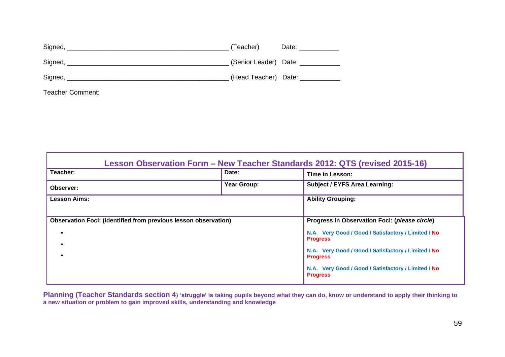| Signed, Management and Communications of the Signed, | (Teacher)             | Date: _____________ |
|------------------------------------------------------|-----------------------|---------------------|
| Signed,                                              | (Senior Leader) Date: |                     |
| Signed,                                              | (Head Teacher) Date:  |                     |
|                                                      |                       |                     |

Teacher Comment:

| Lesson Observation Form - New Teacher Standards 2012: QTS (revised 2015-16) |                          |                                                                        |  |  |
|-----------------------------------------------------------------------------|--------------------------|------------------------------------------------------------------------|--|--|
| Teacher:                                                                    | Date:                    | Time in Lesson:                                                        |  |  |
| <b>Observer:</b>                                                            | Year Group:              | <b>Subject / EYFS Area Learning:</b>                                   |  |  |
| <b>Lesson Aims:</b>                                                         | <b>Ability Grouping:</b> |                                                                        |  |  |
|                                                                             |                          |                                                                        |  |  |
| Observation Foci: (identified from previous lesson observation)             |                          | Progress in Observation Foci: (please circle)                          |  |  |
|                                                                             |                          | N.A. Very Good / Good / Satisfactory / Limited / No<br><b>Progress</b> |  |  |
|                                                                             |                          | N.A. Very Good / Good / Satisfactory / Limited / No<br><b>Progress</b> |  |  |
|                                                                             |                          | N.A. Very Good / Good / Satisfactory / Limited / No<br><b>Progress</b> |  |  |

**Planning (Teacher Standards section 4) 'struggle' is taking pupils beyond what they can do, know or understand to apply their thinking to a new situation or problem to gain improved skills, understanding and knowledge**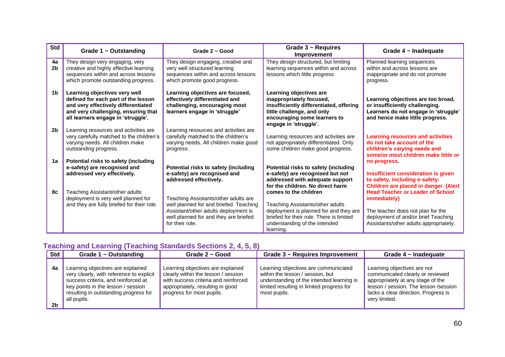| <b>Std</b>           | Grade $1 \sim$ Outstanding                                                                                                                                                               | Grade $2 \sim$ Good                                                                                                                                                                | Grade $3 \sim$ Requires<br>Improvement                                                                                                                                                        | Grade $4 \sim$ Inadequate                                                                                                                                                            |
|----------------------|------------------------------------------------------------------------------------------------------------------------------------------------------------------------------------------|------------------------------------------------------------------------------------------------------------------------------------------------------------------------------------|-----------------------------------------------------------------------------------------------------------------------------------------------------------------------------------------------|--------------------------------------------------------------------------------------------------------------------------------------------------------------------------------------|
| 4a<br>2 <sub>b</sub> | They design very engaging, very<br>creative and highly effective learning<br>sequences within and across lessons<br>which promote outstanding progress.                                  | They design engaging, creative and<br>very well structured learning<br>sequences within and across lessons<br>which promote good progress.                                         | They design structured, but limiting<br>learning sequences within and across<br>lessons which little progress.                                                                                | Planned learning sequences<br>within and across lessons are<br>inappropriate and do not promote<br>progress.                                                                         |
| 1 <sub>b</sub>       | Learning objectives very well<br>defined for each part of the lesson<br>and very effectively differentiated<br>and very challenging, ensuring that<br>all learners engage in 'struggle'. | Learning objectives are focused,<br>effectively differentiated and<br>challenging, encouraging most<br>learners engage in 'struggle'                                               | Learning objectives are<br>inappropriately focused,<br>insufficiently differentiated, offering<br>little challenge, and only<br>encouraging some learners to<br>engage in 'struggle'.         | Learning objectives are too broad,<br>or insufficiently challenging.<br>Learners do not engage in 'struggle'<br>and hence make little progress.                                      |
| 2 <sub>b</sub>       | Learning resources and activities are<br>very carefully matched to the children's<br>varying needs. All children make<br>outstanding progress.                                           | Learning resources and activities are<br>carefully matched to the children's<br>varying needs. All children make good<br>progress.                                                 | Learning resources and activities are<br>not appropriately differentiated. Only<br>some children make good progress.                                                                          | <b>Learning resources and activities</b><br>do not take account of the<br>children's varying needs and<br>some/or most children make little or                                       |
| 1a                   | Potential risks to safety (including<br>e-safety) are recognised and<br>addressed very effectively.                                                                                      | Potential risks to safety (including<br>e-safety) are recognised and<br>addressed effectively.                                                                                     | Potential risks to safety (including<br>e-safety) are recognised but not<br>addressed with adequate support<br>for the children. No direct harm                                               | no progress.<br>Insufficient consideration is given<br>to safety, including e-safety.<br>Children are placed in danger. (Alert                                                       |
| 8c                   | Teaching Assistant/other adults<br>deployment is very well planned for<br>and they are fully briefed for their role.                                                                     | Teaching Assistants/other adults are<br>well planned for and briefed. Teaching<br>Assistant/other adults deployment is<br>well planned for and they are briefed<br>for their role. | comes to the children<br>Teaching Assistants/other adults<br>deployment is planned for and they are<br>briefed for their role. There is limited<br>understanding of the intended<br>learning. | <b>Head Teacher or Leader of School</b><br><i>immediately)</i><br>The teacher does not plan for the<br>deployment of and/or brief Teaching<br>Assistants/other adults appropriately. |

### **Teaching and Learning (Teaching Standards Sections 2, 4, 5, 8)**

| Std                  | Grade $1 \sim$ Outstanding                                                                                                                                                                                         | Grade $2 \sim$ Good                                                                                                                                                               | Grade $3 \sim$ Requires Improvement                                                                                                                                                | Grade $4 \sim$ Inadequate                                                                                                                                                                               |
|----------------------|--------------------------------------------------------------------------------------------------------------------------------------------------------------------------------------------------------------------|-----------------------------------------------------------------------------------------------------------------------------------------------------------------------------------|------------------------------------------------------------------------------------------------------------------------------------------------------------------------------------|---------------------------------------------------------------------------------------------------------------------------------------------------------------------------------------------------------|
| 4a<br>2 <sub>b</sub> | Learning objectives are explained<br>very clearly, with reference to explicit<br>success criteria, and reinforced at<br>key points in the lesson / session<br>resulting in outstanding progress for<br>all pupils. | Learning objectives are explained<br>clearly within the lesson / session<br>with success criteria and reinforced<br>appropriately, resulting in good<br>progress for most pupils. | Learning objectives are communicated<br>within the lesson / session, but<br>understanding of the intended learning is<br>limited resulting in limited progress for<br>most pupils. | Learning objectives are not<br>communicated clearly or reviewed<br>appropriately at any stage of the<br>lesson / session. The lesson / session<br>lacks a clear direction. Progress is<br>very limited. |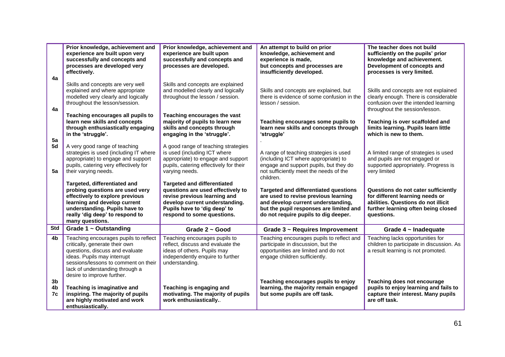| 4a             | Prior knowledge, achievement and<br>experience are built upon very<br>successfully and concepts and<br>processes are developed very<br>effectively.                                                                                                | Prior knowledge, achievement and<br>experience are built upon<br>successfully and concepts and<br>processes are developed.                                                                              | An attempt to build on prior<br>knowledge, achievement and<br>experience is made,<br>but concepts and processes are<br>insufficiently developed.                                                              | The teacher does not build<br>sufficiently on the pupils' prior<br>knowledge and achievement.<br>Development of concepts and<br>processes is very limited.         |
|----------------|----------------------------------------------------------------------------------------------------------------------------------------------------------------------------------------------------------------------------------------------------|---------------------------------------------------------------------------------------------------------------------------------------------------------------------------------------------------------|---------------------------------------------------------------------------------------------------------------------------------------------------------------------------------------------------------------|--------------------------------------------------------------------------------------------------------------------------------------------------------------------|
| 4a             | Skills and concepts are very well<br>explained and where appropriate<br>modelled very clearly and logically<br>throughout the lesson/session.                                                                                                      | Skills and concepts are explained<br>and modelled clearly and logically<br>throughout the lesson / session.                                                                                             | Skills and concepts are explained, but<br>there is evidence of some confusion in the<br>lesson / session.                                                                                                     | Skills and concepts are not explained<br>clearly enough. There is considerable<br>confusion over the intended learning<br>throughout the session/lesson.           |
| 5a             | Teaching encourages all pupils to<br>learn new skills and concepts<br>through enthusiastically engaging<br>in the 'struggle'.                                                                                                                      | Teaching encourages the vast<br>majority of pupils to learn new<br>skills and concepts through<br>engaging in the 'struggle'.                                                                           | Teaching encourages some pupils to<br>learn new skills and concepts through<br>'struggle'                                                                                                                     | Teaching is over scaffolded and<br>limits learning. Pupils learn little<br>which is new to them.                                                                   |
| 5d<br>5a       | A very good range of teaching<br>strategies is used (including IT where<br>appropriate) to engage and support<br>pupils, catering very effectively for<br>their varying needs.                                                                     | A good range of teaching strategies<br>is used (including ICT where<br>appropriate) to engage and support<br>pupils, catering effectively for their<br>varying needs.                                   | A range of teaching strategies is used<br>(including ICT where appropriate) to<br>engage and support pupils, but they do<br>not sufficiently meet the needs of the<br>children.                               | A limited range of strategies is used<br>and pupils are not engaged or<br>supported appropriately. Progress is<br>very limited                                     |
|                | Targeted, differentiated and<br>probing questions are used very<br>effectively to explore previous<br>learning and develop current<br>understanding. Pupils have to<br>really 'dig deep' to respond to<br>many questions.                          | <b>Targeted and differentiated</b><br>questions are used effectively to<br>revise previous learning and<br>develop current understanding.<br>Pupils have to 'dig deep' to<br>respond to some questions. | <b>Targeted and differentiated questions</b><br>are used to revise previous learning<br>and develop current understanding,<br>but the pupil responses are limited and<br>do not require pupils to dig deeper. | Questions do not cater sufficiently<br>for different learning needs or<br>abilities. Questions do not illicit<br>further learning often being closed<br>questions. |
| Std            | Grade 1 ~ Outstanding                                                                                                                                                                                                                              | Grade 2 ~ Good                                                                                                                                                                                          | Grade 3 ~ Requires Improvement                                                                                                                                                                                | Grade $4 \sim$ Inadequate                                                                                                                                          |
| 4b             | Teaching encourages pupils to reflect<br>critically, generate their own<br>questions, discuss and evaluate<br>ideas. Pupils may interrupt<br>sessions/lessons to comment on their<br>lack of understanding through a<br>desire to improve further. | Teaching encourages pupils to<br>reflect, discuss and evaluate the<br>ideas of others. Pupils may<br>independently enquire to further<br>understanding.                                                 | Teaching encourages pupils to reflect and<br>participate in discussion, but the<br>opportunities are limited and do not<br>engage children sufficiently.                                                      | Teaching lacks opportunities for<br>children to participate in discussion. As<br>a result learning is not promoted.                                                |
| 3b<br>4b<br>7c | Teaching is imaginative and<br>inspiring. The majority of pupils<br>are highly motivated and work<br>enthusiastically.                                                                                                                             | Teaching is engaging and<br>motivating. The majority of pupils<br>work enthusiastically                                                                                                                 | Teaching encourages pupils to enjoy<br>learning, the majority remain engaged<br>but some pupils are off task.                                                                                                 | Teaching does not encourage<br>pupils to enjoy learning and fails to<br>capture their interest. Many pupils<br>are off task.                                       |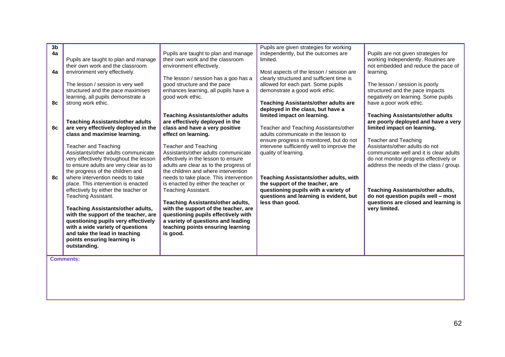| and take the lead in teaching<br>is good.<br>points ensuring learning is<br>outstanding. |
|------------------------------------------------------------------------------------------|
|------------------------------------------------------------------------------------------|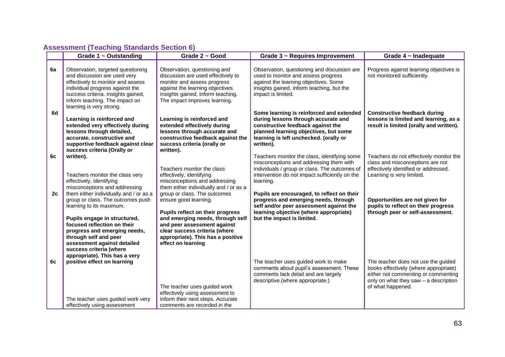## **Assessment (Teaching Standards Section 6)**

|    | Grade $1 \sim$ Outstanding                                                                                                                                                                                                                                                                | Grade 2 ~ Good                                                                                                                                                                                                                                           | Grade 3 ~ Requires Improvement                                                                                                                                                                                       | Grade $4 \sim$ Inadequate                                                                                                                                                         |
|----|-------------------------------------------------------------------------------------------------------------------------------------------------------------------------------------------------------------------------------------------------------------------------------------------|----------------------------------------------------------------------------------------------------------------------------------------------------------------------------------------------------------------------------------------------------------|----------------------------------------------------------------------------------------------------------------------------------------------------------------------------------------------------------------------|-----------------------------------------------------------------------------------------------------------------------------------------------------------------------------------|
| 6a | Observation, targeted questioning<br>and discussion are used very<br>effectively to monitor and assess<br>individual progress against the<br>success criteria. Insights gained,<br>inform teaching. The impact on<br>learning is very strong.                                             | Observation, questioning and<br>discussion are used effectively to<br>monitor and assess progress<br>against the learning objectives.<br>Insights gained, inform teaching.<br>The impact improves learning.                                              | Observation, questioning and discussion are<br>used to monitor and assess progress<br>against the learning objectives. Some<br>insights gained, inform teaching, but the<br>impact is limited.                       | Progress against learning objectives is<br>not monitored sufficiently.                                                                                                            |
| 6d | Learning is reinforced and<br>extended very effectively during<br>lessons through detailed,<br>accurate, constructive and<br>supportive feedback against clear<br>success criteria (Orally or                                                                                             | Learning is reinforced and<br>extended effectively during<br>lessons through accurate and<br>constructive feedback against the<br>success criteria (orally or<br>written).                                                                               | Some learning is reinforced and extended<br>during lessons through accurate and<br>constructive feedback against the<br>planned learning objectives, but some<br>learning is left unchecked. (orally or<br>written). | <b>Constructive feedback during</b><br>lessons is limited and learning, as a<br>result is limited (orally and written).                                                           |
| 6c | written).<br>Teachers monitor the class very<br>effectively, identifying<br>misconceptions and addressing                                                                                                                                                                                 | Teachers monitor the class<br>effectively, identifying<br>misconceptions and addressing<br>them either individually and / or as a                                                                                                                        | Teachers monitor the class, identifying some<br>misconceptions and addressing them with<br>individuals / group or class. The outcomes of<br>intervention do not impact sufficiently on the<br>learning.              | Teachers do not effectively monitor the<br>class and misconceptions are not<br>effectively identified or addressed.<br>Learning is very limited.                                  |
| 2c | them either individually and / or as a<br>group or class. The outcomes push<br>learning to its maximum.<br>Pupils engage in structured,<br>focused reflection on their<br>progress and emerging needs,<br>through self and peer<br>assessment against detailed<br>success criteria (where | group or class. The outcomes<br>ensure good learning.<br>Pupils reflect on their progress<br>and emerging needs, through self<br>and peer assessment against<br>clear success criteria (where<br>appropriate). This has a positive<br>effect on learning | Pupils are encouraged, to reflect on their<br>progress and emerging needs, through<br>self and/or peer assessment against the<br>learning objective (where appropriate)<br>but the impact is limited.                | Opportunities are not given for<br>pupils to reflect on their progress<br>through peer or self-assessment.                                                                        |
| 6c | appropriate). This has a very<br>positive effect on learning<br>The teacher uses guided work very<br>effectively using assessment                                                                                                                                                         | The teacher uses guided work<br>effectively using assessment to<br>inform their next steps. Accurate<br>comments are recorded in the                                                                                                                     | The teacher uses guided work to make<br>comments about pupil's assessment. These<br>comments lack detail and are largely<br>descriptive.(where appropriate.)                                                         | The teacher does not use the guided<br>books effectively (where appropriate)<br>either not commenting or commenting<br>only on what they saw - a description<br>of what happened. |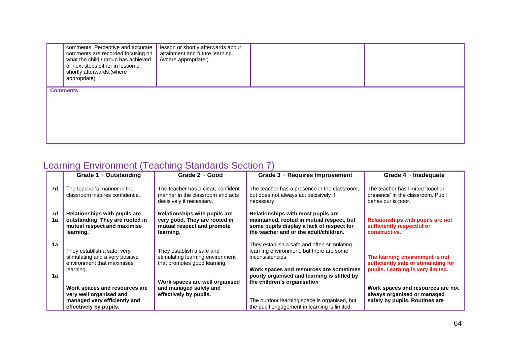| comments. Perceptive and accurate<br>comments are recorded focusing on<br>what the child / group has achieved<br>or next steps either in lesson or<br>shortly afterwards.(where<br>appropriate) | lesson or shortly afterwards about<br>attainment and future learning.<br>(where appropriate.) |  |
|-------------------------------------------------------------------------------------------------------------------------------------------------------------------------------------------------|-----------------------------------------------------------------------------------------------|--|
|                                                                                                                                                                                                 |                                                                                               |  |
|                                                                                                                                                                                                 |                                                                                               |  |
|                                                                                                                                                                                                 |                                                                                               |  |
|                                                                                                                                                                                                 |                                                                                               |  |
|                                                                                                                                                                                                 | <b>Comments:</b>                                                                              |  |

# Learning Environment (Teaching Standards Section 7)

|          | Grade $1 \sim$ Outstanding                                                                                         | Grade $2 \sim$ Good                                                                                       | Grade 3 ~ Requires Improvement                                                                                                                                                                       | Grade $4 \sim$ Inadequate                                                                                    |
|----------|--------------------------------------------------------------------------------------------------------------------|-----------------------------------------------------------------------------------------------------------|------------------------------------------------------------------------------------------------------------------------------------------------------------------------------------------------------|--------------------------------------------------------------------------------------------------------------|
| 7d       | The teacher's manner in the<br>classroom inspires confidence.                                                      | The teacher has a clear, confident<br>manner in the classroom and acts<br>decisively if necessary.        | The teacher has a presence in the classroom,<br>but does not always act decisively if<br>necessary.                                                                                                  | The teacher has limited 'teacher<br>presence' in the classroom. Pupil<br>behaviour is poor.                  |
| 7d<br>1a | Relationships with pupils are<br>outstanding. They are rooted in<br>mutual respect and maximise<br>learning.       | Relationships with pupils are<br>very good. They are rooted in<br>mutual respect and promote<br>learning. | Relationships with most pupils are<br>maintained, rooted in mutual respect, but<br>some pupils display a lack of respect for<br>the teacher and or the adult/children.                               | Relationships with pupils are not<br>sufficiently respectful or<br>constructive.                             |
| 1a<br>1a | They establish a safe, very<br>stimulating and a very positive<br>environment that maximises<br>learning.          | They establish a safe and<br>stimulating learning environment<br>that promotes good learning.             | They establish a safe and often stimulating<br>learning environment, but there are some<br>inconsistencies<br>Work spaces and resources are sometimes<br>poorly organised and learning is stifled by | The learning environment is not<br>sufficiently safe or stimulating for<br>pupils. Learning is very limited. |
|          | Work spaces and resources are<br>very well organised and<br>managed very efficiently and<br>effectively by pupils. | Work spaces are well organised<br>and managed safely and<br>effectively by pupils.                        | the children's organisation<br>The outdoor learning space is organised, but<br>the pupil engagement in learning is limited.                                                                          | Work spaces and resources are not<br>always organised or managed<br>safely by pupils. Routines are           |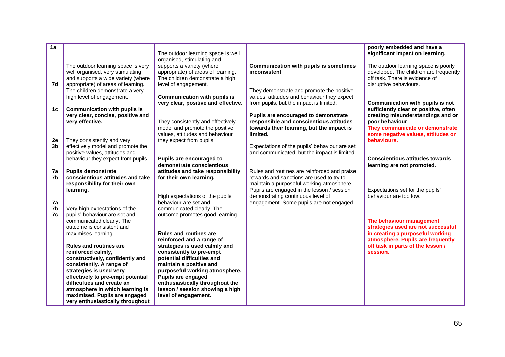| 1a<br>7d<br>1c       | The outdoor learning space is very<br>well organised, very stimulating<br>and supports a wide variety (where<br>appropriate) of areas of learning.<br>The children demonstrate a very<br>high level of engagement.<br>Communication with pupils is<br>very clear, concise, positive and<br>very effective.                                                                                                                                 | The outdoor learning space is well<br>organised, stimulating and<br>supports a variety (where<br>appropriate) of areas of learning.<br>The children demonstrate a high<br>level of engagement.<br><b>Communication with pupils is</b><br>very clear, positive and effective.<br>They consistently and effectively<br>model and promote the positive<br>values, attitudes and behaviour | <b>Communication with pupils is sometimes</b><br>inconsistent<br>They demonstrate and promote the positive<br>values, attitudes and behaviour they expect<br>from pupils, but the impact is limited.<br>Pupils are encouraged to demonstrate<br>responsible and conscientious attitudes<br>towards their learning, but the impact is<br>limited. | poorly embedded and have a<br>significant impact on learning.<br>The outdoor learning space is poorly<br>developed. The children are frequently<br>off task. There is evidence of<br>disruptive behaviours.<br>Communication with pupils is not<br>sufficiently clear or positive, often<br>creating misunderstandings and or<br>poor behaviour<br>They communicate or demonstrate<br>some negative values, attitudes or |
|----------------------|--------------------------------------------------------------------------------------------------------------------------------------------------------------------------------------------------------------------------------------------------------------------------------------------------------------------------------------------------------------------------------------------------------------------------------------------|----------------------------------------------------------------------------------------------------------------------------------------------------------------------------------------------------------------------------------------------------------------------------------------------------------------------------------------------------------------------------------------|--------------------------------------------------------------------------------------------------------------------------------------------------------------------------------------------------------------------------------------------------------------------------------------------------------------------------------------------------|--------------------------------------------------------------------------------------------------------------------------------------------------------------------------------------------------------------------------------------------------------------------------------------------------------------------------------------------------------------------------------------------------------------------------|
| 2e<br>3b             | They consistently and very<br>effectively model and promote the<br>positive values, attitudes and<br>behaviour they expect from pupils.                                                                                                                                                                                                                                                                                                    | they expect from pupils.<br>Pupils are encouraged to<br>demonstrate conscientious                                                                                                                                                                                                                                                                                                      | Expectations of the pupils' behaviour are set<br>and communicated, but the impact is limited.                                                                                                                                                                                                                                                    | behaviours.<br><b>Conscientious attitudes towards</b><br>learning are not promoted.                                                                                                                                                                                                                                                                                                                                      |
| 7a<br>7b<br>7a<br>7b | <b>Pupils demonstrate</b><br>conscientious attitudes and take<br>responsibility for their own<br>learning.<br>Very high expectations of the                                                                                                                                                                                                                                                                                                | attitudes and take responsibility<br>for their own learning.<br>High expectations of the pupils'<br>behaviour are set and<br>communicated clearly. The                                                                                                                                                                                                                                 | Rules and routines are reinforced and praise,<br>rewards and sanctions are used to try to<br>maintain a purposeful working atmosphere.<br>Pupils are engaged in the lesson / session<br>demonstrating continuous level of<br>engagement. Some pupils are not engaged.                                                                            | Expectations set for the pupils'<br>behaviour are too low.                                                                                                                                                                                                                                                                                                                                                               |
| 7c                   | pupils' behaviour are set and<br>communicated clearly. The<br>outcome is consistent and<br>maximises learning.<br><b>Rules and routines are</b><br>reinforced calmly,<br>constructively, confidently and<br>consistently. A range of<br>strategies is used very<br>effectively to pre-empt potential<br>difficulties and create an<br>atmosphere in which learning is<br>maximised. Pupils are engaged<br>very enthusiastically throughout | outcome promotes good learning<br><b>Rules and routines are</b><br>reinforced and a range of<br>strategies is used calmly and<br>consistently to pre-empt<br>potential difficulties and<br>maintain a positive and<br>purposeful working atmosphere.<br>Pupils are engaged<br>enthusiastically throughout the<br>lesson / session showing a high<br>level of engagement.               |                                                                                                                                                                                                                                                                                                                                                  | The behaviour management<br>strategies used are not successful<br>in creating a purposeful working<br>atmosphere. Pupils are frequently<br>off task in parts of the lesson /<br>session.                                                                                                                                                                                                                                 |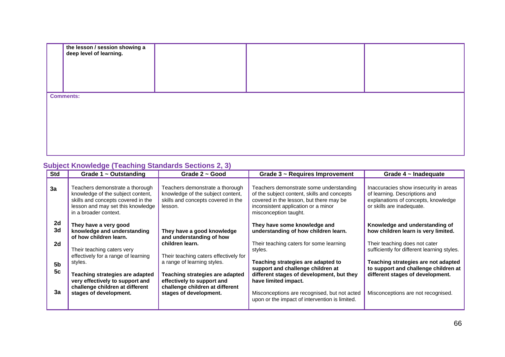| the lesson / session showing a<br>deep level of learning. |  |  |  |  |
|-----------------------------------------------------------|--|--|--|--|
|                                                           |  |  |  |  |
|                                                           |  |  |  |  |
| <b>Comments:</b>                                          |  |  |  |  |
|                                                           |  |  |  |  |
|                                                           |  |  |  |  |
|                                                           |  |  |  |  |

### **Subject Knowledge (Teaching Standards Sections 2, 3)**

| <b>Std</b>                 | Grade $1 \sim$ Outstanding                                                                                                                                                                                      | Grade $2 \sim$ Good                                                                                                                                                                                       | Grade 3 ~ Requires Improvement                                                                                                                                                                                                                            | Grade $4 \sim$ Inadequate                                                                                                                                                                            |
|----------------------------|-----------------------------------------------------------------------------------------------------------------------------------------------------------------------------------------------------------------|-----------------------------------------------------------------------------------------------------------------------------------------------------------------------------------------------------------|-----------------------------------------------------------------------------------------------------------------------------------------------------------------------------------------------------------------------------------------------------------|------------------------------------------------------------------------------------------------------------------------------------------------------------------------------------------------------|
| 3a                         | Teachers demonstrate a thorough<br>knowledge of the subject content,<br>skills and concepts covered in the<br>lesson and may set this knowledge<br>in a broader context.                                        | Teachers demonstrate a thorough<br>knowledge of the subject content,<br>skills and concepts covered in the<br>lesson.                                                                                     | Teachers demonstrate some understanding<br>of the subject content, skills and concepts<br>covered in the lesson, but there may be<br>inconsistent application or a minor<br>misconception taught.                                                         | Inaccuracies show insecurity in areas<br>of learning. Descriptions and<br>explanations of concepts, knowledge<br>or skills are inadequate.                                                           |
| 2d<br>3d<br>2d             | They have a very good<br>knowledge and understanding<br>of how children learn.                                                                                                                                  | They have a good knowledge<br>and understanding of how<br>children learn.                                                                                                                                 | They have some knowledge and<br>understanding of how children learn.<br>Their teaching caters for some learning                                                                                                                                           | Knowledge and understanding of<br>how children learn is very limited.<br>Their teaching does not cater                                                                                               |
| 5 <sub>b</sub><br>5c<br>3a | Their teaching caters very<br>effectively for a range of learning<br>styles.<br>Teaching strategies are adapted<br>very effectively to support and<br>challenge children at different<br>stages of development. | Their teaching caters effectively for<br>a range of learning styles.<br><b>Teaching strategies are adapted</b><br>effectively to support and<br>challenge children at different<br>stages of development. | styles.<br>Teaching strategies are adapted to<br>support and challenge children at<br>different stages of development, but they<br>have limited impact.<br>Misconceptions are recognised, but not acted<br>upon or the impact of intervention is limited. | sufficiently for different learning styles.<br>Teaching strategies are not adapted<br>to support and challenge children at<br>different stages of development.<br>Misconceptions are not recognised. |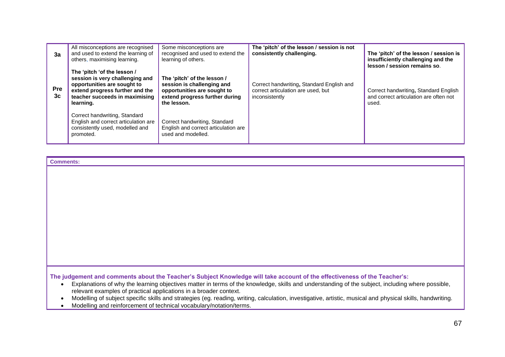| 3a               | All misconceptions are recognised<br>and used to extend the learning of<br>others, maximising learning.                                                                         | Some misconceptions are<br>recognised and used to extend the<br>learning of others.                                                       | The 'pitch' of the lesson / session is not<br>consistently challenging.                           | The 'pitch' of the lesson / session is<br>insufficiently challenging and the<br>lesson / session remains so. |
|------------------|---------------------------------------------------------------------------------------------------------------------------------------------------------------------------------|-------------------------------------------------------------------------------------------------------------------------------------------|---------------------------------------------------------------------------------------------------|--------------------------------------------------------------------------------------------------------------|
| <b>Pre</b><br>3c | The 'pitch 'of the lesson /<br>session is very challenging and<br>opportunities are sought to<br>extend progress further and the<br>teacher succeeds in maximising<br>learning. | The 'pitch' of the lesson /<br>session is challenging and<br>opportunities are sought to<br>extend progress further during<br>the lesson. | Correct handwriting, Standard English and<br>correct articulation are used, but<br>inconsistently | Correct handwriting, Standard English<br>and correct articulation are often not<br>used.                     |
|                  | Correct handwriting, Standard<br>English and correct articulation are<br>consistently used, modelled and<br>promoted.                                                           | Correct handwriting, Standard<br>English and correct articulation are<br>used and modelled.                                               |                                                                                                   |                                                                                                              |

**Comments:**

**The judgement and comments about the Teacher's Subject Knowledge will take account of the effectiveness of the Teacher's:**

- Explanations of why the learning objectives matter in terms of the knowledge, skills and understanding of the subject, including where possible, relevant examples of practical applications in a broader context.
- Modelling of subject specific skills and strategies (eg. reading, writing, calculation, investigative, artistic, musical and physical skills, handwriting.
- Modelling and reinforcement of technical vocabulary/notation/terms.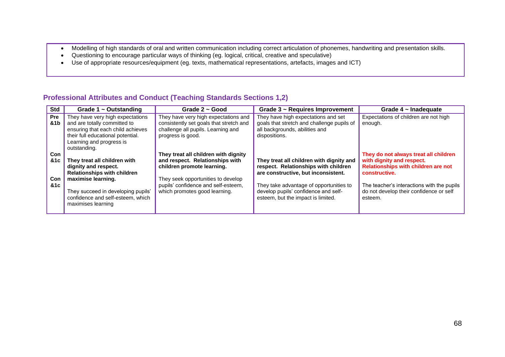- Modelling of high standards of oral and written communication including correct articulation of phonemes, handwriting and presentation skills.
- Questioning to encourage particular ways of thinking (eg. logical, critical, creative and speculative)
- Use of appropriate resources/equipment (eg. texts, mathematical representations, artefacts, images and ICT)

### **Professional Attributes and Conduct (Teaching Standards Sections 1,2)**

| <b>Std</b><br>Grade $1 \sim$ Outstanding                                                                                                                                                                                                                        | Grade $2 \sim$ Good                                                                                                                                                                                                 | Grade $3 \sim$ Requires Improvement                                                                                                                                                                                                              | Grade $4 \sim$ Inadequate                                                                                                                                                                                                      |
|-----------------------------------------------------------------------------------------------------------------------------------------------------------------------------------------------------------------------------------------------------------------|---------------------------------------------------------------------------------------------------------------------------------------------------------------------------------------------------------------------|--------------------------------------------------------------------------------------------------------------------------------------------------------------------------------------------------------------------------------------------------|--------------------------------------------------------------------------------------------------------------------------------------------------------------------------------------------------------------------------------|
| They have very high expectations<br><b>Pre</b><br>&1b<br>and are totally committed to<br>ensuring that each child achieves<br>their full educational potential.<br>Learning and progress is<br>outstanding.                                                     | They have very high expectations and<br>consistently set goals that stretch and<br>challenge all pupils. Learning and<br>progress is good.                                                                          | They have high expectations and set<br>goals that stretch and challenge pupils of<br>all backgrounds, abilities and<br>dispositions.                                                                                                             | Expectations of children are not high<br>enough.                                                                                                                                                                               |
| Con<br><b>&amp;1c</b><br>They treat all children with<br>dignity and respect.<br><b>Relationships with children</b><br>maximise learning.<br><b>Con</b><br>&1c<br>They succeed in developing pupils'<br>confidence and self-esteem, which<br>maximises learning | They treat all children with dignity<br>and respect. Relationships with<br>children promote learning.<br>They seek opportunities to develop<br>pupils' confidence and self-esteem,<br>which promotes good learning. | They treat all children with dignity and<br>respect. Relationships with children<br>are constructive, but inconsistent.<br>They take advantage of opportunities to<br>develop pupils' confidence and self-<br>esteem, but the impact is limited. | They do not always treat all children<br>with dignity and respect.<br>Relationships with children are not<br>constructive.<br>The teacher's interactions with the pupils<br>do not develop their confidence or self<br>esteem. |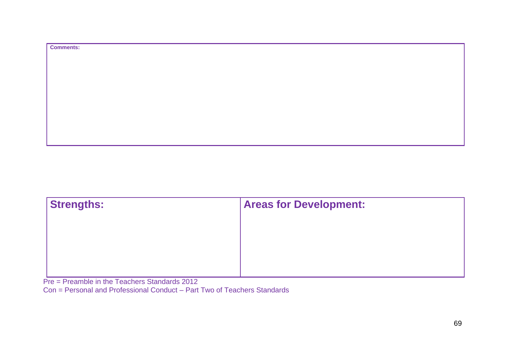| <b>Comments:</b> |
|------------------|
|                  |
|                  |
|                  |
|                  |
|                  |
|                  |
|                  |
|                  |
|                  |

| <b>Areas for Development:</b> |  |
|-------------------------------|--|
|                               |  |
|                               |  |
|                               |  |
|                               |  |

Pre = Preamble in the Teachers Standards 2012

Con = Personal and Professional Conduct – Part Two of Teachers Standards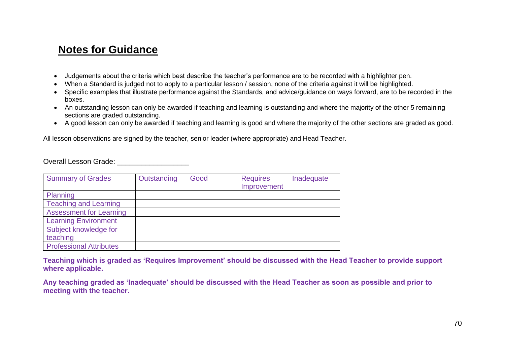# **Notes for Guidance**

- Judgements about the criteria which best describe the teacher's performance are to be recorded with a highlighter pen.
- When a Standard is judged not to apply to a particular lesson / session, none of the criteria against it will be highlighted.
- Specific examples that illustrate performance against the Standards, and advice/guidance on ways forward, are to be recorded in the boxes.
- An outstanding lesson can only be awarded if teaching and learning is outstanding and where the majority of the other 5 remaining sections are graded outstanding.
- A good lesson can only be awarded if teaching and learning is good and where the majority of the other sections are graded as good.

All lesson observations are signed by the teacher, senior leader (where appropriate) and Head Teacher.

Overall Lesson Grade: **Example 20** 

| <b>Summary of Grades</b>       | Outstanding | Good | <b>Requires</b><br>Improvement | Inadequate |
|--------------------------------|-------------|------|--------------------------------|------------|
| Planning                       |             |      |                                |            |
| <b>Teaching and Learning</b>   |             |      |                                |            |
| <b>Assessment for Learning</b> |             |      |                                |            |
| <b>Learning Environment</b>    |             |      |                                |            |
| Subject knowledge for          |             |      |                                |            |
| teaching                       |             |      |                                |            |
| <b>Professional Attributes</b> |             |      |                                |            |
|                                |             |      |                                |            |

**Teaching which is graded as 'Requires Improvement' should be discussed with the Head Teacher to provide support where applicable.**

**Any teaching graded as 'Inadequate' should be discussed with the Head Teacher as soon as possible and prior to meeting with the teacher.**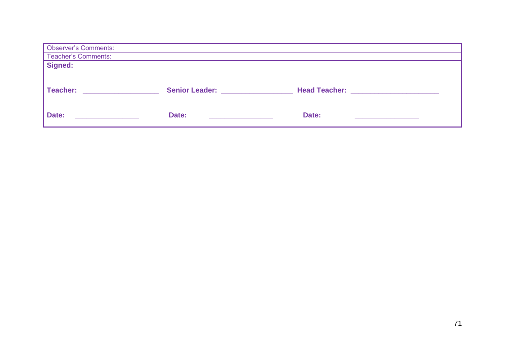| <b>Observer's Comments:</b> |                                           |                                        |  |  |  |  |
|-----------------------------|-------------------------------------------|----------------------------------------|--|--|--|--|
| Teacher's Comments:         |                                           |                                        |  |  |  |  |
| Signed:                     |                                           |                                        |  |  |  |  |
|                             |                                           |                                        |  |  |  |  |
| Teacher:                    | Senior Leader: Network and Senior Leader: | Head Teacher: ________________________ |  |  |  |  |
| Date:                       | Date:                                     | Date:                                  |  |  |  |  |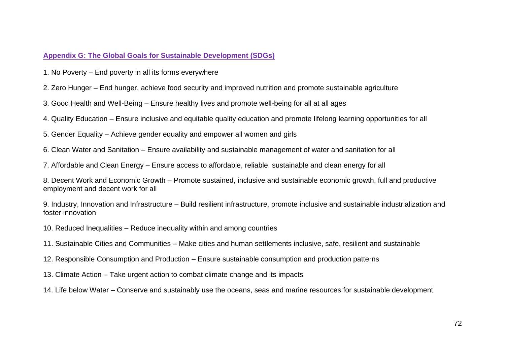### **Appendix G: The Global Goals for Sustainable Development (SDGs)**

1. No Poverty – End poverty in all its forms everywhere

2. Zero Hunger – End hunger, achieve food security and improved nutrition and promote sustainable agriculture

3. Good Health and Well-Being – Ensure healthy lives and promote well-being for all at all ages

4. Quality Education – Ensure inclusive and equitable quality education and promote lifelong learning opportunities for all

5. Gender Equality – Achieve gender equality and empower all women and girls

6. Clean Water and Sanitation – Ensure availability and sustainable management of water and sanitation for all

7. Affordable and Clean Energy – Ensure access to affordable, reliable, sustainable and clean energy for all

8. Decent Work and Economic Growth – Promote sustained, inclusive and sustainable economic growth, full and productive employment and decent work for all

9. Industry, Innovation and Infrastructure – Build resilient infrastructure, promote inclusive and sustainable industrialization and foster innovation

- 10. Reduced Inequalities Reduce inequality within and among countries
- 11. Sustainable Cities and Communities Make cities and human settlements inclusive, safe, resilient and sustainable
- 12. Responsible Consumption and Production Ensure sustainable consumption and production patterns

13. Climate Action – Take urgent action to combat climate change and its impacts

14. Life below Water – Conserve and sustainably use the oceans, seas and marine resources for sustainable development